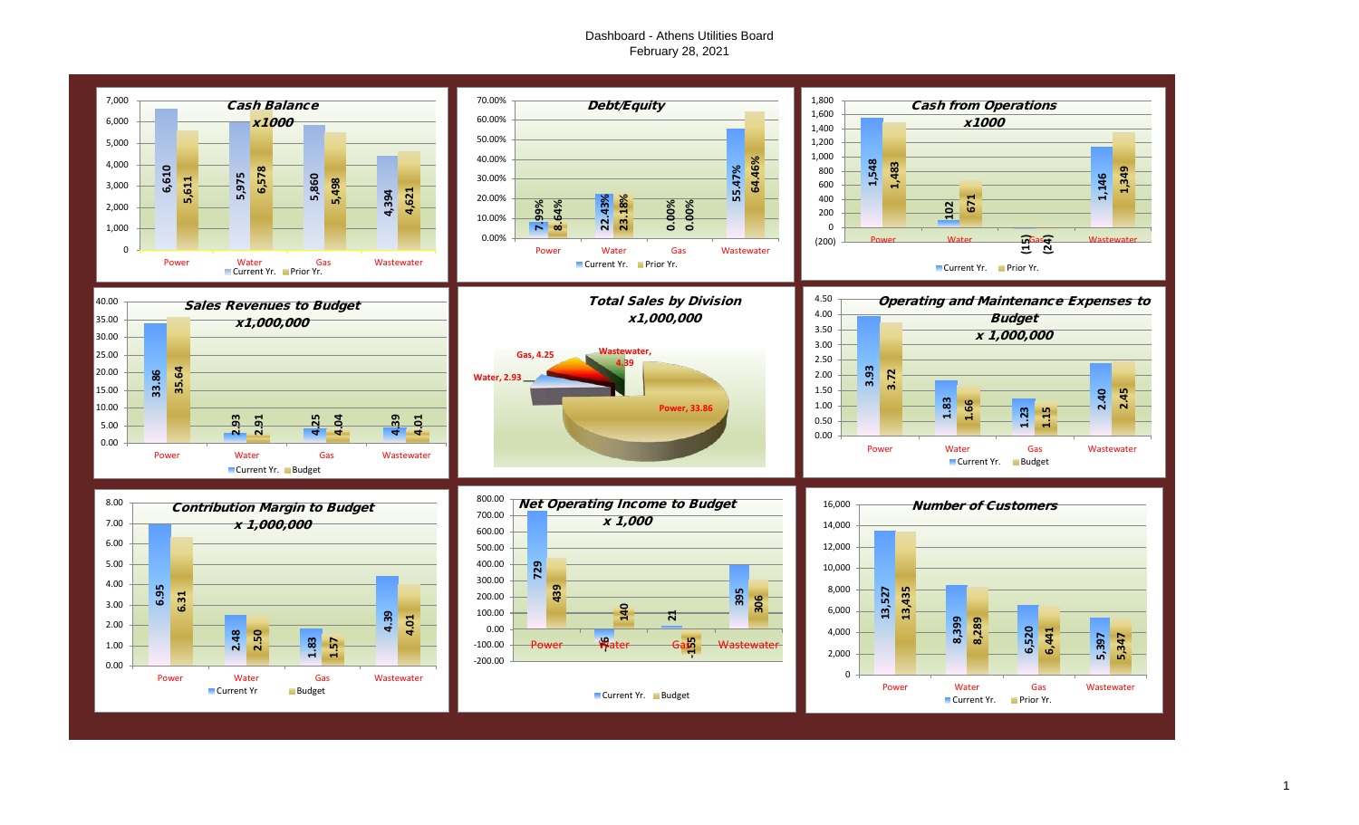# Dashboard - Athens Utilities Board February 28, 2021

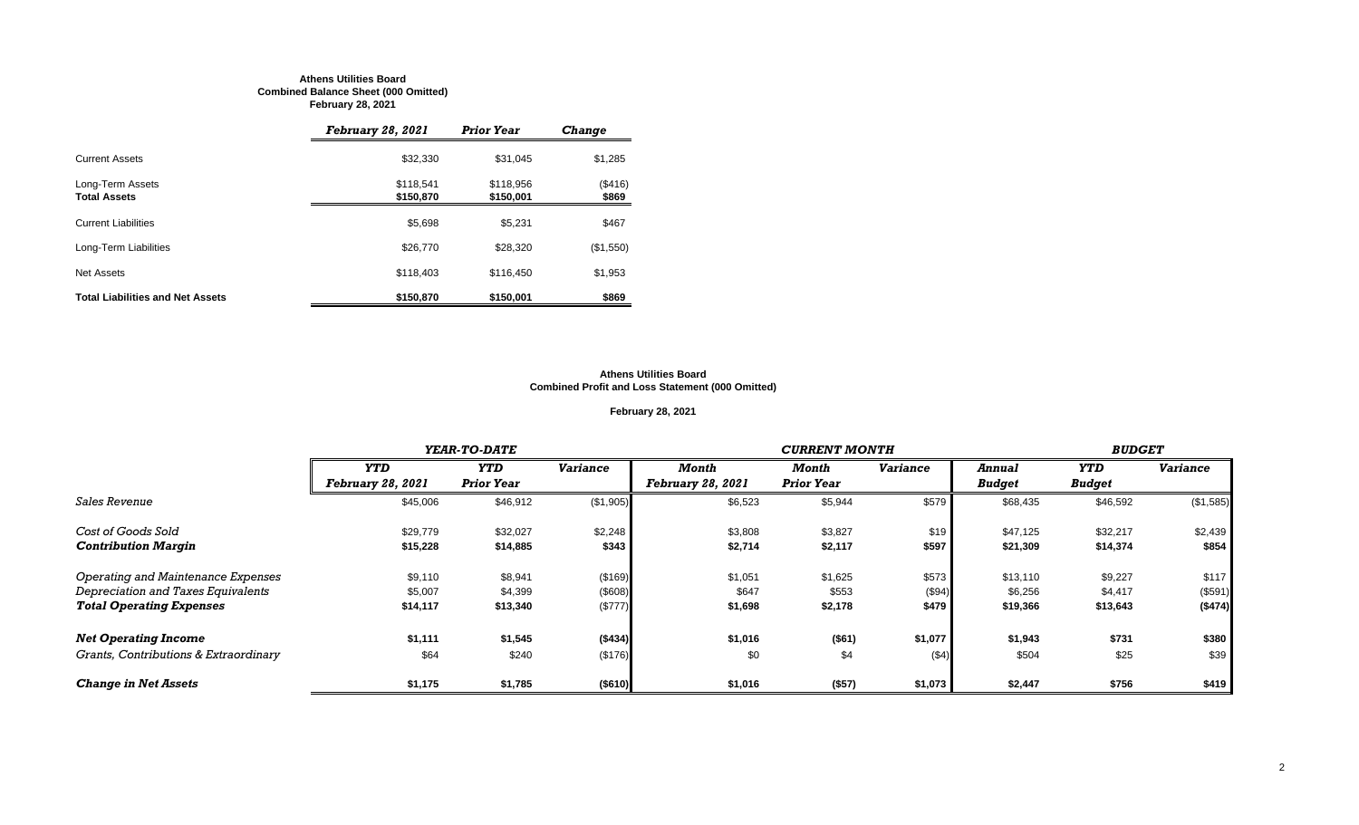#### **Athens Utilities Board Combined Balance Sheet (000 Omitted) February 28, 2021**

|                                         | <b>February 28, 2021</b> | <b>Prior Year</b>      | <b>Change</b>          |
|-----------------------------------------|--------------------------|------------------------|------------------------|
| <b>Current Assets</b>                   | \$32,330                 | \$31,045               | \$1,285                |
| Long-Term Assets<br><b>Total Assets</b> | \$118.541<br>\$150,870   | \$118,956<br>\$150,001 | $($ \$416 $)$<br>\$869 |
| <b>Current Liabilities</b>              | \$5,698                  | \$5,231                | \$467                  |
| Long-Term Liabilities                   | \$26,770                 | \$28,320               | (\$1,550)              |
| Net Assets                              | \$118,403                | \$116,450              | \$1,953                |
| <b>Total Liabilities and Net Assets</b> | \$150,870                | \$150,001              | \$869                  |

#### **Athens Utilities Board Combined Profit and Loss Statement (000 Omitted)**

# **February 28, 2021**

|                                       |                          | YEAR-TO-DATE      |                 |                   | <b>CURRENT MONTH</b> |                 |               |               |                 |  |
|---------------------------------------|--------------------------|-------------------|-----------------|-------------------|----------------------|-----------------|---------------|---------------|-----------------|--|
|                                       | <b>YTD</b>               | <b>YTD</b>        | <b>Variance</b> | Month             | Month                | <b>Variance</b> | Annual        | YTD           | <b>Variance</b> |  |
|                                       | <b>February 28, 2021</b> | <b>Prior Year</b> |                 | February 28, 2021 | <b>Prior Year</b>    |                 | <b>Budget</b> | <b>Budget</b> |                 |  |
| Sales Revenue                         | \$45,006                 | \$46,912          | (\$1,905)       | \$6,523           | \$5,944              | \$579           | \$68,435      | \$46,592      | (\$1,585)       |  |
| Cost of Goods Sold                    | \$29,779                 | \$32,027          | \$2,248         | \$3,808           | \$3,827              | \$19            | \$47,125      | \$32,217      | \$2,439         |  |
| <b>Contribution Margin</b>            | \$15,228                 | \$14,885          | \$343           | \$2,714           | \$2,117              | \$597           | \$21,309      | \$14,374      | \$854           |  |
| Operating and Maintenance Expenses    | \$9,110                  | \$8,941           | (\$169)         | \$1,051           | \$1,625              | \$573           | \$13,110      | \$9,227       | \$117           |  |
| Depreciation and Taxes Equivalents    | \$5,007                  | \$4,399           | (\$608)         | \$647             | \$553                | (\$94)          | \$6,256       | \$4,417       | (\$591)         |  |
| <b>Total Operating Expenses</b>       | \$14,117                 | \$13,340          | (\$777)         | \$1,698           | \$2,178              | \$479           | \$19,366      | \$13,643      | ( \$474)        |  |
| <b>Net Operating Income</b>           | \$1,111                  | \$1,545           | (\$434)         | \$1,016           | (\$61)               | \$1,077         | \$1,943       | \$731         | \$380           |  |
| Grants, Contributions & Extraordinary | \$64                     | \$240             | (\$176)         | \$0               | \$4                  | (54)            | \$504         | \$25          | \$39            |  |
| <b>Change in Net Assets</b>           | \$1,175                  | \$1,785           | (\$610)         | \$1,016           | (\$57)               | \$1,073         | \$2,447       | \$756         | \$419           |  |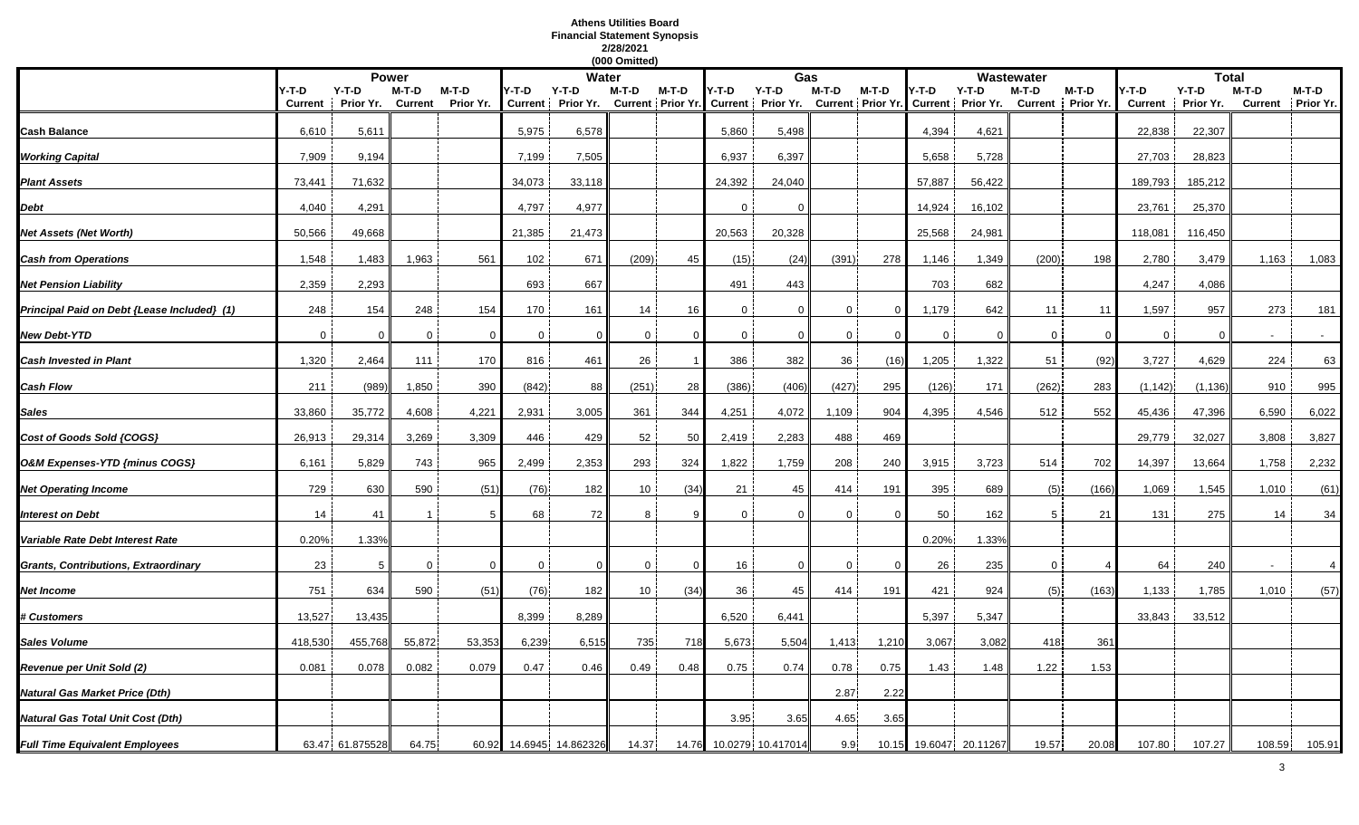# **Athens Utilities Board Financial Statement Synopsis 2/28/2021**

|                                             |                         |                      |                         |                    |                         |                      | (000 Omitted) |          |             |                                                    |                |                            |             |                              |             |                            |                         |                      |        |                            |
|---------------------------------------------|-------------------------|----------------------|-------------------------|--------------------|-------------------------|----------------------|---------------|----------|-------------|----------------------------------------------------|----------------|----------------------------|-------------|------------------------------|-------------|----------------------------|-------------------------|----------------------|--------|----------------------------|
|                                             |                         |                      | <b>Power</b>            |                    |                         | Water                |               |          |             | Gas                                                |                |                            |             |                              | Wastewater  |                            |                         | <b>Total</b>         |        |                            |
|                                             | Y-T-D<br><b>Current</b> | $Y-T-D$<br>Prior Yr. | M-T-D<br><b>Current</b> | M-T-D<br>Prior Yr. | Y-T-D<br><b>Current</b> | $Y-T-D$<br>Prior Yr. | M-T-D         | M-T-D    | Y-T-D       | $Y-T-D$<br>Current   Prior Yr. Current   Prior Yr. | $M-T-D$        | M-T-D<br>Current Prior Yr. | '-T-D       | $Y-T-D$<br>Current Prior Yr. | M-T-D       | M-T-D<br>Current Prior Yr. | Y-T-D<br><b>Current</b> | $Y-T-D$<br>Prior Yr. | M-T-D  | M-T-D<br>Current Prior Yr. |
| <b>Cash Balance</b>                         | 6,610                   | 5,611                |                         |                    | 5,975                   | 6,578                |               |          | 5,860       | 5,498                                              |                |                            | 4,394       | 4,621                        |             |                            | 22,838                  | 22,307               |        |                            |
| Working Capital                             | 7,909                   | 9,194                |                         |                    | 7,199                   | 7,505                |               |          | 6,937       | 6,397                                              |                |                            | 5,658       | 5,728                        |             |                            | 27,703                  | 28,823               |        |                            |
| <b>Plant Assets</b>                         | 73,441                  | 71,632               |                         |                    | 34,073                  | 33,118               |               |          | 24,392      | 24,040                                             |                |                            | 57,887      | 56,422                       |             |                            | 189,793                 | 185,212              |        |                            |
| Debt                                        | 4,040                   | 4,291                |                         |                    | 4,797                   | 4,977                |               |          | $\Omega$    | $\Omega$                                           |                |                            | 14,924      | 16,102                       |             |                            | 23,761                  | 25,370               |        |                            |
| Net Assets (Net Worth)                      | 50,566                  | 49,668               |                         |                    | 21,385                  | 21,473               |               |          | 20,563      | 20,328                                             |                |                            | 25,568      | 24,981                       |             |                            | 118,081                 | 116,450              |        |                            |
| <b>Cash from Operations</b>                 | 1,548                   | 1,483                | 1,963                   | 561                | 102                     | 671                  | (209)         | 45       | (15)        | (24)                                               | (391)          | 278                        | 1,146       | 1,349                        | (200)       | 198                        | 2,780                   | 3,479                | 1,163  | 1,083                      |
| <b>Net Pension Liability</b>                | 2,359                   | 2,293                |                         |                    | 693                     | 667                  |               |          | 491         | 443                                                |                |                            | 703         | 682                          |             |                            | 4,247                   | 4,086                |        |                            |
| Principal Paid on Debt {Lease Included} (1) | 248                     | 154                  | 248                     | 154                | 170                     | 161                  | 14            | 16       | 0           | $\Omega$                                           | 0              | $\mathbf 0$                | 1,179       | 642                          | 11          | 11                         | 1,597                   | 957                  | 273    | 181                        |
| New Debt-YTD                                | $\mathbf 0$             | $\Omega$             | $\mathbf 0$             | - 0                | $\mathbf 0$             | $\mathbf 0$          | $\mathbf 0$   | $\Omega$ | $\mathbf 0$ | $\Omega$                                           | $\overline{0}$ | - 0                        | $\mathbf 0$ | $\Omega$                     | $\mathbf 0$ | $\Omega$                   | $\mathbf 0$             | $\Omega$             |        | $\sim$                     |
| <b>Cash Invested in Plant</b>               | 1,320                   | 2,464                | 111                     | 170                | 816                     | 461                  | 26            |          | 386         | 382                                                | 36             | (16)                       | 1,205       | 1,322                        | 51          | (92)                       | 3,727                   | 4,629                | 224    | 63                         |
| Cash Flow                                   | 211                     | (989)                | 1,850                   | 390                | (842)                   | 88                   | (251)         | 28       | (386)       | (406)                                              | (427)          | 295                        | (126)       | 171                          | (262)       | 283                        | (1, 142)                | (1, 136)             | 910    | 995                        |
| Sales                                       | 33,860                  | 35,772               | 4,608                   | 4,221              | 2,931                   | 3,005                | 361           | 344      | 4,251       | 4,072                                              | 1,109          | 904                        | 4,395       | 4,546                        | 512         | 552                        | 45,436                  | 47,396               | 6,590  | 6,022                      |
| Cost of Goods Sold (COGS)                   | 26,913                  | 29,314               | 3,269                   | 3,309              | 446                     | 429                  | 52            | 50       | 2,419       | 2,283                                              | 488            | 469                        |             |                              |             |                            | 29,779                  | 32,027               | 3,808  | 3,827                      |
| O&M Expenses-YTD {minus COGS}               | 6,161                   | 5,829                | 743                     | 965                | 2,499                   | 2,353                | 293           | 324      | 1,822       | 1,759                                              | 208            | 240                        | 3,915       | 3,723                        | 514         | 702                        | 14,397                  | 13,664               | 1,758  | 2,232                      |
| <b>Net Operating Income</b>                 | 729                     | 630                  | 590                     | (51)               | (76)                    | 182                  | 10            | (34)     | 21          | 45                                                 | 414            | 191                        | 395         | 689                          | (5)         | (166)                      | 1,069                   | 1,545                | 1,010  | (61)                       |
| nterest on Debt                             | 14                      | 41                   |                         |                    | 68                      | 72                   | 8             |          | $\Omega$    | 0                                                  | $\Omega$       |                            | 50          | 162                          | 5           | 21                         | 131                     | 275                  | 14     | 34                         |
| Variable Rate Debt Interest Rate            | 0.20%                   | 1.33%                |                         |                    |                         |                      |               |          |             |                                                    |                |                            | 0.20%       | 1.33%                        |             |                            |                         |                      |        |                            |
| Grants, Contributions, Extraordinary        | 23                      | 5                    | $\Omega$                | $\Omega$           | $\mathbf 0$             | $\Omega$             | $\mathbf 0$   | $\Omega$ | 16          | $\Omega$                                           | $\mathbf 0$    | $\Omega$                   | 26          | 235                          | $\mathbf 0$ | $\overline{4}$             | 64                      | 240                  |        | $\overline{4}$             |
| Net Income                                  | 751                     | 634                  | 590                     | (51)               | (76)                    | 182                  | 10            | (34)     | 36          | 45                                                 | 414            | 191                        | 421         | 924                          | (5)         | (163)                      | 1,133                   | 1,785                | 1,010  | (57)                       |
| <b>Customers</b>                            | 13,527                  | 13,435               |                         |                    | 8,399                   | 8,289                |               |          | 6,520       | 6,441                                              |                |                            | 5,397       | 5,347                        |             |                            | 33,843                  | 33,512               |        |                            |
| Sales Volume                                | 418,530                 | 455,768              | 55,872                  | 53,353             | 6,239                   | 6,515                | 735           | 718      | 5,673       | 5,504                                              | 1,413          | 1,210                      | 3,067       | 3,082                        | 418         | 361                        |                         |                      |        |                            |
| Revenue per Unit Sold (2)                   | 0.081                   | 0.078                | 0.082                   | 0.079              | 0.47                    | 0.46                 | 0.49          | 0.48     | 0.75        | 0.74                                               | 0.78           | 0.75                       | 1.43        | 1.48                         | 1.22        | 1.53                       |                         |                      |        |                            |
| Natural Gas Market Price (Dth)              |                         |                      |                         |                    |                         |                      |               |          |             |                                                    | 2.87           | 2.22                       |             |                              |             |                            |                         |                      |        |                            |
| Vatural Gas Total Unit Cost (Dth)           |                         |                      |                         |                    |                         |                      |               |          | 3.95        | 3.65                                               | 4.65           | 3.65                       |             |                              |             |                            |                         |                      |        |                            |
| <b>Full Time Equivalent Employees</b>       |                         | 63.47 61.875528      | 64.75                   | 60.92              |                         | 14.6945 14.862326    | 14.37         | 14.76    |             | 10.0279 10.417014                                  | 9.9            | 10.15                      |             | 19.6047 20.11267             | 19.57       | 20.08                      | 107.80                  | 107.27               | 108.59 | 105.91                     |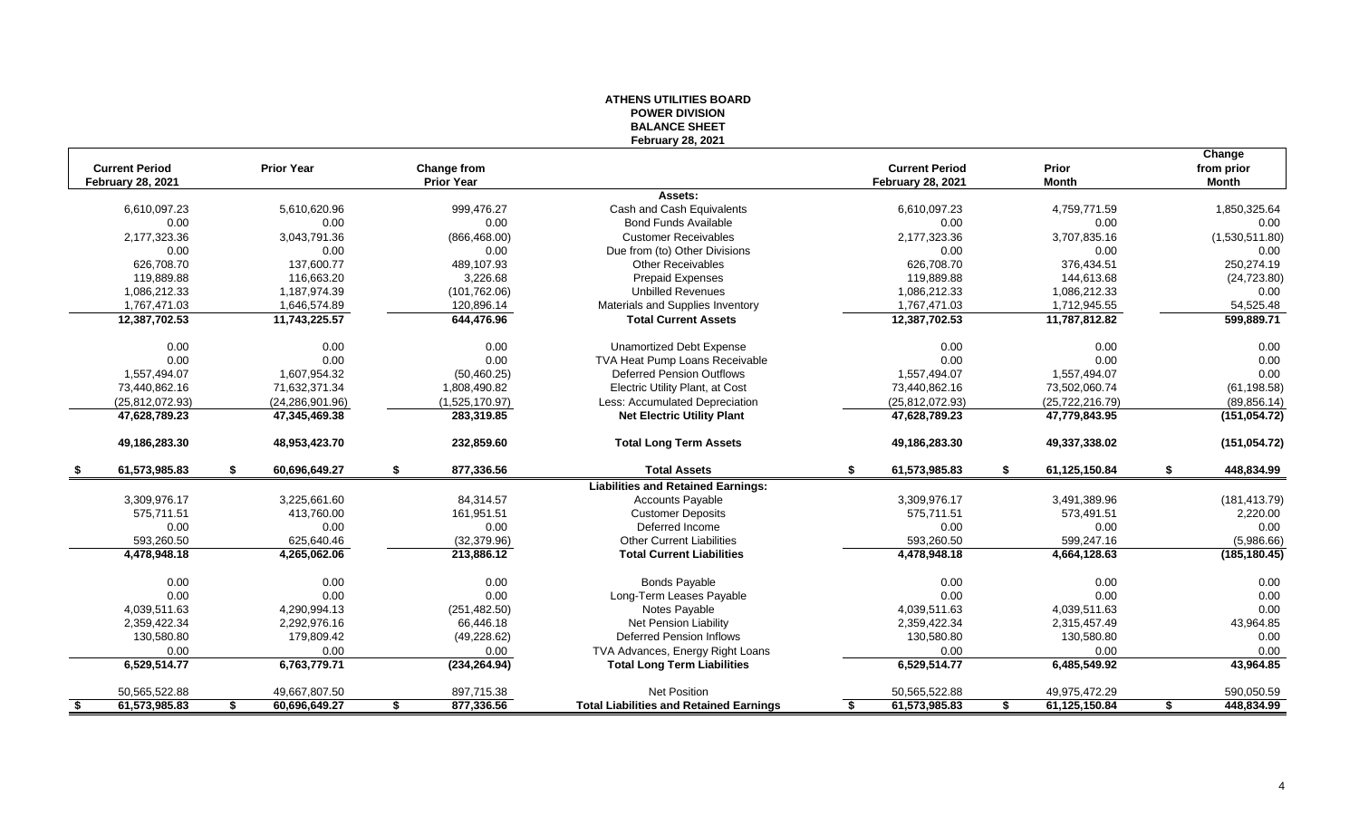|      |                                                   |                     |                                  | <b>BALANCE SHEET</b>                           |                                                   |                       |                            |
|------|---------------------------------------------------|---------------------|----------------------------------|------------------------------------------------|---------------------------------------------------|-----------------------|----------------------------|
|      |                                                   |                     |                                  | <b>February 28, 2021</b>                       |                                                   |                       |                            |
|      |                                                   |                     |                                  |                                                |                                                   |                       | Change                     |
|      | <b>Current Period</b><br><b>February 28, 2021</b> | <b>Prior Year</b>   | Change from<br><b>Prior Year</b> |                                                | <b>Current Period</b><br><b>February 28, 2021</b> | Prior<br><b>Month</b> | from prior<br><b>Month</b> |
|      |                                                   |                     |                                  | Assets:                                        |                                                   |                       |                            |
|      | 6,610,097.23                                      | 5,610,620.96        | 999,476.27                       | Cash and Cash Equivalents                      | 6,610,097.23                                      | 4,759,771.59          | 1,850,325.64               |
|      | 0.00                                              | 0.00                | 0.00                             | <b>Bond Funds Available</b>                    | 0.00                                              | 0.00                  | 0.00                       |
|      | 2,177,323.36                                      | 3,043,791.36        | (866, 468.00)                    | <b>Customer Receivables</b>                    | 2,177,323.36                                      | 3,707,835.16          | (1,530,511.80)             |
|      | 0.00                                              | 0.00                | 0.00                             | Due from (to) Other Divisions                  | 0.00                                              | 0.00                  | 0.00                       |
|      | 626.708.70                                        | 137.600.77          | 489.107.93                       | <b>Other Receivables</b>                       | 626.708.70                                        | 376.434.51            | 250,274.19                 |
|      | 119,889.88                                        | 116,663.20          | 3,226.68                         | <b>Prepaid Expenses</b>                        | 119,889.88                                        | 144,613.68            | (24, 723.80)               |
|      | 1,086,212.33                                      | 1,187,974.39        | (101, 762.06)                    | <b>Unbilled Revenues</b>                       | 1,086,212.33                                      | 1,086,212.33          | 0.00                       |
|      | 1,767,471.03                                      | 1,646,574.89        | 120,896.14                       | Materials and Supplies Inventory               | 1,767,471.03                                      | 1,712,945.55          | 54,525.48                  |
|      | 12,387,702.53                                     | 11,743,225.57       | 644,476.96                       | <b>Total Current Assets</b>                    | 12,387,702.53                                     | 11,787,812.82         | 599,889.71                 |
|      |                                                   |                     |                                  |                                                |                                                   |                       |                            |
|      | 0.00                                              | 0.00                | 0.00                             | <b>Unamortized Debt Expense</b>                | 0.00                                              | 0.00                  | 0.00                       |
|      | 0.00                                              | 0.00                | 0.00                             | TVA Heat Pump Loans Receivable                 | 0.00                                              | 0.00                  | 0.00                       |
|      | 1,557,494.07                                      | 1,607,954.32        | (50, 460.25)                     | <b>Deferred Pension Outflows</b>               | 1,557,494.07                                      | 1,557,494.07          | 0.00                       |
|      | 73,440,862.16                                     | 71,632,371.34       | 1,808,490.82                     | <b>Electric Utility Plant, at Cost</b>         | 73,440,862.16                                     | 73,502,060.74         | (61, 198.58)               |
|      | (25,812,072.93)                                   | (24, 286, 901.96)   | (1,525,170.97)                   | Less: Accumulated Depreciation                 | (25, 812, 072.93)                                 | (25, 722, 216.79)     | (89, 856.14)               |
|      | 47,628,789.23                                     | 47,345,469.38       | 283,319.85                       | <b>Net Electric Utility Plant</b>              | 47,628,789.23                                     | 47,779,843.95         | (151, 054.72)              |
|      | 49,186,283.30                                     | 48,953,423.70       | 232,859.60                       | <b>Total Long Term Assets</b>                  | 49,186,283.30                                     | 49,337,338.02         | (151, 054.72)              |
|      | 61,573,985.83                                     | \$<br>60,696,649.27 | \$<br>877,336.56                 | <b>Total Assets</b>                            | \$<br>61,573,985.83                               | \$<br>61,125,150.84   | \$<br>448,834.99           |
|      |                                                   |                     |                                  | <b>Liabilities and Retained Earnings:</b>      |                                                   |                       |                            |
|      | 3,309,976.17                                      | 3,225,661.60        | 84,314.57                        | <b>Accounts Payable</b>                        | 3,309,976.17                                      | 3,491,389.96          | (181, 413.79)              |
|      | 575,711.51                                        | 413,760.00          | 161,951.51                       | <b>Customer Deposits</b>                       | 575,711.51                                        | 573,491.51            | 2,220.00                   |
|      | 0.00                                              | 0.00                | 0.00                             | Deferred Income                                | 0.00                                              | 0.00                  | 0.00                       |
|      | 593,260.50                                        | 625,640.46          | (32, 379.96)                     | <b>Other Current Liabilities</b>               | 593,260.50                                        | 599,247.16            | (5,986.66)                 |
|      | 4,478,948.18                                      | 4,265,062.06        | 213,886.12                       | <b>Total Current Liabilities</b>               | 4,478,948.18                                      | 4,664,128.63          | (185, 180.45)              |
|      | 0.00                                              | 0.00                | 0.00                             | <b>Bonds Payable</b>                           | 0.00                                              | 0.00                  | 0.00                       |
|      | 0.00                                              | 0.00                | 0.00                             | Long-Term Leases Payable                       | 0.00                                              | 0.00                  | 0.00                       |
|      | 4,039,511.63                                      | 4,290,994.13        | (251, 482.50)                    | Notes Payable                                  | 4,039,511.63                                      | 4,039,511.63          | 0.00                       |
|      | 2,359,422.34                                      | 2,292,976.16        | 66,446.18                        | <b>Net Pension Liability</b>                   | 2,359,422.34                                      | 2,315,457.49          | 43,964.85                  |
|      | 130,580.80                                        | 179,809.42          | (49, 228.62)                     | <b>Deferred Pension Inflows</b>                | 130,580.80                                        | 130,580.80            | 0.00                       |
|      | 0.00                                              | 0.00                | 0.00                             | TVA Advances, Energy Right Loans               | 0.00                                              | 0.00                  | $0.00\,$                   |
|      | 6,529,514.77                                      | 6,763,779.71        | (234, 264.94)                    | <b>Total Long Term Liabilities</b>             | 6,529,514.77                                      | 6,485,549.92          | 43,964.85                  |
|      | 50,565,522.88                                     | 49,667,807.50       | 897,715.38                       | <b>Net Position</b>                            | 50,565,522.88                                     | 49,975,472.29         | 590,050.59                 |
| - \$ | 61,573,985.83                                     | \$<br>60,696,649.27 | \$<br>877,336.56                 | <b>Total Liabilities and Retained Earnings</b> | 61,573,985.83                                     | \$<br>61,125,150.84   | \$<br>448,834.99           |

# **ATHENS UTILITIES BOARD POWER DIVISION**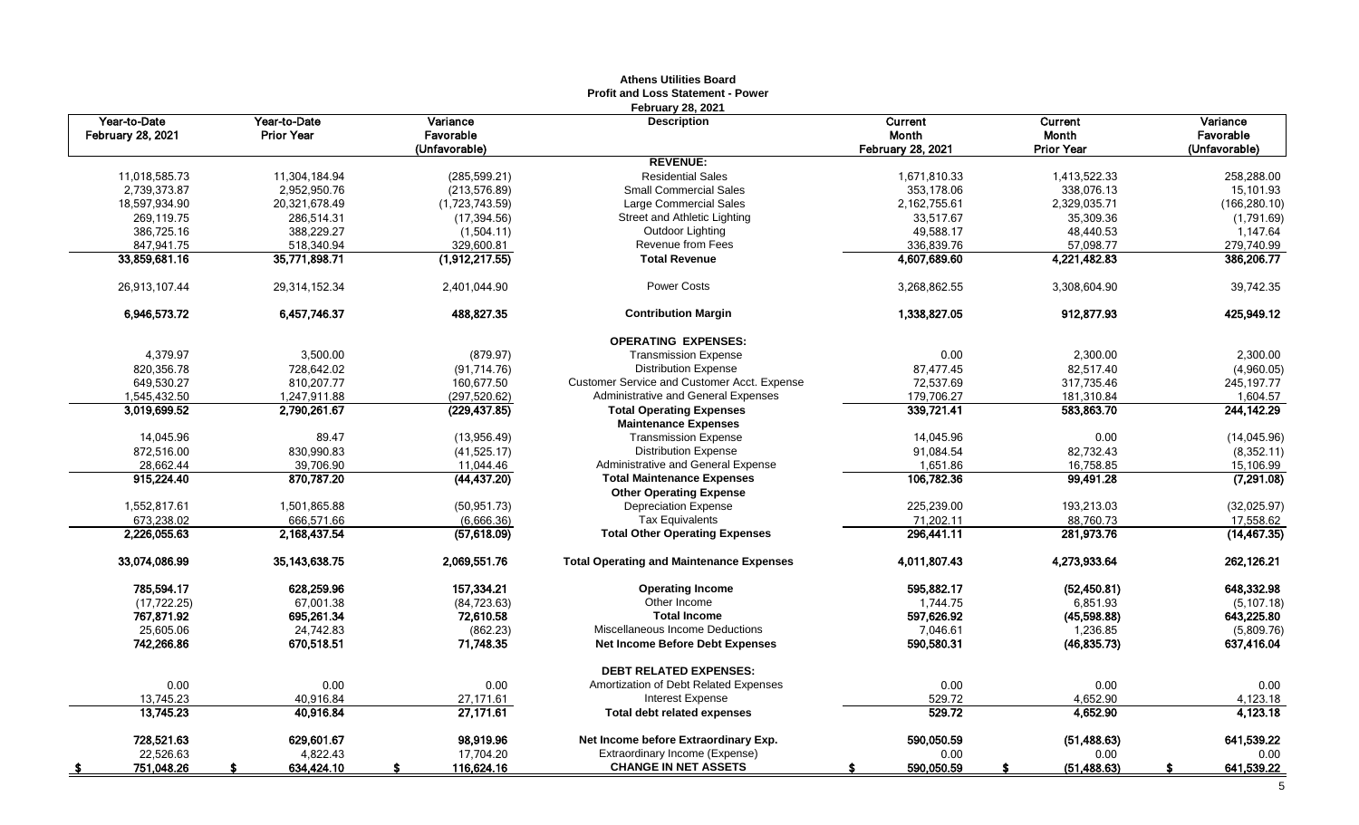|                                          |                                   |                                        | Athens Utilities Board<br><b>Profit and Loss Statement - Power</b> |                                       |                                       |                                        |
|------------------------------------------|-----------------------------------|----------------------------------------|--------------------------------------------------------------------|---------------------------------------|---------------------------------------|----------------------------------------|
| Year-to-Date<br><b>February 28, 2021</b> | Year-to-Date<br><b>Prior Year</b> | Variance<br>Favorable<br>(Unfavorable) | <b>February 28, 2021</b><br><b>Description</b>                     | Current<br>Month<br>February 28, 2021 | Current<br>Month<br><b>Prior Year</b> | Variance<br>Favorable<br>(Unfavorable) |
|                                          |                                   |                                        | <b>REVENUE:</b>                                                    |                                       |                                       |                                        |
| 11,018,585.73                            | 11,304,184.94                     | (285, 599.21)                          | <b>Residential Sales</b>                                           | 1,671,810.33                          | 1,413,522.33                          | 258,288.00                             |
| 2,739,373.87                             | 2,952,950.76                      | (213, 576.89)                          | <b>Small Commercial Sales</b>                                      | 353,178.06                            | 338,076.13                            | 15,101.93                              |
| 18,597,934.90                            | 20,321,678.49                     | (1,723,743.59)                         | Large Commercial Sales                                             | 2,162,755.61                          | 2,329,035.71                          | (166, 280.10)                          |
| 269,119.75                               | 286,514.31                        | (17, 394.56)                           | Street and Athletic Lighting                                       | 33,517.67                             | 35,309.36                             | (1,791.69)                             |
| 386,725.16                               | 388,229.27                        | (1,504.11)                             | Outdoor Lighting                                                   | 49,588.17                             | 48,440.53                             | 1,147.64                               |
| 847,941.75                               | 518,340.94                        | 329,600.81                             | <b>Revenue from Fees</b>                                           | 336,839.76                            | 57,098.77                             | 279,740.99                             |
| 33,859,681.16                            | 35,771,898.71                     | (1,912,217.55)                         | <b>Total Revenue</b>                                               | 4,607,689.60                          | 4,221,482.83                          | 386,206.77                             |
| 26,913,107.44                            | 29,314,152.34                     | 2,401,044.90                           | <b>Power Costs</b>                                                 | 3,268,862.55                          | 3,308,604.90                          | 39,742.35                              |
| 6,946,573.72                             | 6,457,746.37                      | 488,827.35                             | <b>Contribution Margin</b>                                         | 1,338,827.05                          | 912,877.93                            | 425,949.12                             |
|                                          |                                   |                                        | <b>OPERATING EXPENSES:</b>                                         |                                       |                                       |                                        |
| 4,379.97                                 | 3,500.00                          | (879.97)                               | <b>Transmission Expense</b>                                        | 0.00                                  | 2,300.00                              | 2,300.00                               |
| 820,356.78                               | 728,642.02                        | (91, 714.76)                           | <b>Distribution Expense</b>                                        | 87,477.45                             | 82,517.40                             | (4,960.05)                             |
| 649,530.27                               | 810,207.77                        | 160,677.50                             | Customer Service and Customer Acct. Expense                        | 72,537.69                             | 317,735.46                            | 245, 197. 77                           |
| 1,545,432.50                             | 1,247,911.88                      | (297, 520.62)                          | Administrative and General Expenses                                | 179,706.27                            | 181,310.84                            | 1,604.57                               |
| 3,019,699.52                             | 2,790,261.67                      | (229, 437.85)                          | <b>Total Operating Expenses</b>                                    | 339,721.41                            | 583,863.70                            | 244, 142. 29                           |
|                                          |                                   |                                        | <b>Maintenance Expenses</b>                                        |                                       |                                       |                                        |
| 14,045.96                                | 89.47                             | (13,956.49)                            | <b>Transmission Expense</b>                                        | 14,045.96                             | 0.00                                  | (14,045.96)                            |
| 872,516.00                               | 830,990.83                        | (41,525.17)                            | <b>Distribution Expense</b>                                        | 91,084.54                             | 82,732.43                             | (8,352.11)                             |
| 28,662.44                                | 39.706.90                         | 11,044.46                              | Administrative and General Expense                                 | 1,651.86                              | 16,758.85                             | 15,106.99                              |
| 915,224.40                               | 870,787.20                        | (44, 437.20)                           | <b>Total Maintenance Expenses</b>                                  | 106,782.36                            | 99,491.28                             | (7, 291.08)                            |
|                                          |                                   |                                        | <b>Other Operating Expense</b>                                     |                                       |                                       |                                        |
| 1,552,817.61                             | 1,501,865.88                      | (50, 951, 73)                          | <b>Depreciation Expense</b>                                        | 225,239.00                            | 193,213.03                            | (32,025.97)                            |
| 673,238.02                               | 666,571.66                        | (6,666.36)                             | <b>Tax Equivalents</b>                                             | 71,202.11                             | 88,760.73                             | 17,558.62                              |
| 2.226.055.63                             | 2,168,437.54                      | (57,618.09)                            | <b>Total Other Operating Expenses</b>                              | 296,441.11                            | 281,973.76                            | (14, 467.35)                           |
| 33,074,086.99                            | 35, 143, 638. 75                  | 2,069,551.76                           | <b>Total Operating and Maintenance Expenses</b>                    | 4.011.807.43                          | 4,273,933.64                          | 262,126.21                             |
| 785,594.17                               | 628,259.96                        | 157,334.21                             | <b>Operating Income</b>                                            | 595,882.17                            | (52, 450.81)                          | 648,332.98                             |
| (17, 722.25)                             | 67,001.38                         | (84, 723.63)                           | Other Income                                                       | 1,744.75                              | 6,851.93                              | (5, 107.18)                            |
| 767,871.92                               | 695,261.34                        | 72,610.58                              | <b>Total Income</b>                                                | 597,626.92                            | (45,598.88)                           | 643,225.80                             |
| 25,605.06                                | 24.742.83                         | (862.23)                               | Miscellaneous Income Deductions                                    | 7,046.61                              | 1,236.85                              | (5,809.76)                             |
| 742,266.86                               | 670,518.51                        | 71,748.35                              | Net Income Before Debt Expenses                                    | 590,580.31                            | (46, 835.73)                          | 637,416.04                             |
|                                          |                                   |                                        | <b>DEBT RELATED EXPENSES:</b>                                      |                                       |                                       |                                        |
| 0.00                                     | 0.00                              | 0.00                                   | Amortization of Debt Related Expenses                              | 0.00                                  | 0.00                                  | 0.00                                   |
| 13,745.23                                | 40,916.84                         | 27,171.61                              | <b>Interest Expense</b>                                            | 529.72                                | 4,652.90                              | 4,123.18                               |
| 13,745.23                                | 40,916.84                         | 27,171.61                              | <b>Total debt related expenses</b>                                 | 529.72                                | 4,652.90                              | 4,123.18                               |
| 728,521.63                               | 629,601.67                        | 98,919.96                              | Net Income before Extraordinary Exp.                               | 590,050.59                            | (51, 488.63)                          | 641,539.22                             |
| 22,526.63                                | 4,822.43                          | 17,704.20                              | Extraordinary Income (Expense)                                     | 0.00                                  | 0.00                                  | 0.00                                   |
| 751,048.26                               | 634,424.10                        | 116,624.16                             | <b>CHANGE IN NET ASSETS</b>                                        | 590,050.59                            | (51, 488.63)                          | 641,539.22                             |

# **Athens Utilities Board**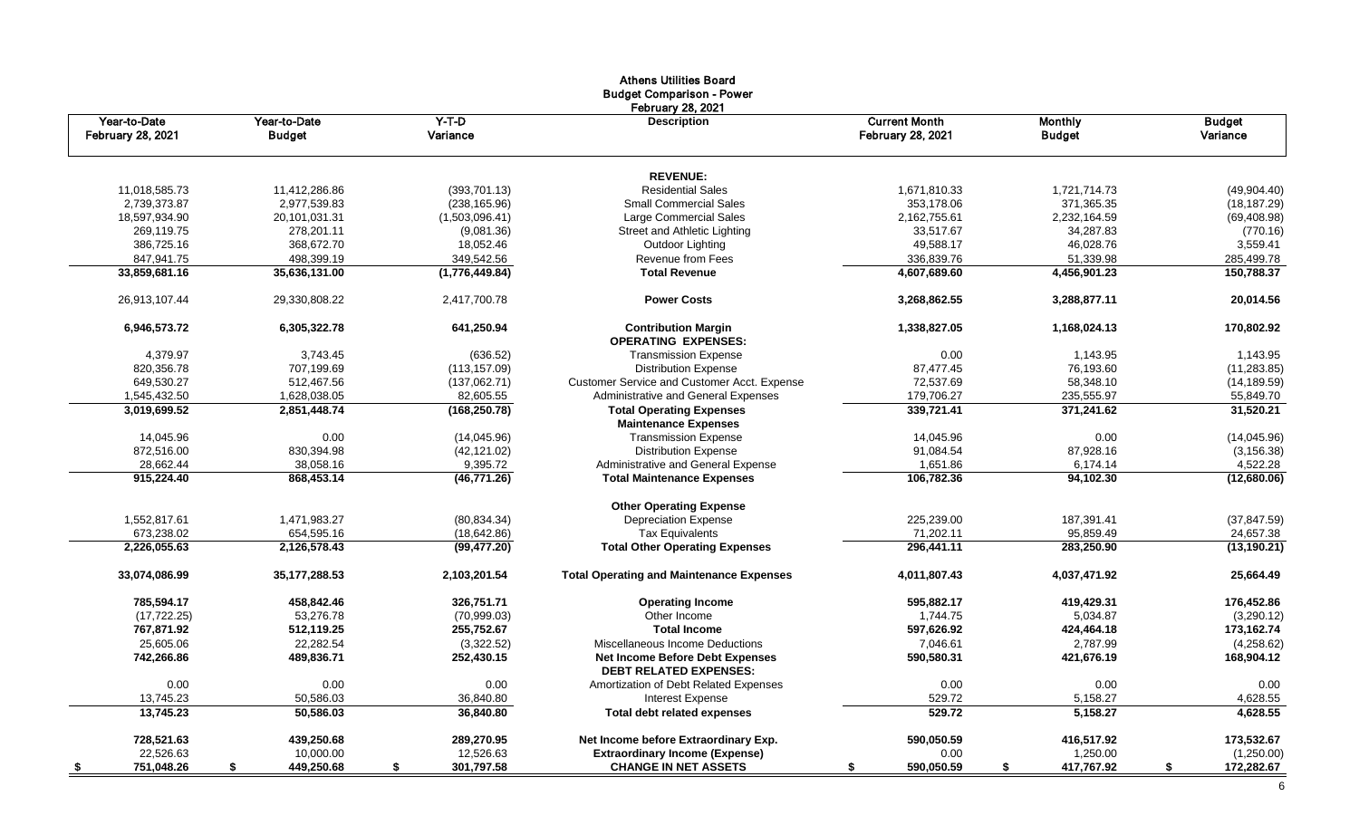|                          |                  |                  | <b>Athens Utilities Board</b><br><b>Budget Comparison - Power</b><br><b>February 28, 2021</b> |                          |                  |                        |
|--------------------------|------------------|------------------|-----------------------------------------------------------------------------------------------|--------------------------|------------------|------------------------|
| Year-to-Date             | Year-to-Date     | $Y-T-D$          | <b>Description</b>                                                                            | <b>Current Month</b>     | <b>Monthly</b>   | <b>Budget</b>          |
| <b>February 28, 2021</b> | <b>Budget</b>    | Variance         |                                                                                               | <b>February 28, 2021</b> | <b>Budget</b>    | Variance               |
|                          |                  |                  | <b>REVENUE:</b>                                                                               |                          |                  |                        |
| 11,018,585.73            | 11,412,286.86    | (393,701.13)     | <b>Residential Sales</b>                                                                      | 1,671,810.33             | 1,721,714.73     | (49,904.40)            |
| 2,739,373.87             | 2,977,539.83     | (238, 165.96)    | <b>Small Commercial Sales</b>                                                                 | 353,178.06               | 371,365.35       | (18, 187.29)           |
| 18,597,934.90            | 20,101,031.31    | (1,503,096.41)   | Large Commercial Sales                                                                        | 2,162,755.61             | 2,232,164.59     | (69, 408.98)           |
| 269.119.75               | 278,201.11       | (9,081.36)       | Street and Athletic Lighting                                                                  | 33,517.67                | 34,287.83        | (770.16)               |
| 386,725.16               | 368,672.70       | 18,052.46        | Outdoor Lighting                                                                              | 49,588.17                | 46,028.76        | 3,559.41               |
| 847,941.75               | 498,399.19       | 349,542.56       | Revenue from Fees                                                                             | 336,839.76               | 51,339.98        | 285,499.78             |
| 33,859,681.16            | 35,636,131.00    | (1,776,449.84)   | <b>Total Revenue</b>                                                                          | 4,607,689.60             | 4,456,901.23     | 150,788.37             |
| 26,913,107.44            | 29,330,808.22    | 2,417,700.78     | <b>Power Costs</b>                                                                            | 3,268,862.55             | 3,288,877.11     | 20,014.56              |
| 6,946,573.72             | 6,305,322.78     | 641,250.94       | <b>Contribution Margin</b>                                                                    | 1,338,827.05             | 1,168,024.13     | 170,802.92             |
|                          |                  |                  | <b>OPERATING EXPENSES:</b>                                                                    |                          |                  |                        |
| 4.379.97                 | 3.743.45         | (636.52)         | <b>Transmission Expense</b>                                                                   | 0.00                     | 1,143.95         | 1,143.95               |
| 820.356.78               | 707.199.69       | (113, 157.09)    | <b>Distribution Expense</b>                                                                   | 87.477.45                | 76,193.60        | (11, 283.85)           |
| 649.530.27               | 512,467.56       | (137,062.71)     | Customer Service and Customer Acct. Expense                                                   | 72,537.69                | 58,348.10        | (14, 189.59)           |
| 1,545,432.50             | 1,628,038.05     | 82,605.55        | Administrative and General Expenses<br><b>Total Operating Expenses</b>                        | 179,706.27<br>339,721.41 | 235,555.97       | 55,849.70<br>31,520.21 |
| 3,019,699.52             | 2,851,448.74     | (168, 250.78)    | <b>Maintenance Expenses</b>                                                                   |                          | 371,241.62       |                        |
| 14,045.96                | 0.00             | (14,045.96)      | <b>Transmission Expense</b>                                                                   | 14,045.96                | 0.00             | (14,045.96)            |
| 872,516.00               | 830,394.98       | (42, 121.02)     | <b>Distribution Expense</b>                                                                   | 91,084.54                | 87,928.16        | (3, 156.38)            |
| 28,662.44                | 38,058.16        | 9,395.72         | Administrative and General Expense                                                            | 1,651.86                 | 6,174.14         | 4,522.28               |
| 915,224.40               | 868,453.14       | (46,771.26)      | <b>Total Maintenance Expenses</b>                                                             | 106,782.36               | 94,102.30        | (12,680.06)            |
|                          |                  |                  | <b>Other Operating Expense</b>                                                                |                          |                  |                        |
| 1,552,817.61             | 1,471,983.27     | (80, 834.34)     | <b>Depreciation Expense</b>                                                                   | 225,239.00               | 187,391.41       | (37, 847.59)           |
| 673,238.02               | 654,595.16       | (18, 642.86)     | <b>Tax Equivalents</b>                                                                        | 71,202.11                | 95,859.49        | 24,657.38              |
| 2,226,055.63             | 2,126,578.43     | (99, 477.20)     | <b>Total Other Operating Expenses</b>                                                         | 296,441.11               | 283,250.90       | (13, 190.21)           |
| 33,074,086.99            | 35, 177, 288.53  | 2,103,201.54     | <b>Total Operating and Maintenance Expenses</b>                                               | 4,011,807.43             | 4,037,471.92     | 25,664.49              |
| 785,594.17               | 458,842.46       | 326,751.71       | <b>Operating Income</b>                                                                       | 595.882.17               | 419,429.31       | 176,452.86             |
| (17, 722.25)             | 53,276.78        | (70,999.03)      | Other Income                                                                                  | 1.744.75                 | 5,034.87         | (3,290.12)             |
| 767,871.92               | 512,119.25       | 255,752.67       | <b>Total Income</b>                                                                           | 597,626.92               | 424,464.18       | 173,162.74             |
| 25,605.06                | 22,282.54        | (3,322.52)       | Miscellaneous Income Deductions                                                               | 7,046.61                 | 2,787.99         | (4,258.62)             |
| 742,266.86               | 489,836.71       | 252,430.15       | <b>Net Income Before Debt Expenses</b><br><b>DEBT RELATED EXPENSES:</b>                       | 590,580.31               | 421,676.19       | 168,904.12             |
| 0.00                     | 0.00             | 0.00             | Amortization of Debt Related Expenses                                                         | 0.00                     | 0.00             | 0.00                   |
| 13,745.23                | 50,586.03        | 36,840.80        | Interest Expense                                                                              | 529.72                   | 5,158.27         | 4,628.55               |
| 13,745.23                | 50,586.03        | 36.840.80        | Total debt related expenses                                                                   | 529.72                   | 5,158.27         | 4.628.55               |
| 728,521.63               | 439,250.68       | 289,270.95       | Net Income before Extraordinary Exp.                                                          | 590,050.59               | 416,517.92       | 173,532.67             |
| 22,526.63                | 10,000.00        | 12,526.63        | <b>Extraordinary Income (Expense)</b>                                                         | 0.00                     | 1,250.00         | (1,250.00)             |
| 751,048.26<br><u>\$</u>  | 449,250.68<br>\$ | 301,797.58<br>\$ | <b>CHANGE IN NET ASSETS</b>                                                                   | 590,050.59<br>S          | 417,767.92<br>\$ | 172,282.67<br>S.       |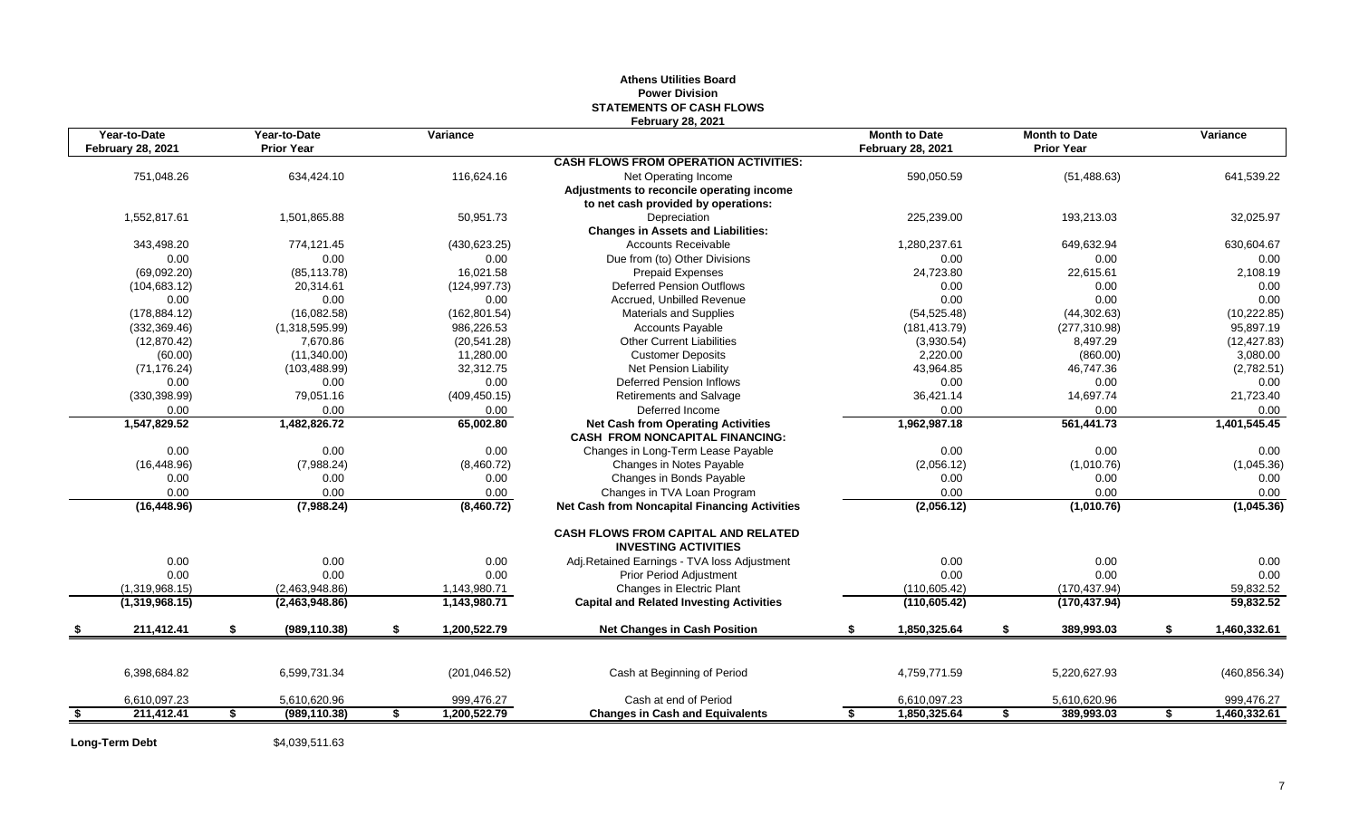# **Athens Utilities Board Power Division STATEMENTS OF CASH FLOWS February 28, 2021**

|      | Year-to-Date             | Year-to-Date        |    | Variance      |                                                      | <b>Month to Date</b>     |    | <b>Month to Date</b> | Variance           |
|------|--------------------------|---------------------|----|---------------|------------------------------------------------------|--------------------------|----|----------------------|--------------------|
|      | <b>February 28, 2021</b> | <b>Prior Year</b>   |    |               |                                                      | <b>February 28, 2021</b> |    | <b>Prior Year</b>    |                    |
|      |                          |                     |    |               | <b>CASH FLOWS FROM OPERATION ACTIVITIES:</b>         |                          |    |                      |                    |
|      | 751,048.26               | 634,424.10          |    | 116,624.16    | Net Operating Income                                 | 590,050.59               |    | (51, 488.63)         | 641,539.22         |
|      |                          |                     |    |               | Adjustments to reconcile operating income            |                          |    |                      |                    |
|      | 1,552,817.61             | 1,501,865.88        |    | 50,951.73     | to net cash provided by operations:<br>Depreciation  | 225,239.00               |    | 193,213.03           | 32,025.97          |
|      |                          |                     |    |               | <b>Changes in Assets and Liabilities:</b>            |                          |    |                      |                    |
|      | 343,498.20               | 774,121.45          |    | (430, 623.25) | Accounts Receivable                                  | 1,280,237.61             |    | 649,632.94           | 630,604.67         |
|      | 0.00                     | 0.00                |    | 0.00          | Due from (to) Other Divisions                        | 0.00                     |    | 0.00                 | 0.00               |
|      | (69,092.20)              | (85, 113.78)        |    | 16,021.58     | <b>Prepaid Expenses</b>                              | 24,723.80                |    | 22,615.61            | 2,108.19           |
|      | (104, 683.12)            | 20,314.61           |    | (124, 997.73) | <b>Deferred Pension Outflows</b>                     | 0.00                     |    | 0.00                 | 0.00               |
|      | 0.00                     | 0.00                |    | 0.00          | Accrued, Unbilled Revenue                            | 0.00                     |    | 0.00                 | 0.00               |
|      | (178, 884.12)            | (16,082.58)         |    | (162, 801.54) | <b>Materials and Supplies</b>                        | (54, 525.48)             |    | (44, 302.63)         | (10, 222.85)       |
|      | (332, 369.46)            | (1,318,595.99)      |    | 986,226.53    | <b>Accounts Payable</b>                              | (181, 413.79)            |    | (277, 310.98)        | 95,897.19          |
|      | (12, 870.42)             | 7,670.86            |    | (20, 541.28)  | <b>Other Current Liabilities</b>                     | (3,930.54)               |    | 8,497.29             | (12, 427.83)       |
|      | (60.00)                  | (11,340.00)         |    | 11,280.00     | <b>Customer Deposits</b>                             | 2,220.00                 |    | (860.00)             | 3,080.00           |
|      | (71, 176.24)             | (103, 488.99)       |    | 32,312.75     | Net Pension Liability                                | 43,964.85                |    | 46,747.36            | (2,782.51)         |
|      | 0.00                     | 0.00                |    | 0.00          | <b>Deferred Pension Inflows</b>                      | 0.00                     |    | 0.00                 | 0.00               |
|      | (330, 398.99)            | 79,051.16           |    | (409, 450.15) | <b>Retirements and Salvage</b>                       | 36,421.14                |    | 14,697.74            | 21,723.40          |
|      | 0.00                     | 0.00                |    | 0.00          | Deferred Income                                      | 0.00                     |    | 0.00                 | 0.00               |
|      | 1,547,829.52             | 1,482,826.72        |    | 65,002.80     | <b>Net Cash from Operating Activities</b>            | 1,962,987.18             |    | 561,441.73           | 1,401,545.45       |
|      |                          |                     |    |               | <b>CASH FROM NONCAPITAL FINANCING:</b>               |                          |    |                      |                    |
|      | 0.00                     | 0.00                |    | 0.00          | Changes in Long-Term Lease Payable                   | 0.00                     |    | 0.00                 | 0.00               |
|      | (16, 448.96)             | (7,988.24)          |    | (8,460.72)    | Changes in Notes Payable                             | (2,056.12)               |    | (1,010.76)           | (1,045.36)         |
|      | 0.00                     | 0.00                |    | 0.00          | Changes in Bonds Payable                             | 0.00                     |    | 0.00                 | 0.00               |
|      | 0.00                     | 0.00                |    | 0.00          | Changes in TVA Loan Program                          | 0.00                     |    | 0.00                 | 0.00               |
|      | (16, 448.96)             | (7,988.24)          |    | (8,460.72)    | <b>Net Cash from Noncapital Financing Activities</b> | (2,056.12)               |    | (1,010.76)           | (1,045.36)         |
|      |                          |                     |    |               | <b>CASH FLOWS FROM CAPITAL AND RELATED</b>           |                          |    |                      |                    |
|      |                          |                     |    |               | <b>INVESTING ACTIVITIES</b>                          |                          |    |                      |                    |
|      | 0.00                     | 0.00                |    | 0.00          | Adj.Retained Earnings - TVA loss Adjustment          | 0.00                     |    | 0.00                 | 0.00               |
|      | 0.00                     | 0.00                |    | 0.00          | <b>Prior Period Adjustment</b>                       | 0.00                     |    | 0.00                 | 0.00               |
|      | (1,319,968.15)           | (2,463,948.86)      |    | 1,143,980.71  | Changes in Electric Plant                            | (110, 605.42)            |    | (170, 437.94)        | 59,832.52          |
|      | (1,319,968.15)           | (2,463,948.86)      |    | 1,143,980.71  | <b>Capital and Related Investing Activities</b>      | (110, 605.42)            |    | (170, 437.94)        | 59,832.52          |
|      | 211,412.41               | \$<br>(989, 110.38) | S. | 1,200,522.79  | <b>Net Changes in Cash Position</b>                  | \$<br>1,850,325.64       | S. | 389,993.03           | \$<br>1,460,332.61 |
|      |                          |                     |    |               |                                                      |                          |    |                      |                    |
|      | 6,398,684.82             | 6,599,731.34        |    | (201, 046.52) | Cash at Beginning of Period                          | 4,759,771.59             |    | 5,220,627.93         | (460, 856.34)      |
|      | 6,610,097.23             | 5,610,620.96        |    | 999,476.27    | Cash at end of Period                                | 6,610,097.23             |    | 5,610,620.96         | 999,476.27         |
| - \$ | 211,412.41               | \$<br>(989, 110.38) | \$ | 1,200,522.79  | <b>Changes in Cash and Equivalents</b>               | \$<br>1,850,325.64       | \$ | 389,993.03           | \$<br>1,460,332.61 |

**Long-Term Debt** \$4,039,511.63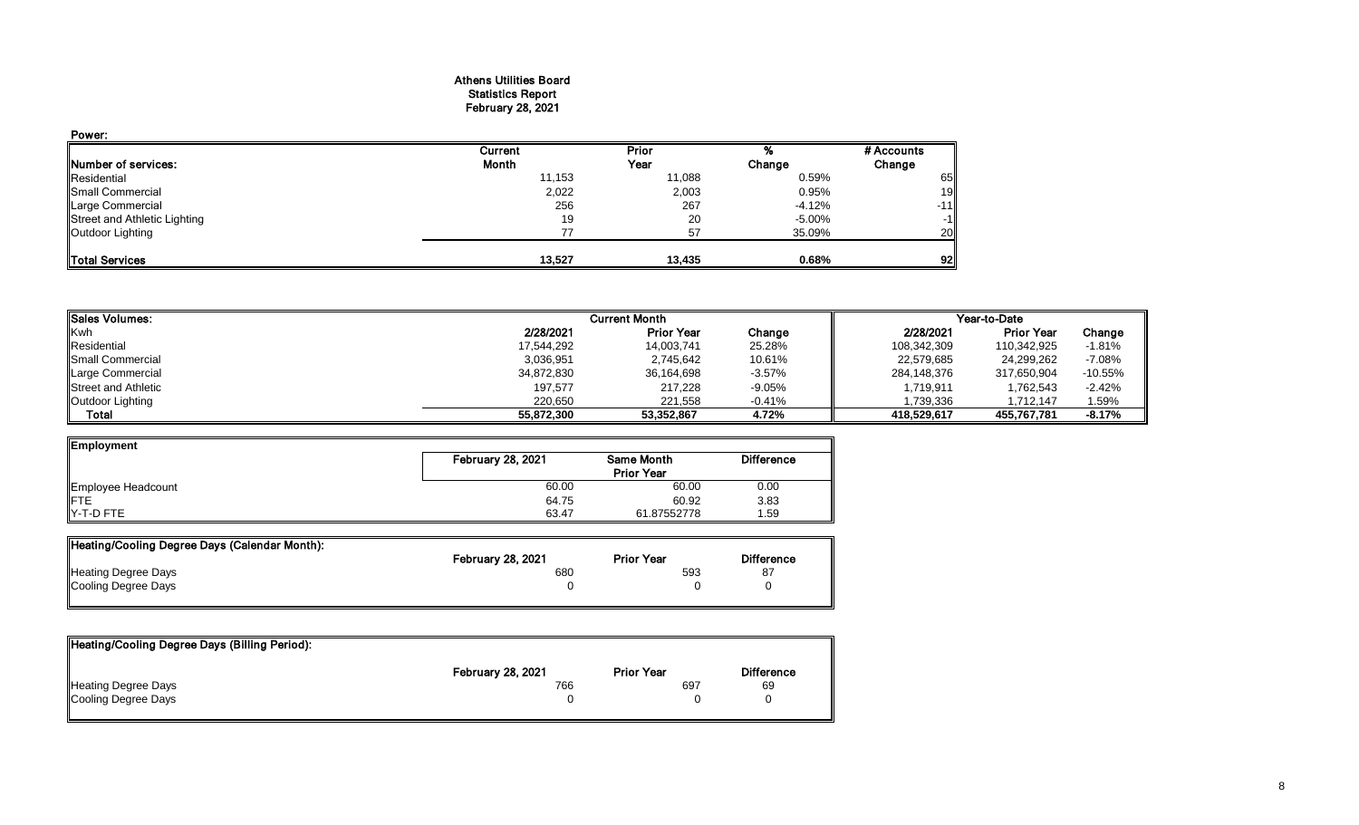## Athens Utilities Board Statistics Report February 28, 2021

| Power:                       |         |        |          |            |
|------------------------------|---------|--------|----------|------------|
|                              | Current | Prior  |          | # Accounts |
| Number of services:          | Month   | Year   | Change   | Change     |
| Residential                  | 11,153  | 11,088 | 0.59%    | 65         |
| Small Commercial             | 2,022   | 2,003  | 0.95%    | 19         |
| Large Commercial             | 256     | 267    | $-4.12%$ | $-11$      |
| Street and Athletic Lighting | 19      | 20     | -5.00%   | $-1$       |
| Outdoor Lighting             | 77      | 57     | 35.09%   | 20         |
| <b>ITotal Services</b>       | 13.527  | 13,435 | 0.68%    | 92         |

| <b>I</b> Sales Volumes:    |            | <b>Current Month</b> |          |             | Year-to-Date      |           |
|----------------------------|------------|----------------------|----------|-------------|-------------------|-----------|
| <b>Kwh</b>                 | 2/28/2021  | <b>Prior Year</b>    | Change   | 2/28/2021   | <b>Prior Year</b> | Change    |
| Residential                | 17,544,292 | 14,003,741           | 25.28%   | 108,342,309 | 110,342,925       | $-1.81%$  |
| <b>I</b> Small Commercial  | 3,036,951  | 2,745,642            | 10.61%   | 22,579,685  | 24,299,262        | $-7.08%$  |
| Large Commercial           | 34,872,830 | 36,164,698           | $-3.57%$ | 284,148,376 | 317,650,904       | $-10.55%$ |
| <b>Street and Athletic</b> | 197,577    | 217,228              | $-9.05%$ | 1,719,911   | 1,762,543         | -2.42%    |
| Outdoor Lighting           | 220,650    | 221,558              | $-0.41%$ | 1,739,336   | 1,712,147         | 1.59%     |
| Total                      | 55.872.300 | 53.352.867           | 4.72%    | 418.529.617 | 455.767.781       | $-8.17%$  |

| Employment                |                          |                   |                   |
|---------------------------|--------------------------|-------------------|-------------------|
|                           | <b>February 28, 2021</b> | Same Month        | <b>Difference</b> |
|                           |                          | <b>Prior Year</b> |                   |
| Employee Headcount<br>FTE | 60.00                    | 60.00             | 0.00              |
|                           | 64.75                    | 60.92             | 3.83              |
| Y-T-D FTE                 | 63.47                    | 61.87552778       | .59               |

| Heating/Cooling Degree Days (Calendar Month): |                          |                   |                   |
|-----------------------------------------------|--------------------------|-------------------|-------------------|
|                                               | <b>February 28, 2021</b> | <b>Prior Year</b> | <b>Difference</b> |
| <b>Heating Degree Days</b>                    | 680                      | 593               | 87                |
| Cooling Degree Days                           |                          |                   |                   |

| Heating/Cooling Degree Days (Billing Period): |                          |                   |                   |
|-----------------------------------------------|--------------------------|-------------------|-------------------|
|                                               | <b>February 28, 2021</b> | <b>Prior Year</b> | <b>Difference</b> |
| <b>Heating Degree Days</b>                    | 766                      | 697               | 69                |
| Cooling Degree Days                           |                          |                   |                   |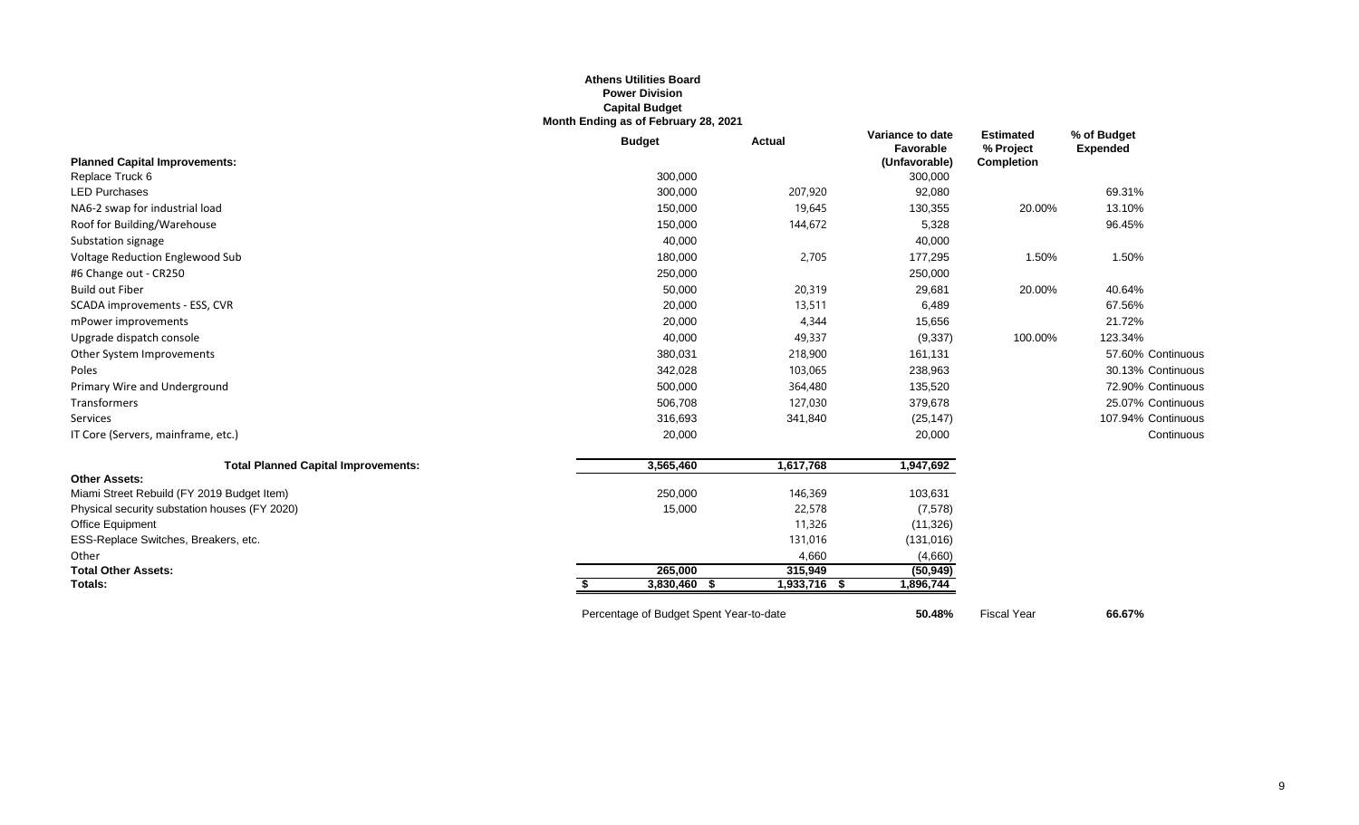# **Athens Utilities Board Power Division Capital Budget Month Ending as of February 28, 2021**

|                                               | <b>Budget</b>                           | <b>Actual</b> | Variance to date<br>Favorable | <b>Estimated</b><br>% Project | % of Budget<br><b>Expended</b> |
|-----------------------------------------------|-----------------------------------------|---------------|-------------------------------|-------------------------------|--------------------------------|
| <b>Planned Capital Improvements:</b>          |                                         |               | (Unfavorable)                 | Completion                    |                                |
| Replace Truck 6                               | 300,000                                 |               | 300,000                       |                               |                                |
| <b>LED Purchases</b>                          | 300,000                                 | 207,920       | 92,080                        |                               | 69.31%                         |
| NA6-2 swap for industrial load                | 150,000                                 | 19,645        | 130,355                       | 20.00%                        | 13.10%                         |
| Roof for Building/Warehouse                   | 150,000                                 | 144,672       | 5,328                         |                               | 96.45%                         |
| Substation signage                            | 40,000                                  |               | 40,000                        |                               |                                |
| Voltage Reduction Englewood Sub               | 180,000                                 | 2,705         | 177,295                       | 1.50%                         | 1.50%                          |
| #6 Change out - CR250                         | 250,000                                 |               | 250,000                       |                               |                                |
| <b>Build out Fiber</b>                        | 50,000                                  | 20,319        | 29,681                        | 20.00%                        | 40.64%                         |
| SCADA improvements - ESS, CVR                 | 20,000                                  | 13,511        | 6,489                         |                               | 67.56%                         |
| mPower improvements                           | 20,000                                  | 4,344         | 15,656                        |                               | 21.72%                         |
| Upgrade dispatch console                      | 40,000                                  | 49,337        | (9, 337)                      | 100.00%                       | 123.34%                        |
| Other System Improvements                     | 380,031                                 | 218,900       | 161,131                       |                               | 57.60% Continuous              |
| Poles                                         | 342,028                                 | 103,065       | 238,963                       |                               | 30.13% Continuous              |
| Primary Wire and Underground                  | 500,000                                 | 364,480       | 135,520                       |                               | 72.90% Continuous              |
| Transformers                                  | 506,708                                 | 127,030       | 379,678                       |                               | 25.07% Continuous              |
| Services                                      | 316,693                                 | 341,840       | (25, 147)                     |                               | 107.94% Continuous             |
| IT Core (Servers, mainframe, etc.)            | 20,000                                  |               | 20,000                        |                               | Continuous                     |
| <b>Total Planned Capital Improvements:</b>    | 3,565,460                               | 1,617,768     | 1,947,692                     |                               |                                |
| <b>Other Assets:</b>                          |                                         |               |                               |                               |                                |
| Miami Street Rebuild (FY 2019 Budget Item)    | 250,000                                 | 146,369       | 103,631                       |                               |                                |
| Physical security substation houses (FY 2020) | 15,000                                  | 22,578        | (7,578)                       |                               |                                |
| Office Equipment                              |                                         | 11,326        | (11, 326)                     |                               |                                |
| ESS-Replace Switches, Breakers, etc.          |                                         | 131,016       | (131, 016)                    |                               |                                |
| Other                                         |                                         | 4,660         | (4,660)                       |                               |                                |
| <b>Total Other Assets:</b>                    | 265,000                                 | 315,949       | (50, 949)                     |                               |                                |
| Totals:                                       | 3,830,460 \$<br>S.                      | 1,933,716 \$  | 1,896,744                     |                               |                                |
|                                               | Percentage of Budget Spent Year-to-date |               | 50.48%                        | <b>Fiscal Year</b>            | 66.67%                         |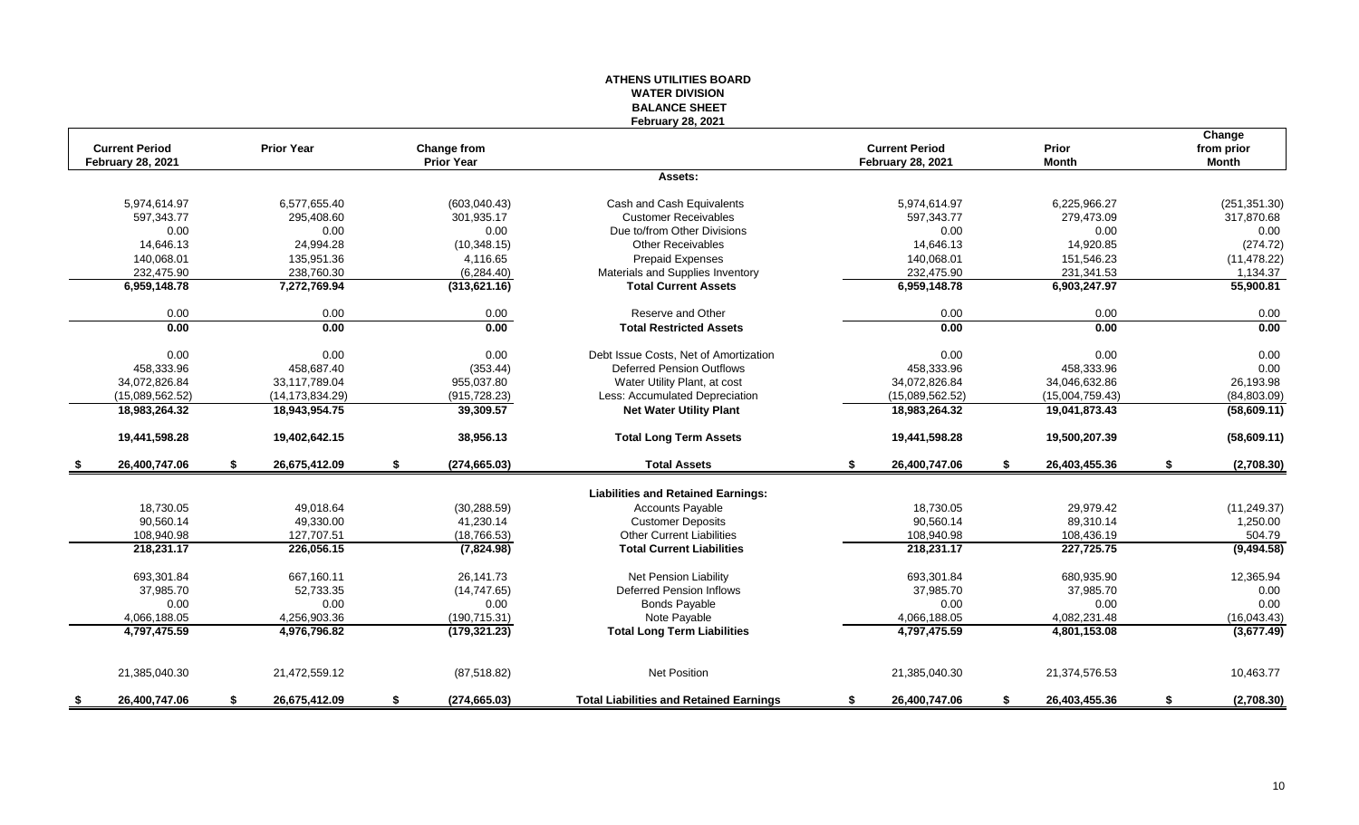|                                                   |                            |                                         | <b>WATER DIVISION</b><br><b>BALANCE SHEET</b>            |                                                   |                              |                                      |
|---------------------------------------------------|----------------------------|-----------------------------------------|----------------------------------------------------------|---------------------------------------------------|------------------------------|--------------------------------------|
| <b>Current Period</b><br><b>February 28, 2021</b> | <b>Prior Year</b>          | <b>Change from</b><br><b>Prior Year</b> | <b>February 28, 2021</b>                                 | <b>Current Period</b><br><b>February 28, 2021</b> | <b>Prior</b><br><b>Month</b> | Change<br>from prior<br><b>Month</b> |
|                                                   |                            |                                         | Assets:                                                  |                                                   |                              |                                      |
|                                                   |                            |                                         |                                                          |                                                   |                              |                                      |
| 5,974,614.97<br>597,343.77                        | 6.577.655.40<br>295,408.60 | (603,040.43)<br>301,935.17              | Cash and Cash Equivalents<br><b>Customer Receivables</b> | 5.974.614.97<br>597,343.77                        | 6,225,966.27<br>279,473.09   | (251, 351.30)<br>317,870.68          |
| 0.00                                              | 0.00                       | 0.00                                    | Due to/from Other Divisions                              | 0.00                                              | 0.00                         | 0.00                                 |
| 14,646.13                                         | 24,994.28                  | (10, 348.15)                            | <b>Other Receivables</b>                                 | 14.646.13                                         | 14,920.85                    | (274.72)                             |
| 140,068.01                                        | 135,951.36                 | 4,116.65                                | <b>Prepaid Expenses</b>                                  | 140,068.01                                        | 151,546.23                   | (11, 478.22)                         |
| 232.475.90                                        | 238.760.30                 | (6, 284.40)                             | Materials and Supplies Inventory                         | 232.475.90                                        | 231,341.53                   | 1,134.37                             |
| 6,959,148.78                                      | 7,272,769.94               | (313, 621.16)                           | <b>Total Current Assets</b>                              | 6,959,148.78                                      | 6,903,247.97                 | 55,900.81                            |
| 0.00                                              | 0.00                       | 0.00                                    | Reserve and Other                                        | 0.00                                              | 0.00                         | 0.00                                 |
| 0.00                                              | 0.00                       | 0.00                                    | <b>Total Restricted Assets</b>                           | 0.00                                              | 0.00                         | 0.00                                 |
| 0.00                                              | 0.00                       | 0.00                                    | Debt Issue Costs, Net of Amortization                    | 0.00                                              | 0.00                         | 0.00                                 |
| 458,333.96                                        | 458,687.40                 | (353.44)                                | <b>Deferred Pension Outflows</b>                         | 458,333.96                                        | 458,333.96                   | 0.00                                 |
| 34,072,826.84                                     | 33,117,789.04              | 955,037.80                              | Water Utility Plant, at cost                             | 34,072,826.84                                     | 34,046,632.86                | 26,193.98                            |
| (15,089,562.52)                                   | (14, 173, 834.29)          | (915, 728.23)                           | Less: Accumulated Depreciation                           | (15.089.562.52)                                   | (15,004,759.43)              | (84, 803.09)                         |
| 18,983,264.32                                     | 18,943,954.75              | 39,309.57                               | <b>Net Water Utility Plant</b>                           | 18,983,264.32                                     | 19,041,873.43                | (58,609.11)                          |
| 19,441,598.28                                     | 19,402,642.15              | 38,956.13                               | <b>Total Long Term Assets</b>                            | 19,441,598.28                                     | 19,500,207.39                | (58,609.11)                          |
| 26.400.747.06                                     | 26,675,412.09<br>\$        | \$<br>(274, 665.03)                     | <b>Total Assets</b>                                      | 26,400,747.06<br>S.                               | 26,403,455.36<br>\$          | \$<br>(2,708.30)                     |
|                                                   |                            |                                         | <b>Liabilities and Retained Earnings:</b>                |                                                   |                              |                                      |
| 18.730.05                                         | 49.018.64                  | (30, 288.59)                            | <b>Accounts Payable</b>                                  | 18,730.05                                         | 29,979.42                    | (11, 249.37)                         |
| 90,560.14                                         | 49,330.00                  | 41,230.14                               | <b>Customer Deposits</b>                                 | 90,560.14                                         | 89,310.14                    | 1,250.00                             |
| 108,940.98                                        | 127,707.51                 | (18, 766.53)                            | <b>Other Current Liabilities</b>                         | 108,940.98                                        | 108,436.19                   | 504.79                               |
| 218,231.17                                        | 226,056.15                 | (7,824.98)                              | <b>Total Current Liabilities</b>                         | 218,231.17                                        | 227,725.75                   | (9,494.58)                           |
| 693,301.84                                        | 667,160.11                 | 26,141.73                               | Net Pension Liability                                    | 693,301.84                                        | 680,935.90                   | 12,365.94                            |
| 37,985.70                                         | 52,733.35                  | (14,747.65)                             | Deferred Pension Inflows                                 | 37,985.70                                         | 37,985.70                    | 0.00                                 |
| 0.00                                              | 0.00                       | 0.00                                    | <b>Bonds Payable</b>                                     | 0.00                                              | 0.00                         | 0.00                                 |
| 4,066,188.05                                      | 4.256.903.36               | (190, 715.31)                           | Note Payable                                             | 4,066,188.05                                      | 4,082,231.48                 | (16,043.43)                          |
| 4,797,475.59                                      | 4,976,796.82               | (179, 321.23)                           | <b>Total Long Term Liabilities</b>                       | 4,797,475.59                                      | 4,801,153.08                 | (3,677.49)                           |
| 21,385,040.30                                     | 21,472,559.12              | (87, 518.82)                            | Net Position                                             | 21,385,040.30                                     | 21,374,576.53                | 10,463.77                            |
| 26.400.747.06<br>S.                               | 26,675,412.09<br>\$        | \$<br>(274, 665.03)                     | <b>Total Liabilities and Retained Earnings</b>           | S.<br>26,400,747.06                               | 26,403,455.36<br>-\$         | (2,708.30)<br>\$                     |

**ATHENS UTILITIES BOARD**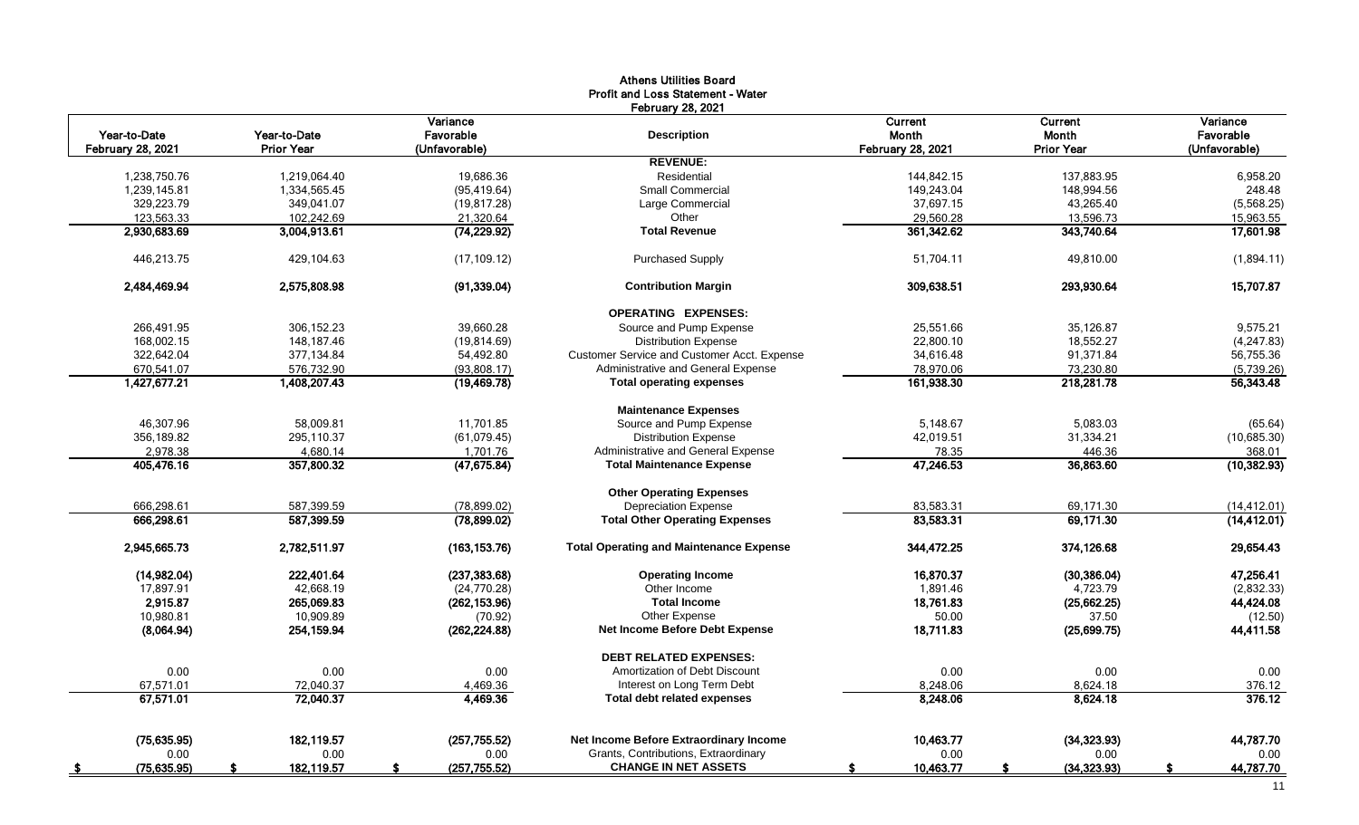|                            |                            |                              | <b>Athens Utilities Board</b><br><b>Profit and Loss Statement - Water</b> |                          |                        |                       |
|----------------------------|----------------------------|------------------------------|---------------------------------------------------------------------------|--------------------------|------------------------|-----------------------|
| Year-to-Date               | Year-to-Date               | Variance<br>Favorable        | <b>February 28, 2021</b><br><b>Description</b>                            | Current<br>Month         | Current<br>Month       | Variance<br>Favorable |
| <b>February 28, 2021</b>   | <b>Prior Year</b>          | (Unfavorable)                | <b>REVENUE:</b>                                                           | <b>February 28, 2021</b> | <b>Prior Year</b>      | (Unfavorable)         |
|                            |                            |                              | Residential                                                               |                          |                        |                       |
| 1,238,750.76               | 1,219,064.40               | 19.686.36                    | <b>Small Commercial</b>                                                   | 144,842.15               | 137,883.95             | 6,958.20<br>248.48    |
| 1,239,145.81<br>329,223.79 | 1,334,565.45<br>349.041.07 | (95, 419.64)<br>(19, 817.28) | Large Commercial                                                          | 149,243.04               | 148,994.56             | (5,568.25)            |
| 123,563.33                 | 102,242.69                 | 21,320.64                    | Other                                                                     | 37,697.15<br>29,560.28   | 43,265.40<br>13,596.73 | 15,963.55             |
| 2.930.683.69               | 3,004,913.61               | (74, 229.92)                 | <b>Total Revenue</b>                                                      | 361,342.62               | 343,740.64             | 17,601.98             |
|                            |                            |                              |                                                                           |                          |                        |                       |
| 446,213.75                 | 429,104.63                 | (17, 109.12)                 | <b>Purchased Supply</b>                                                   | 51,704.11                | 49,810.00              | (1,894.11)            |
| 2,484,469.94               | 2,575,808.98               | (91, 339.04)                 | <b>Contribution Margin</b>                                                | 309,638.51               | 293,930.64             | 15,707.87             |
|                            |                            |                              | <b>OPERATING EXPENSES:</b>                                                |                          |                        |                       |
| 266,491.95                 | 306,152.23                 | 39,660.28                    | Source and Pump Expense                                                   | 25,551.66                | 35,126.87              | 9,575.21              |
| 168,002.15                 | 148.187.46                 | (19, 814.69)                 | <b>Distribution Expense</b>                                               | 22,800.10                | 18,552.27              | (4, 247.83)           |
| 322,642.04                 | 377,134.84                 | 54,492.80                    | Customer Service and Customer Acct. Expense                               | 34,616.48                | 91,371.84              | 56,755.36             |
| 670,541.07                 | 576,732.90                 | (93,808.17)                  | Administrative and General Expense                                        | 78,970.06                | 73,230.80              | (5,739.26)            |
| 1,427,677.21               | 1,408,207.43               | (19, 469.78)                 | <b>Total operating expenses</b>                                           | 161,938.30               | 218,281.78             | 56,343.48             |
|                            |                            |                              | <b>Maintenance Expenses</b>                                               |                          |                        |                       |
| 46.307.96                  | 58.009.81                  | 11,701.85                    | Source and Pump Expense                                                   | 5.148.67                 | 5,083.03               | (65.64)               |
| 356,189.82                 | 295,110.37                 | (61,079.45)                  | <b>Distribution Expense</b>                                               | 42,019.51                | 31,334.21              | (10,685.30)           |
| 2,978.38                   | 4,680.14                   | 1,701.76                     | Administrative and General Expense                                        | 78.35                    | 446.36                 | 368.01                |
| 405,476.16                 | 357,800.32                 | (47, 675.84)                 | <b>Total Maintenance Expense</b>                                          | 47,246.53                | 36,863.60              | (10, 382.93)          |
|                            |                            |                              | <b>Other Operating Expenses</b>                                           |                          |                        |                       |
| 666,298.61                 | 587,399.59                 | (78, 899.02)                 | <b>Depreciation Expense</b>                                               | 83,583.31                | 69.171.30              | (14, 412.01)          |
| 666,298.61                 | 587,399.59                 | (78,899.02)                  | <b>Total Other Operating Expenses</b>                                     | 83,583.31                | 69,171.30              | (14, 412.01)          |
| 2,945,665.73               | 2,782,511.97               | (163, 153.76)                | <b>Total Operating and Maintenance Expense</b>                            | 344,472.25               | 374,126.68             | 29,654.43             |
| (14,982.04)                | 222,401.64                 | (237, 383.68)                | <b>Operating Income</b>                                                   | 16,870.37                | (30, 386.04)           | 47.256.41             |
| 17,897.91                  | 42.668.19                  | (24,770.28)                  | Other Income                                                              | 1,891.46                 | 4,723.79               | (2,832.33)            |
| 2.915.87                   | 265,069.83                 | (262, 153.96)                | <b>Total Income</b>                                                       | 18,761.83                | (25,662.25)            | 44,424.08             |
| 10.980.81                  | 10.909.89                  | (70.92)                      | Other Expense                                                             | 50.00                    | 37.50                  | (12.50)               |
| (8,064.94)                 | 254,159.94                 | (262, 224.88)                | Net Income Before Debt Expense                                            | 18,711.83                | (25,699.75)            | 44,411.58             |
|                            |                            |                              | <b>DEBT RELATED EXPENSES:</b>                                             |                          |                        |                       |
| 0.00                       | 0.00                       | 0.00                         | Amortization of Debt Discount                                             | 0.00                     | 0.00                   | 0.00                  |
| 67,571.01                  | 72.040.37                  | 4,469.36                     | Interest on Long Term Debt                                                | 8,248.06                 | 8,624.18               | 376.12                |
| 67,571.01                  | 72,040.37                  | 4,469.36                     | <b>Total debt related expenses</b>                                        | 8,248.06                 | 8,624.18               | 376.12                |
|                            |                            |                              |                                                                           |                          |                        |                       |
| (75,635.95)                | 182.119.57                 | (257, 755.52)                | Net Income Before Extraordinary Income                                    | 10,463.77                | (34, 323.93)           | 44,787.70             |
| 0.00                       | 0.00                       | 0.00                         | Grants, Contributions, Extraordinary                                      | 0.00                     | 0.00                   | 0.00                  |
| (75, 635.95)               | 182,119.57                 | (257, 755.52)<br>S           | <b>CHANGE IN NET ASSETS</b>                                               | 10,463.77<br>-S          | (34, 323.93)<br>S      | 44,787.70<br>S        |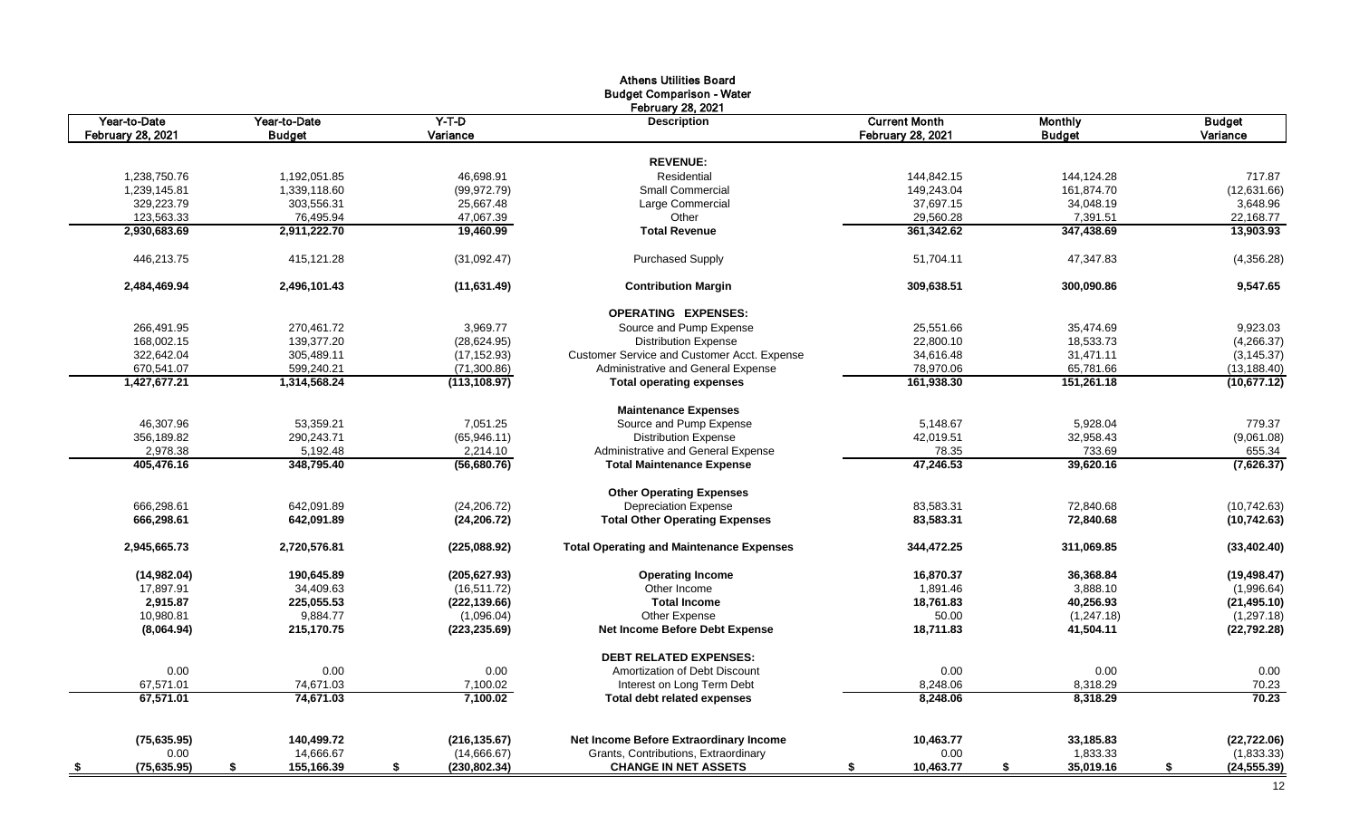|                           |                  |                     | <b>Athens Utilities Board</b>                   |                          |                 |                    |
|---------------------------|------------------|---------------------|-------------------------------------------------|--------------------------|-----------------|--------------------|
|                           |                  |                     | <b>Budget Comparison - Water</b>                |                          |                 |                    |
|                           |                  |                     | <b>February 28, 2021</b>                        |                          |                 |                    |
| Year-to-Date              | Year-to-Date     | $Y-T-D$             | <b>Description</b>                              | <b>Current Month</b>     | <b>Monthly</b>  | <b>Budget</b>      |
| February 28, 2021         | <b>Budget</b>    | Variance            |                                                 | <b>February 28, 2021</b> | <b>Budget</b>   | Variance           |
|                           |                  |                     |                                                 |                          |                 |                    |
|                           |                  |                     | <b>REVENUE:</b>                                 |                          |                 |                    |
| 1,238,750.76              | 1,192,051.85     | 46.698.91           | Residential                                     | 144.842.15               | 144,124.28      | 717.87             |
| 1,239,145.81              | 1,339,118.60     | (99, 972.79)        | <b>Small Commercial</b>                         | 149,243.04               | 161,874.70      | (12,631.66)        |
| 329,223.79                | 303,556.31       | 25,667.48           | Large Commercial                                | 37,697.15                | 34,048.19       | 3,648.96           |
| 123,563.33                | 76,495.94        | 47,067.39           | Other                                           | 29,560.28                | 7,391.51        | 22,168.77          |
| 2,930,683.69              | 2,911,222.70     | 19,460.99           | <b>Total Revenue</b>                            | 361,342.62               | 347,438.69      | 13,903.93          |
| 446,213.75                | 415,121.28       | (31,092.47)         | <b>Purchased Supply</b>                         | 51,704.11                | 47,347.83       | (4,356.28)         |
| 2,484,469.94              | 2,496,101.43     | (11,631.49)         | <b>Contribution Margin</b>                      | 309,638.51               | 300.090.86      | 9,547.65           |
|                           |                  |                     |                                                 |                          |                 |                    |
|                           |                  |                     | <b>OPERATING EXPENSES:</b>                      |                          |                 |                    |
| 266,491.95                | 270,461.72       | 3,969.77            | Source and Pump Expense                         | 25,551.66                | 35,474.69       | 9,923.03           |
| 168,002.15                | 139,377.20       | (28, 624.95)        | <b>Distribution Expense</b>                     | 22,800.10                | 18,533.73       | (4,266.37)         |
| 322,642.04                | 305,489.11       | (17, 152.93)        | Customer Service and Customer Acct. Expense     | 34,616.48                | 31,471.11       | (3, 145.37)        |
| 670.541.07                | 599.240.21       | (71,300.86)         | Administrative and General Expense              | 78,970.06                | 65,781.66       | (13, 188.40)       |
| 1,427,677.21              | 1,314,568.24     | (113, 108.97)       | <b>Total operating expenses</b>                 | 161,938.30               | 151,261.18      | (10, 677.12)       |
|                           |                  |                     | <b>Maintenance Expenses</b>                     |                          |                 |                    |
| 46,307.96                 | 53,359.21        | 7,051.25            | Source and Pump Expense                         | 5,148.67                 | 5,928.04        | 779.37             |
| 356,189.82                | 290,243.71       | (65,946.11)         | <b>Distribution Expense</b>                     | 42,019.51                | 32,958.43       | (9,061.08)         |
| 2,978.38                  | 5,192.48         | 2,214.10            | Administrative and General Expense              | 78.35                    | 733.69          | 655.34             |
| 405.476.16                | 348.795.40       | (56,680.76)         | <b>Total Maintenance Expense</b>                | 47,246.53                | 39,620.16       | (7,626.37)         |
|                           |                  |                     | <b>Other Operating Expenses</b>                 |                          |                 |                    |
| 666,298.61                | 642,091.89       | (24, 206.72)        | <b>Depreciation Expense</b>                     | 83,583.31                | 72,840.68       | (10, 742.63)       |
| 666,298.61                | 642,091.89       | (24, 206.72)        | <b>Total Other Operating Expenses</b>           | 83,583.31                | 72,840.68       | (10, 742.63)       |
| 2,945,665.73              | 2,720,576.81     | (225,088.92)        | <b>Total Operating and Maintenance Expenses</b> | 344,472.25               | 311,069.85      | (33, 402.40)       |
| (14,982.04)               | 190,645.89       | (205, 627.93)       | <b>Operating Income</b>                         | 16,870.37                | 36,368.84       | (19, 498.47)       |
| 17,897.91                 | 34,409.63        | (16,511.72)         | Other Income                                    | 1,891.46                 | 3,888.10        | (1,996.64)         |
| 2,915.87                  | 225,055.53       | (222, 139.66)       | <b>Total Income</b>                             | 18,761.83                | 40,256.93       | (21, 495.10)       |
| 10,980.81                 | 9,884.77         | (1,096.04)          | Other Expense                                   | 50.00                    | (1,247.18)      | (1, 297.18)        |
| (8,064.94)                | 215,170.75       | (223, 235.69)       | Net Income Before Debt Expense                  | 18,711.83                | 41,504.11       | (22, 792.28)       |
|                           |                  |                     | <b>DEBT RELATED EXPENSES:</b>                   |                          |                 |                    |
| 0.00                      | 0.00             | 0.00                | Amortization of Debt Discount                   | 0.00                     | 0.00            | 0.00               |
| 67,571.01                 | 74,671.03        | 7,100.02            | Interest on Long Term Debt                      | 8,248.06                 | 8,318.29        | 70.23              |
| 67,571.01                 | 74,671.03        | 7.100.02            | <b>Total debt related expenses</b>              | 8,248.06                 | 8,318.29        | 70.23              |
|                           |                  |                     |                                                 |                          |                 |                    |
| (75, 635.95)              | 140,499.72       | (216, 135.67)       | Net Income Before Extraordinary Income          | 10,463.77                | 33,185.83       | (22, 722.06)       |
| 0.00                      | 14,666.67        | (14,666.67)         | Grants, Contributions, Extraordinary            | 0.00                     | 1,833.33        | (1,833.33)         |
| (75, 635.95)<br><u>\$</u> | \$<br>155,166.39 | (230, 802.34)<br>\$ | <b>CHANGE IN NET ASSETS</b>                     | 10,463.77<br>\$          | \$<br>35,019.16 | (24, 555.39)<br>\$ |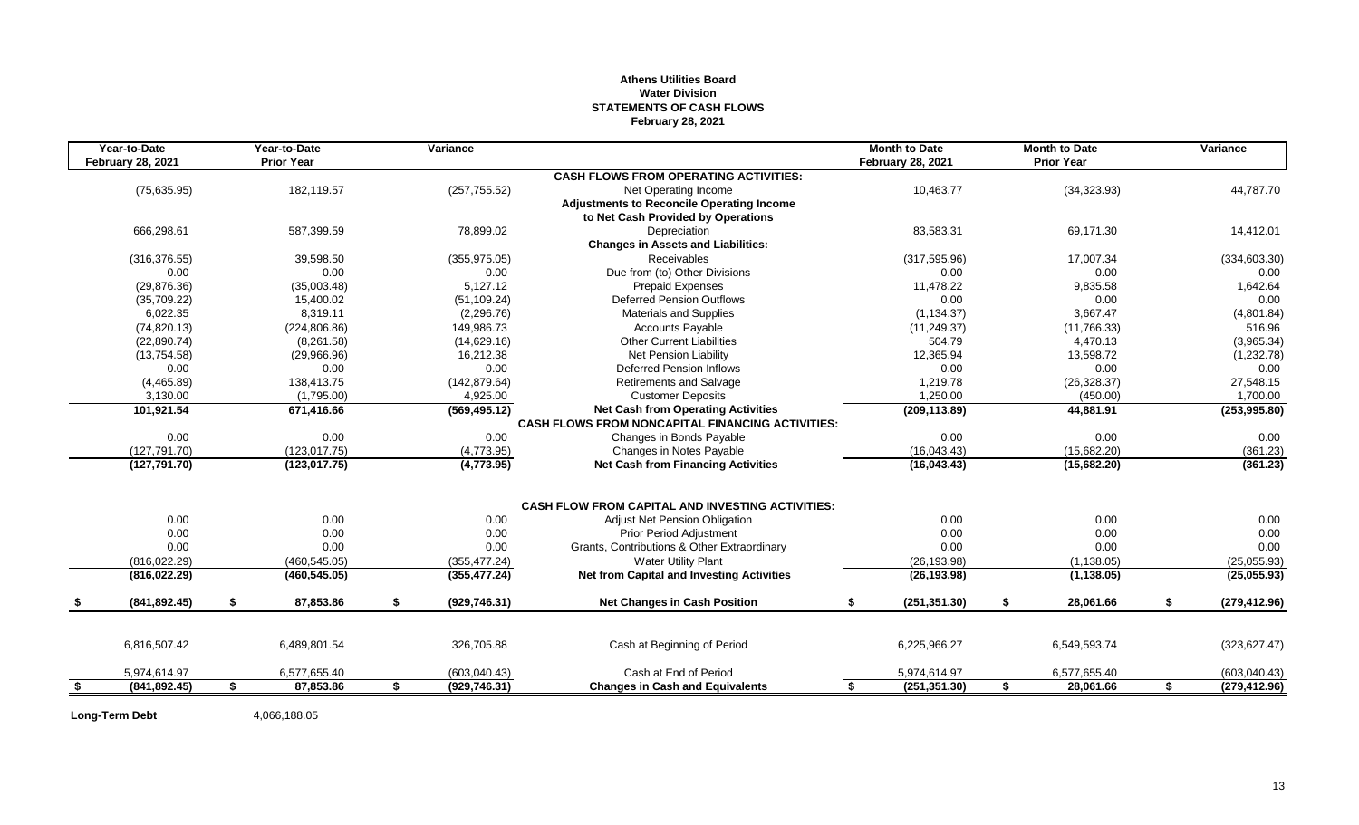# **Athens Utilities Board Water Division STATEMENTS OF CASH FLOWS February 28, 2021**

| Year-to-Date<br><b>February 28, 2021</b> |    | Year-to-Date<br><b>Prior Year</b> | Variance            |                                                         | <b>Month to Date</b><br><b>February 28, 2021</b> | <b>Month to Date</b><br><b>Prior Year</b> |    | Variance      |
|------------------------------------------|----|-----------------------------------|---------------------|---------------------------------------------------------|--------------------------------------------------|-------------------------------------------|----|---------------|
|                                          |    |                                   |                     | <b>CASH FLOWS FROM OPERATING ACTIVITIES:</b>            |                                                  |                                           |    |               |
| (75, 635.95)                             |    | 182,119.57                        | (257, 755.52)       | Net Operating Income                                    | 10,463.77                                        | (34, 323.93)                              |    | 44,787.70     |
|                                          |    |                                   |                     | <b>Adjustments to Reconcile Operating Income</b>        |                                                  |                                           |    |               |
|                                          |    |                                   |                     | to Net Cash Provided by Operations                      |                                                  |                                           |    |               |
| 666,298.61                               |    | 587.399.59                        | 78,899.02           | Depreciation                                            | 83,583.31                                        | 69,171.30                                 |    | 14,412.01     |
|                                          |    |                                   |                     | <b>Changes in Assets and Liabilities:</b>               |                                                  |                                           |    |               |
| (316, 376.55)                            |    | 39,598.50                         | (355, 975.05)       | Receivables                                             | (317, 595.96)                                    | 17,007.34                                 |    | (334, 603.30) |
| 0.00                                     |    | 0.00                              | 0.00                | Due from (to) Other Divisions                           | 0.00                                             | 0.00                                      |    | 0.00          |
| (29, 876.36)                             |    | (35,003.48)                       | 5,127.12            | Prepaid Expenses                                        | 11,478.22                                        | 9,835.58                                  |    | 1,642.64      |
| (35,709.22)                              |    | 15,400.02                         | (51, 109.24)        | <b>Deferred Pension Outflows</b>                        | 0.00                                             | 0.00                                      |    | 0.00          |
| 6,022.35                                 |    | 8,319.11                          | (2,296.76)          | Materials and Supplies                                  | (1, 134.37)                                      | 3,667.47                                  |    | (4,801.84)    |
| (74, 820.13)                             |    | (224, 806.86)                     | 149,986.73          | <b>Accounts Payable</b>                                 | (11, 249.37)                                     | (11,766.33)                               |    | 516.96        |
| (22,890.74)                              |    | (8, 261.58)                       | (14,629.16)         | <b>Other Current Liabilities</b>                        | 504.79                                           | 4,470.13                                  |    | (3,965.34)    |
| (13,754.58)                              |    | (29,966.96)                       | 16,212.38           | <b>Net Pension Liability</b>                            | 12,365.94                                        | 13,598.72                                 |    | (1,232.78)    |
| 0.00                                     |    | 0.00                              | 0.00                | <b>Deferred Pension Inflows</b>                         | 0.00                                             | 0.00                                      |    | 0.00          |
| (4, 465.89)                              |    | 138.413.75                        | (142, 879.64)       | <b>Retirements and Salvage</b>                          | 1,219.78                                         | (26, 328.37)                              |    | 27,548.15     |
| 3,130.00                                 |    | (1,795.00)                        | 4,925.00            | <b>Customer Deposits</b>                                | 1,250.00                                         | (450.00)                                  |    | 1,700.00      |
| 101,921.54                               |    | 671,416.66                        | (569, 495.12)       | <b>Net Cash from Operating Activities</b>               | (209, 113.89)                                    | 44,881.91                                 |    | (253,995.80)  |
|                                          |    |                                   |                     | <b>CASH FLOWS FROM NONCAPITAL FINANCING ACTIVITIES:</b> |                                                  |                                           |    |               |
| 0.00                                     |    | 0.00                              | 0.00                | Changes in Bonds Payable                                | 0.00                                             | 0.00                                      |    | 0.00          |
| (127, 791.70)                            |    | (123, 017.75)                     | (4,773.95)          | Changes in Notes Payable                                | (16,043.43)                                      | (15,682.20)                               |    | (361.23)      |
| (127, 791.70)                            |    | (123, 017.75)                     | (4,773.95)          | <b>Net Cash from Financing Activities</b>               | (16,043.43)                                      | (15,682.20)                               |    | (361.23)      |
|                                          |    |                                   |                     | <b>CASH FLOW FROM CAPITAL AND INVESTING ACTIVITIES:</b> |                                                  |                                           |    |               |
| 0.00                                     |    | 0.00                              | 0.00                | Adjust Net Pension Obligation                           | 0.00                                             | 0.00                                      |    | 0.00          |
| 0.00                                     |    | 0.00                              | 0.00                | <b>Prior Period Adjustment</b>                          | 0.00                                             | 0.00                                      |    | 0.00          |
| 0.00                                     |    | 0.00                              | 0.00                | Grants, Contributions & Other Extraordinary             | 0.00                                             | 0.00                                      |    | 0.00          |
| (816, 022.29)                            |    | (460, 545.05)                     | (355, 477.24)       | <b>Water Utility Plant</b>                              | (26, 193.98)                                     | (1, 138.05)                               |    | (25,055.93)   |
| (816, 022.29)                            |    | (460, 545.05)                     | (355, 477.24)       | <b>Net from Capital and Investing Activities</b>        | (26, 193.98)                                     | (1, 138.05)                               |    | (25,055.93)   |
| (841, 892.45)                            | \$ | 87,853.86                         | \$<br>(929, 746.31) | <b>Net Changes in Cash Position</b>                     | \$<br>(251, 351.30)                              | \$<br>28,061.66                           | S. | (279, 412.96) |
|                                          |    |                                   |                     |                                                         |                                                  |                                           |    |               |
| 6,816,507.42                             |    | 6,489,801.54                      | 326,705.88          | Cash at Beginning of Period                             | 6,225,966.27                                     | 6,549,593.74                              |    | (323, 627.47) |
| 5,974,614.97                             |    | 6,577,655.40                      | (603,040.43)        | Cash at End of Period                                   | 5,974,614.97                                     | 6,577,655.40                              |    | (603,040.43)  |
| (841, 892.45)                            | £. | 87,853.86                         | \$<br>(929, 746.31) | <b>Changes in Cash and Equivalents</b>                  | (251, 351.30)                                    | \$<br>28,061.66                           |    | (279, 412.96) |

Long-Term Debt 4,066,188.05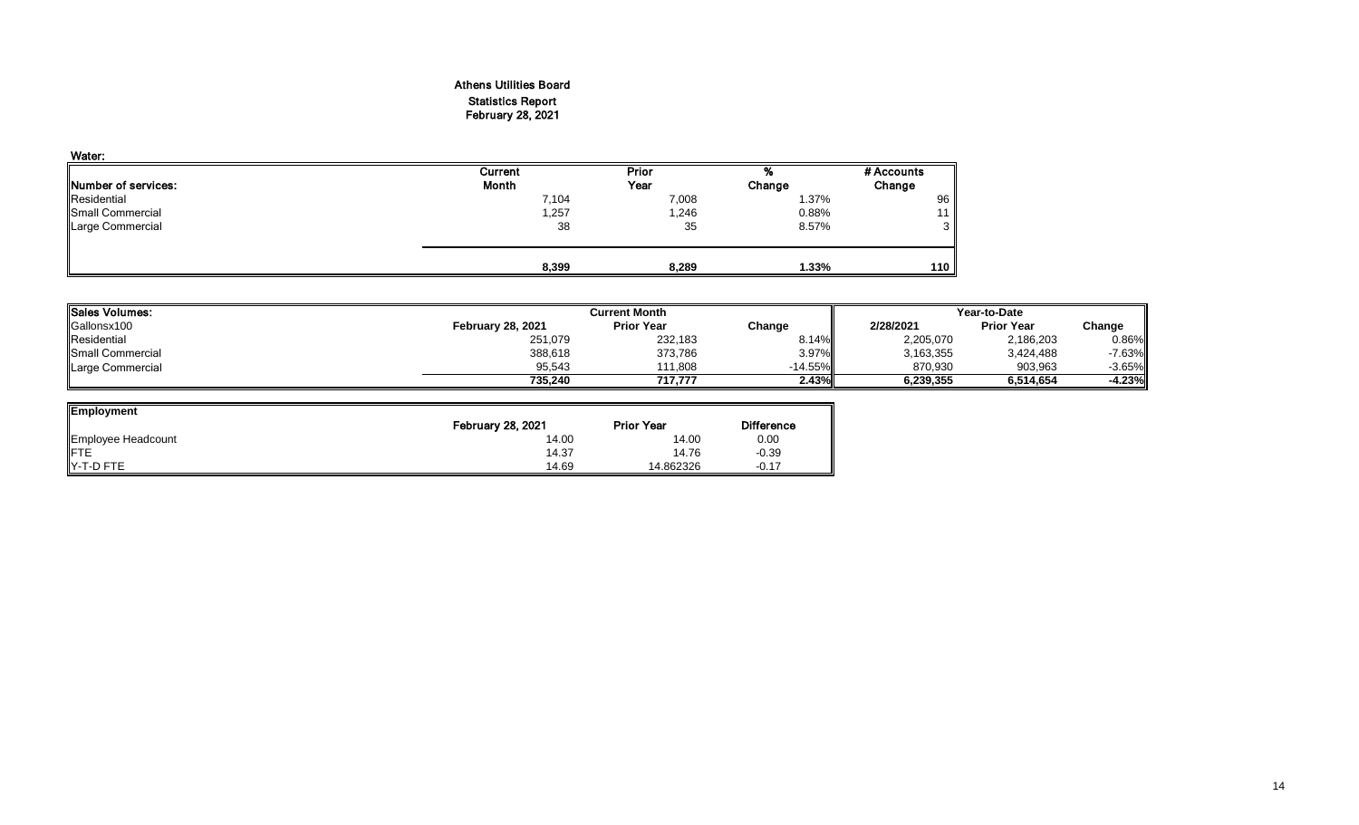# Athens Utilities Board Statistics Report February 28, 2021

| Water:                      |         |        |        |            |
|-----------------------------|---------|--------|--------|------------|
|                             | Current | Prior  | %      | # Accounts |
| <b>INumber of services:</b> | Month   | Year   | Change | Change     |
| Residential                 | 7,104   | 7,008  | 1.37%  | 96         |
| Small Commercial            | 1,257   | 246, ا | 0.88%  | 11         |
| <b>Large Commercial</b>     | 38      | 35     | 8.57%  | 3          |
|                             | 8,399   | 8,289  | 1.33%  | 110        |

| <b>ISales Volumes:</b>    |                          | <b>Current Month</b> |           | Year-to-Date |                   |          |  |
|---------------------------|--------------------------|----------------------|-----------|--------------|-------------------|----------|--|
| Gallonsx100               | <b>February 28, 2021</b> | <b>Prior Year</b>    | Change    | 2/28/2021    | <b>Prior Year</b> | Change   |  |
| Residential               | 251,079                  | 232,183              | 8.14%     | 2,205,070    | 2,186,203         | 0.86%    |  |
| <b>I</b> Small Commercial | 388,618                  | 373,786              | 3.97%     | 3,163,355    | 3,424,488         | $-7.63%$ |  |
| Large Commercial          | 95,543                   | 111.808              | $-14.55%$ | 870,930      | 903,963           | $-3.65%$ |  |
|                           | 735.240                  | 717.777              | 2.43%     | 6,239,355    | 6.514.654         | -4.23%ll |  |

| <b>Employment</b>  |                          |                   |                   |
|--------------------|--------------------------|-------------------|-------------------|
|                    | <b>February 28, 2021</b> | <b>Prior Year</b> | <b>Difference</b> |
| Employee Headcount | 14.00                    | 14.00             | 0.00              |
| <b>IFTE</b>        | 14.37                    | 14.76             | $-0.39$           |
| Y-T-D FTE          | 14.69                    | 14.862326         | $-0.17$           |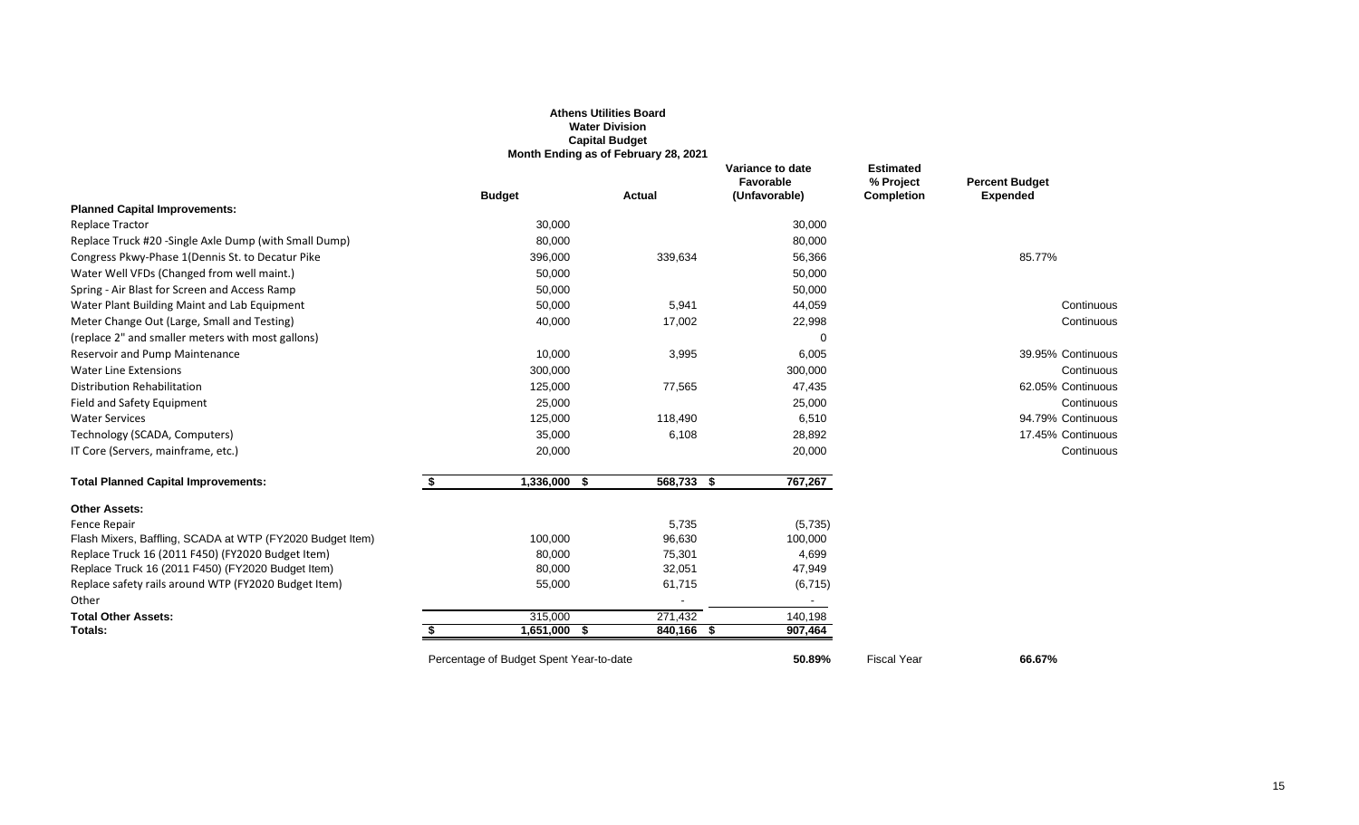|                                                               |                                         | <b>Athens Utilities Board</b><br><b>Water Division</b><br><b>Capital Budget</b><br>Month Ending as of February 28, 2021 |                                                |                                                    |                                          |
|---------------------------------------------------------------|-----------------------------------------|-------------------------------------------------------------------------------------------------------------------------|------------------------------------------------|----------------------------------------------------|------------------------------------------|
|                                                               | <b>Budget</b>                           | <b>Actual</b>                                                                                                           | Variance to date<br>Favorable<br>(Unfavorable) | <b>Estimated</b><br>% Project<br><b>Completion</b> | <b>Percent Budget</b><br><b>Expended</b> |
| <b>Planned Capital Improvements:</b>                          |                                         |                                                                                                                         |                                                |                                                    |                                          |
| <b>Replace Tractor</b>                                        | 30,000                                  |                                                                                                                         | 30,000                                         |                                                    |                                          |
| Replace Truck #20 -Single Axle Dump (with Small Dump)         | 80,000                                  |                                                                                                                         | 80,000                                         |                                                    |                                          |
| Congress Pkwy-Phase 1 (Dennis St. to Decatur Pike             | 396,000                                 | 339,634                                                                                                                 | 56,366                                         |                                                    | 85.77%                                   |
| Water Well VFDs (Changed from well maint.)                    | 50,000                                  |                                                                                                                         | 50,000                                         |                                                    |                                          |
| Spring - Air Blast for Screen and Access Ramp                 | 50,000                                  |                                                                                                                         | 50,000                                         |                                                    |                                          |
| Water Plant Building Maint and Lab Equipment                  | 50,000                                  | 5,941                                                                                                                   | 44,059                                         |                                                    | Continuous                               |
| Meter Change Out (Large, Small and Testing)                   | 40,000                                  | 17,002                                                                                                                  | 22,998                                         |                                                    | Continuous                               |
| (replace 2" and smaller meters with most gallons)             |                                         |                                                                                                                         |                                                |                                                    |                                          |
| Reservoir and Pump Maintenance                                | 10,000                                  | 3,995                                                                                                                   | 6,005                                          |                                                    | 39.95% Continuous                        |
| <b>Water Line Extensions</b>                                  | 300,000                                 |                                                                                                                         | 300,000                                        |                                                    | Continuous                               |
| Distribution Rehabilitation                                   | 125,000                                 | 77,565                                                                                                                  | 47,435                                         |                                                    | 62.05% Continuous                        |
| Field and Safety Equipment                                    | 25,000                                  |                                                                                                                         | 25,000                                         |                                                    | Continuous                               |
| <b>Water Services</b>                                         | 125,000                                 | 118,490                                                                                                                 | 6,510                                          |                                                    | 94.79% Continuous                        |
| Technology (SCADA, Computers)                                 | 35,000                                  | 6,108                                                                                                                   | 28,892                                         |                                                    | 17.45% Continuous                        |
| IT Core (Servers, mainframe, etc.)                            | 20,000                                  |                                                                                                                         | 20,000                                         |                                                    | Continuous                               |
| <b>Total Planned Capital Improvements:</b>                    | \$<br>$1,336,000$ \$                    | $568,733$ \$                                                                                                            | 767,267                                        |                                                    |                                          |
| <b>Other Assets:</b>                                          |                                         |                                                                                                                         |                                                |                                                    |                                          |
| Fence Repair                                                  |                                         | 5,735                                                                                                                   | (5,735)                                        |                                                    |                                          |
| Flash Mixers, Baffling, SCADA at WTP (FY2020 Budget Item)     | 100,000                                 | 96,630                                                                                                                  | 100,000                                        |                                                    |                                          |
| Replace Truck 16 (2011 F450) (FY2020 Budget Item)             | 80,000                                  | 75,301                                                                                                                  | 4,699                                          |                                                    |                                          |
| Replace Truck 16 (2011 F450) (FY2020 Budget Item)             | 80,000                                  | 32,051                                                                                                                  | 47,949                                         |                                                    |                                          |
| Replace safety rails around WTP (FY2020 Budget Item)<br>Other | 55,000                                  | 61,715                                                                                                                  | (6, 715)                                       |                                                    |                                          |
| <b>Total Other Assets:</b>                                    | 315,000                                 | 271,432                                                                                                                 | 140,198                                        |                                                    |                                          |
| Totals:                                                       | $1,651,000$ \$                          | 840,166 \$                                                                                                              | 907,464                                        |                                                    |                                          |
|                                                               | Percentage of Budget Spent Year-to-date |                                                                                                                         | 50.89%                                         | <b>Fiscal Year</b>                                 | 66.67%                                   |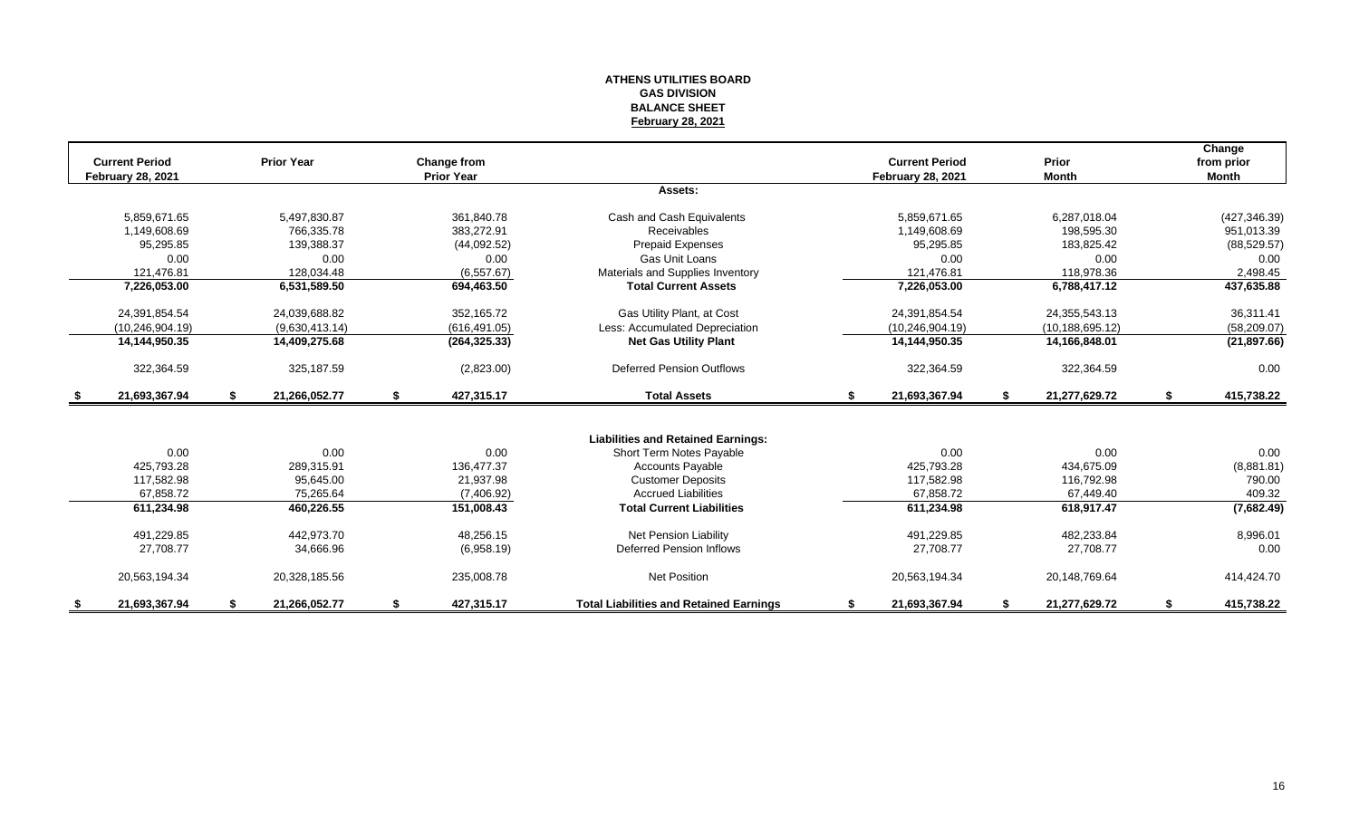# **ATHENS UTILITIES BOARD GAS DIVISION BALANCE SHEET February 28, 2021**

| <b>Current Period</b><br><b>February 28, 2021</b> |    | <b>Prior Year</b> | Change from<br><b>Prior Year</b> |                                                |    | <b>Current Period</b><br><b>February 28, 2021</b> |    | Prior<br><b>Month</b> | Change<br>from prior<br><b>Month</b> |
|---------------------------------------------------|----|-------------------|----------------------------------|------------------------------------------------|----|---------------------------------------------------|----|-----------------------|--------------------------------------|
|                                                   |    |                   |                                  | Assets:                                        |    |                                                   |    |                       |                                      |
|                                                   |    |                   |                                  |                                                |    |                                                   |    |                       |                                      |
| 5.859.671.65                                      |    | 5,497,830.87      | 361.840.78                       | Cash and Cash Equivalents                      |    | 5.859.671.65                                      |    | 6,287,018.04          | (427, 346.39)                        |
| 1.149.608.69                                      |    | 766.335.78        | 383.272.91                       | <b>Receivables</b>                             |    | 1.149.608.69                                      |    | 198.595.30            | 951,013.39                           |
| 95,295.85                                         |    | 139,388.37        | (44,092.52)                      | Prepaid Expenses                               |    | 95,295.85                                         |    | 183,825.42            | (88, 529.57)                         |
| 0.00                                              |    | 0.00              | 0.00                             | Gas Unit Loans                                 |    | 0.00                                              |    | 0.00                  | 0.00                                 |
| 121,476.81                                        |    | 128,034.48        | (6,557.67)                       | Materials and Supplies Inventory               |    | 121.476.81                                        |    | 118,978.36            | 2,498.45                             |
| 7,226,053.00                                      |    | 6,531,589.50      | 694,463.50                       | <b>Total Current Assets</b>                    |    | 7,226,053.00                                      |    | 6,788,417.12          | 437,635.88                           |
| 24,391,854.54                                     |    | 24,039,688.82     | 352,165.72                       | Gas Utility Plant, at Cost                     |    | 24,391,854.54                                     |    | 24,355,543.13         | 36,311.41                            |
| (10, 246, 904.19)                                 |    | (9,630,413.14)    | (616, 491.05)                    | Less: Accumulated Depreciation                 |    | (10, 246, 904.19)                                 |    | (10, 188, 695, 12)    | (58, 209.07)                         |
| 14,144,950.35                                     |    | 14,409,275.68     | (264, 325.33)                    | <b>Net Gas Utility Plant</b>                   |    | 14,144,950.35                                     |    | 14,166,848.01         | (21, 897.66)                         |
| 322,364.59                                        |    | 325.187.59        | (2,823.00)                       | <b>Deferred Pension Outflows</b>               |    | 322,364.59                                        |    | 322,364.59            | 0.00                                 |
| \$<br>21,693,367.94                               | S. | 21,266,052.77     | \$<br>427,315.17                 | <b>Total Assets</b>                            | \$ | 21,693,367.94                                     | \$ | 21,277,629.72         | \$<br>415,738.22                     |
|                                                   |    |                   |                                  |                                                |    |                                                   |    |                       |                                      |
|                                                   |    |                   |                                  | <b>Liabilities and Retained Earnings:</b>      |    |                                                   |    |                       |                                      |
| 0.00                                              |    | 0.00              | 0.00                             | Short Term Notes Payable                       |    | 0.00                                              |    | 0.00                  | 0.00                                 |
| 425.793.28                                        |    | 289.315.91        | 136.477.37                       | <b>Accounts Payable</b>                        |    | 425.793.28                                        |    | 434.675.09            | (8,881.81)                           |
| 117,582.98                                        |    | 95,645.00         | 21,937.98                        | <b>Customer Deposits</b>                       |    | 117,582.98                                        |    | 116,792.98            | 790.00                               |
| 67.858.72                                         |    | 75,265.64         | (7,406.92)                       | <b>Accrued Liabilities</b>                     |    | 67.858.72                                         |    | 67,449.40             | 409.32                               |
| 611,234.98                                        |    | 460,226.55        | 151,008.43                       | <b>Total Current Liabilities</b>               |    | 611,234.98                                        |    | 618,917.47            | (7,682.49)                           |
| 491,229.85                                        |    | 442.973.70        | 48.256.15                        | Net Pension Liability                          |    | 491,229.85                                        |    | 482,233.84            | 8,996.01                             |
| 27,708.77                                         |    | 34,666.96         | (6,958.19)                       | <b>Deferred Pension Inflows</b>                |    | 27,708.77                                         |    | 27,708.77             | 0.00                                 |
| 20,563,194.34                                     |    | 20,328,185.56     | 235,008.78                       | <b>Net Position</b>                            |    | 20,563,194.34                                     |    | 20,148,769.64         | 414,424.70                           |
| 21,693,367.94                                     | \$ | 21,266,052.77     | \$<br>427,315.17                 | <b>Total Liabilities and Retained Earnings</b> | S. | 21,693,367.94                                     | S. | 21,277,629.72         | \$<br>415,738.22                     |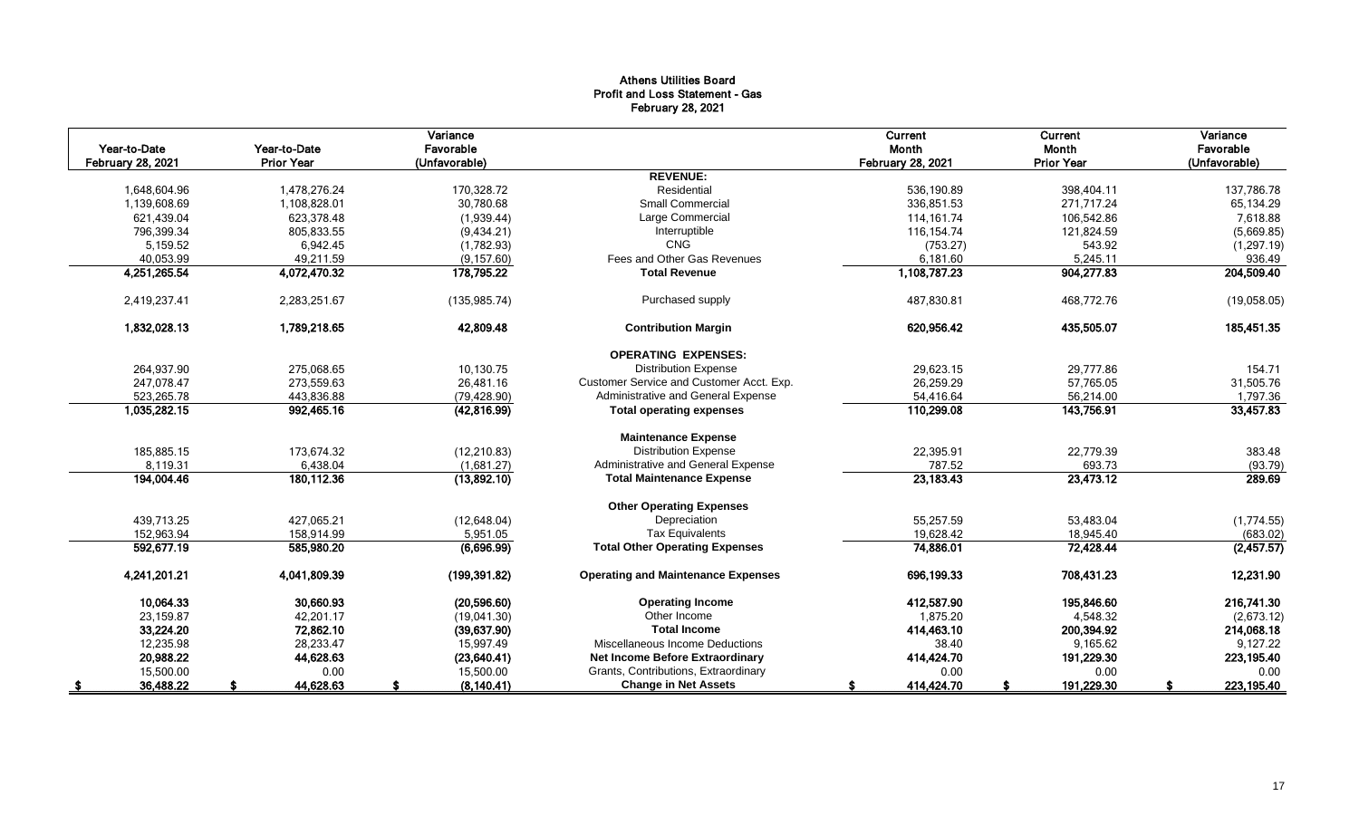# Athens Utilities Board Profit and Loss Statement - Gas February 28, 2021

|                          |                   | Variance      |                                           | Current                  | Current           | Variance      |
|--------------------------|-------------------|---------------|-------------------------------------------|--------------------------|-------------------|---------------|
| Year-to-Date             | Year-to-Date      | Favorable     |                                           | Month                    | Month             | Favorable     |
| <b>February 28, 2021</b> | <b>Prior Year</b> | (Unfavorable) | <b>REVENUE:</b>                           | <b>February 28, 2021</b> | <b>Prior Year</b> | (Unfavorable) |
|                          |                   |               | Residential                               |                          |                   |               |
| 1,648,604.96             | 1,478,276.24      | 170,328.72    | <b>Small Commercial</b>                   | 536,190.89               | 398,404.11        | 137,786.78    |
| 1,139,608.69             | 1,108,828.01      | 30,780.68     | Large Commercial                          | 336.851.53               | 271,717.24        | 65,134.29     |
| 621,439.04               | 623,378.48        | (1,939.44)    |                                           | 114, 161.74              | 106,542.86        | 7,618.88      |
| 796,399.34               | 805,833.55        | (9,434.21)    | Interruptible<br>CNG                      | 116, 154.74              | 121,824.59        | (5,669.85)    |
| 5,159.52                 | 6,942.45          | (1,782.93)    | Fees and Other Gas Revenues               | (753.27)                 | 543.92            | (1, 297.19)   |
| 40,053.99                | 49,211.59         | (9, 157.60)   | <b>Total Revenue</b>                      | 6,181.60                 | 5,245.11          | 936.49        |
| 4,251,265.54             | 4,072,470.32      | 178,795.22    |                                           | 1,108,787.23             | 904,277.83        | 204,509.40    |
| 2,419,237.41             | 2,283,251.67      | (135, 985.74) | Purchased supply                          | 487,830.81               | 468,772.76        | (19,058.05)   |
| 1,832,028.13             | 1,789,218.65      | 42,809.48     | <b>Contribution Margin</b>                | 620.956.42               | 435,505.07        | 185,451.35    |
|                          |                   |               | <b>OPERATING EXPENSES:</b>                |                          |                   |               |
| 264,937.90               | 275,068.65        | 10,130.75     | <b>Distribution Expense</b>               | 29,623.15                | 29,777.86         | 154.71        |
| 247.078.47               | 273,559.63        | 26,481.16     | Customer Service and Customer Acct. Exp.  | 26,259.29                | 57,765.05         | 31,505.76     |
| 523,265.78               | 443,836.88        | (79, 428.90)  | Administrative and General Expense        | 54,416.64                | 56,214.00         | 1,797.36      |
| 1,035,282.15             | 992,465.16        | (42, 816.99)  | <b>Total operating expenses</b>           | 110,299.08               | 143,756.91        | 33,457.83     |
|                          |                   |               | <b>Maintenance Expense</b>                |                          |                   |               |
| 185,885.15               | 173,674.32        | (12, 210.83)  | <b>Distribution Expense</b>               | 22,395.91                | 22,779.39         | 383.48        |
| 8,119.31                 | 6,438.04          | (1,681.27)    | Administrative and General Expense        | 787.52                   | 693.73            | (93.79)       |
| 194,004.46               | 180,112.36        | (13,892.10)   | <b>Total Maintenance Expense</b>          | 23,183.43                | 23,473.12         | 289.69        |
|                          |                   |               | <b>Other Operating Expenses</b>           |                          |                   |               |
| 439.713.25               | 427,065.21        | (12, 648.04)  | Depreciation                              | 55,257.59                | 53,483.04         | (1,774.55)    |
| 152,963.94               | 158.914.99        | 5,951.05      | <b>Tax Equivalents</b>                    | 19.628.42                | 18,945.40         | (683.02)      |
| 592,677.19               | 585,980.20        | (6,696.99)    | <b>Total Other Operating Expenses</b>     | 74,886.01                | 72,428.44         | (2,457.57)    |
| 4,241,201.21             | 4,041,809.39      | (199, 391.82) | <b>Operating and Maintenance Expenses</b> | 696,199.33               | 708,431.23        | 12,231.90     |
| 10,064.33                | 30,660.93         | (20,596.60)   | <b>Operating Income</b>                   | 412,587.90               | 195,846.60        | 216,741.30    |
| 23,159.87                | 42,201.17         | (19,041.30)   | Other Income                              | 1,875.20                 | 4,548.32          | (2,673.12)    |
| 33,224.20                | 72,862.10         | (39,637.90)   | <b>Total Income</b>                       | 414,463.10               | 200,394.92        | 214,068.18    |
| 12,235.98                | 28,233.47         | 15,997.49     | Miscellaneous Income Deductions           | 38.40                    | 9,165.62          | 9,127.22      |
| 20,988.22                | 44,628.63         | (23, 640.41)  | Net Income Before Extraordinary           | 414,424.70               | 191,229.30        | 223,195.40    |
| 15,500.00                | 0.00              | 15,500.00     | Grants, Contributions, Extraordinary      | 0.00                     | 0.00              | 0.00          |
| 36,488.22                | 44,628.63         | (8, 140.41)   | <b>Change in Net Assets</b>               | 414,424.70               | 191,229.30        | 223,195.40    |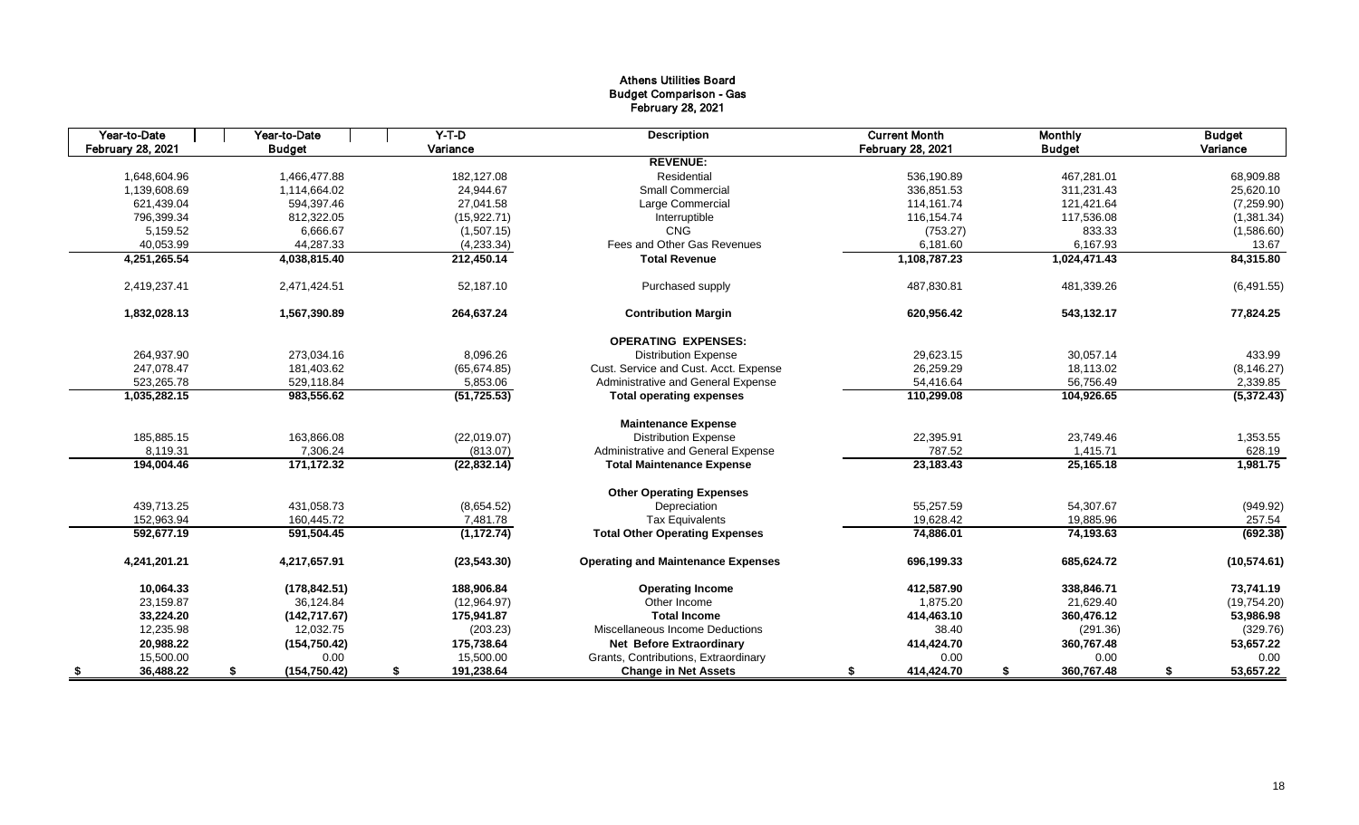# Athens Utilities Board Budget Comparison - Gas February 28, 2021

| Year-to-Date             | Year-to-Date        | $Y-T-D$          | <b>Description</b>                        | <b>Current Month</b>     | <b>Monthly</b>   | <b>Budget</b>   |
|--------------------------|---------------------|------------------|-------------------------------------------|--------------------------|------------------|-----------------|
| <b>February 28, 2021</b> | <b>Budget</b>       | Variance         |                                           | <b>February 28, 2021</b> | <b>Budget</b>    | Variance        |
|                          |                     |                  | <b>REVENUE:</b>                           |                          |                  |                 |
| 1.648.604.96             | 1.466.477.88        | 182.127.08       | Residential                               | 536.190.89               | 467.281.01       | 68,909.88       |
| 1,139,608.69             | 1,114,664.02        | 24,944.67        | <b>Small Commercial</b>                   | 336,851.53               | 311,231.43       | 25,620.10       |
| 621,439.04               | 594,397.46          | 27,041.58        | Large Commercial                          | 114,161.74               | 121,421.64       | (7,259.90)      |
| 796,399.34               | 812,322.05          | (15, 922.71)     | Interruptible                             | 116,154.74               | 117,536.08       | (1,381.34)      |
| 5,159.52                 | 6,666.67            | (1,507.15)       | CNG                                       | (753.27)                 | 833.33           | (1,586.60)      |
| 40,053.99                | 44,287.33           | (4,233.34)       | Fees and Other Gas Revenues               | 6,181.60                 | 6,167.93         | 13.67           |
| 4,251,265.54             | 4,038,815.40        | 212,450.14       | <b>Total Revenue</b>                      | 1,108,787.23             | 1,024,471.43     | 84,315.80       |
| 2,419,237.41             | 2,471,424.51        | 52,187.10        | Purchased supply                          | 487,830.81               | 481,339.26       | (6,491.55)      |
| 1,832,028.13             | 1,567,390.89        | 264,637.24       | <b>Contribution Margin</b>                | 620,956.42               | 543,132.17       | 77,824.25       |
|                          |                     |                  | <b>OPERATING EXPENSES:</b>                |                          |                  |                 |
| 264,937.90               | 273,034.16          | 8,096.26         | <b>Distribution Expense</b>               | 29,623.15                | 30,057.14        | 433.99          |
| 247,078.47               | 181,403.62          | (65, 674.85)     | Cust. Service and Cust. Acct. Expense     | 26,259.29                | 18,113.02        | (8, 146.27)     |
| 523,265.78               | 529,118.84          | 5,853.06         | Administrative and General Expense        | 54,416.64                | 56,756.49        | 2,339.85        |
| 1,035,282.15             | 983,556.62          | (51, 725.53)     | <b>Total operating expenses</b>           | 110,299.08               | 104,926.65       | (5,372.43)      |
|                          |                     |                  | <b>Maintenance Expense</b>                |                          |                  |                 |
| 185,885.15               | 163,866.08          | (22,019.07)      | <b>Distribution Expense</b>               | 22,395.91                | 23,749.46        | 1,353.55        |
| 8,119.31                 | 7,306.24            | (813.07)         | Administrative and General Expense        | 787.52                   | 1,415.71         | 628.19          |
| 194,004.46               | 171,172.32          | (22, 832.14)     | <b>Total Maintenance Expense</b>          | 23,183.43                | 25,165.18        | 1,981.75        |
|                          |                     |                  | <b>Other Operating Expenses</b>           |                          |                  |                 |
| 439,713.25               | 431,058.73          | (8,654.52)       | Depreciation                              | 55,257.59                | 54,307.67        | (949.92)        |
| 152,963.94               | 160.445.72          | 7,481.78         | <b>Tax Equivalents</b>                    | 19,628.42                | 19,885.96        | 257.54          |
| 592.677.19               | 591,504.45          | (1, 172.74)      | <b>Total Other Operating Expenses</b>     | 74,886.01                | 74,193.63        | (692.38)        |
| 4,241,201.21             | 4,217,657.91        | (23, 543.30)     | <b>Operating and Maintenance Expenses</b> | 696,199.33               | 685,624.72       | (10, 574.61)    |
| 10.064.33                | (178, 842.51)       | 188.906.84       | <b>Operating Income</b>                   | 412,587.90               | 338,846.71       | 73,741.19       |
| 23,159.87                | 36,124.84           | (12,964.97)      | Other Income                              | 1,875.20                 | 21,629.40        | (19,754.20)     |
| 33,224.20                | (142, 717.67)       | 175,941.87       | <b>Total Income</b>                       | 414,463.10               | 360,476.12       | 53,986.98       |
| 12,235.98                | 12,032.75           | (203.23)         | Miscellaneous Income Deductions           | 38.40                    | (291.36)         | (329.76)        |
| 20,988.22                | (154, 750.42)       | 175,738.64       | <b>Net Before Extraordinary</b>           | 414,424.70               | 360,767.48       | 53,657.22       |
| 15,500.00                | 0.00                | 15,500.00        | Grants, Contributions, Extraordinary      | 0.00                     | 0.00             | 0.00            |
| 36,488.22                | \$<br>(154, 750.42) | 191,238.64<br>\$ | <b>Change in Net Assets</b>               | 414,424.70<br>\$         | 360,767.48<br>\$ | 53,657.22<br>\$ |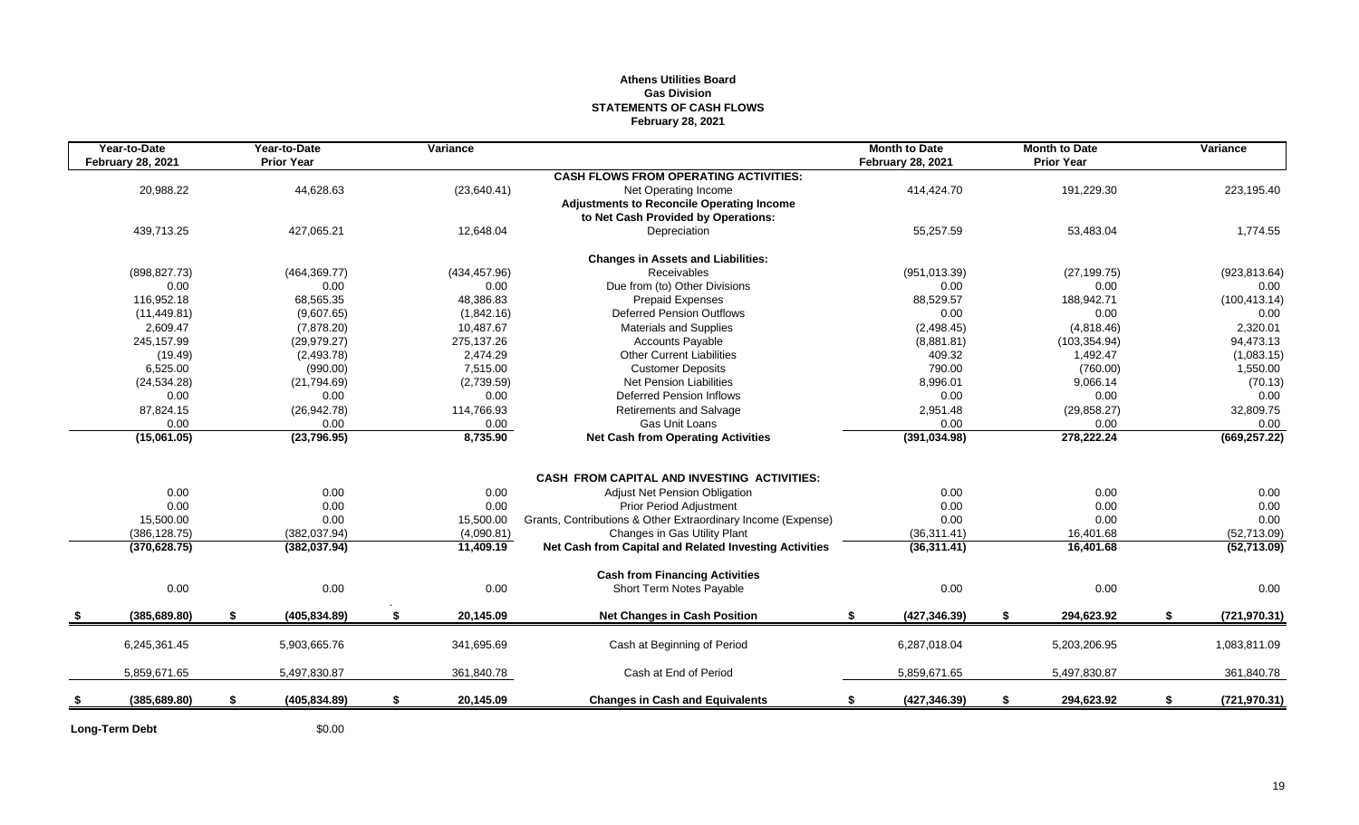# **Athens Utilities Board Gas Division STATEMENTS OF CASH FLOWS February 28, 2021**

| Year-to-Date<br><b>February 28, 2021</b> | Year-to-Date<br><b>Prior Year</b> | Variance        |                                                              | <b>Month to Date</b><br><b>February 28, 2021</b> |    | <b>Month to Date</b><br><b>Prior Year</b> | Variance            |
|------------------------------------------|-----------------------------------|-----------------|--------------------------------------------------------------|--------------------------------------------------|----|-------------------------------------------|---------------------|
|                                          |                                   |                 | <b>CASH FLOWS FROM OPERATING ACTIVITIES:</b>                 |                                                  |    |                                           |                     |
| 20,988.22                                | 44,628.63                         | (23,640.41)     | Net Operating Income                                         | 414,424.70                                       |    | 191,229.30                                | 223,195.40          |
|                                          |                                   |                 | <b>Adjustments to Reconcile Operating Income</b>             |                                                  |    |                                           |                     |
|                                          |                                   |                 | to Net Cash Provided by Operations:                          |                                                  |    |                                           |                     |
| 439,713.25                               | 427,065.21                        | 12,648.04       | Depreciation                                                 | 55,257.59                                        |    | 53,483.04                                 | 1,774.55            |
|                                          |                                   |                 | <b>Changes in Assets and Liabilities:</b>                    |                                                  |    |                                           |                     |
| (898, 827.73)                            | (464, 369.77)                     | (434, 457.96)   | Receivables                                                  | (951, 013.39)                                    |    | (27, 199.75)                              | (923, 813.64)       |
| 0.00                                     | 0.00                              | 0.00            | Due from (to) Other Divisions                                | 0.00                                             |    | 0.00                                      | 0.00                |
| 116,952.18                               | 68,565.35                         | 48,386.83       | <b>Prepaid Expenses</b>                                      | 88,529.57                                        |    | 188,942.71                                | (100, 413.14)       |
| (11, 449.81)                             | (9,607.65)                        | (1,842.16)      | <b>Deferred Pension Outflows</b>                             | 0.00                                             |    | 0.00                                      | 0.00                |
| 2,609.47                                 | (7,878.20)                        | 10,487.67       | <b>Materials and Supplies</b>                                | (2,498.45)                                       |    | (4,818.46)                                | 2,320.01            |
| 245,157.99                               | (29, 979.27)                      | 275,137.26      | <b>Accounts Payable</b>                                      | (8,881.81)                                       |    | (103, 354.94)                             | 94,473.13           |
| (19.49)                                  | (2,493.78)                        | 2,474.29        | <b>Other Current Liabilities</b>                             | 409.32                                           |    | 1,492.47                                  | (1,083.15)          |
| 6,525.00                                 | (990.00)                          | 7,515.00        | <b>Customer Deposits</b>                                     | 790.00                                           |    | (760.00)                                  | 1,550.00            |
| (24, 534.28)                             | (21,794.69)                       | (2,739.59)      | <b>Net Pension Liabilities</b>                               | 8,996.01                                         |    | 9,066.14                                  | (70.13)             |
| 0.00                                     | 0.00                              | 0.00            | <b>Deferred Pension Inflows</b>                              | 0.00                                             |    | 0.00                                      | 0.00                |
| 87,824.15                                | (26, 942.78)                      | 114,766.93      | <b>Retirements and Salvage</b>                               | 2,951.48                                         |    | (29, 858.27)                              | 32,809.75           |
| 0.00                                     | 0.00                              | 0.00            | Gas Unit Loans                                               | 0.00                                             |    | 0.00                                      | 0.00                |
| (15,061.05)                              | (23,796.95)                       | 8,735.90        | <b>Net Cash from Operating Activities</b>                    | (391, 034.98)                                    |    | 278,222.24                                | (669, 257.22)       |
|                                          |                                   |                 |                                                              |                                                  |    |                                           |                     |
|                                          |                                   |                 | CASH FROM CAPITAL AND INVESTING ACTIVITIES:                  |                                                  |    |                                           |                     |
| 0.00                                     | 0.00                              | 0.00            | Adjust Net Pension Obligation                                | 0.00                                             |    | 0.00                                      | 0.00                |
| 0.00                                     | 0.00                              | 0.00            | <b>Prior Period Adjustment</b>                               | 0.00                                             |    | 0.00                                      | 0.00                |
| 15,500.00                                | 0.00                              | 15,500.00       | Grants, Contributions & Other Extraordinary Income (Expense) | 0.00                                             |    | 0.00                                      | 0.00                |
| (386, 128.75)                            | (382, 037.94)                     | (4,090.81)      | Changes in Gas Utility Plant                                 | (36, 311.41)                                     |    | 16,401.68                                 | (52,713.09)         |
| (370, 628.75)                            | (382, 037.94)                     | 11,409.19       | Net Cash from Capital and Related Investing Activities       | (36, 311.41)                                     |    | 16,401.68                                 | (52,713.09)         |
|                                          |                                   |                 | <b>Cash from Financing Activities</b>                        |                                                  |    |                                           |                     |
| 0.00                                     | 0.00                              | 0.00            | Short Term Notes Payable                                     | 0.00                                             |    | 0.00                                      | 0.00                |
| (385, 689.80)                            | \$<br>(405, 834.89)               | \$<br>20,145.09 | <b>Net Changes in Cash Position</b>                          | (427, 346.39)<br>\$                              | \$ | 294,623.92                                | \$<br>(721, 970.31) |
|                                          |                                   |                 |                                                              |                                                  |    |                                           |                     |
| 6,245,361.45                             | 5,903,665.76                      | 341,695.69      | Cash at Beginning of Period                                  | 6,287,018.04                                     |    | 5,203,206.95                              | 1,083,811.09        |
| 5,859,671.65                             | 5,497,830.87                      | 361,840.78      | Cash at End of Period                                        | 5,859,671.65                                     |    | 5,497,830.87                              | 361,840.78          |
| (385, 689.80)                            | \$<br>(405, 834.89)               | \$<br>20,145.09 | <b>Changes in Cash and Equivalents</b>                       | (427, 346.39)<br>\$                              | \$ | 294,623.92                                | \$<br>(721, 970.31) |
|                                          |                                   |                 |                                                              |                                                  |    |                                           |                     |

**Long-Term Debt** \$0.00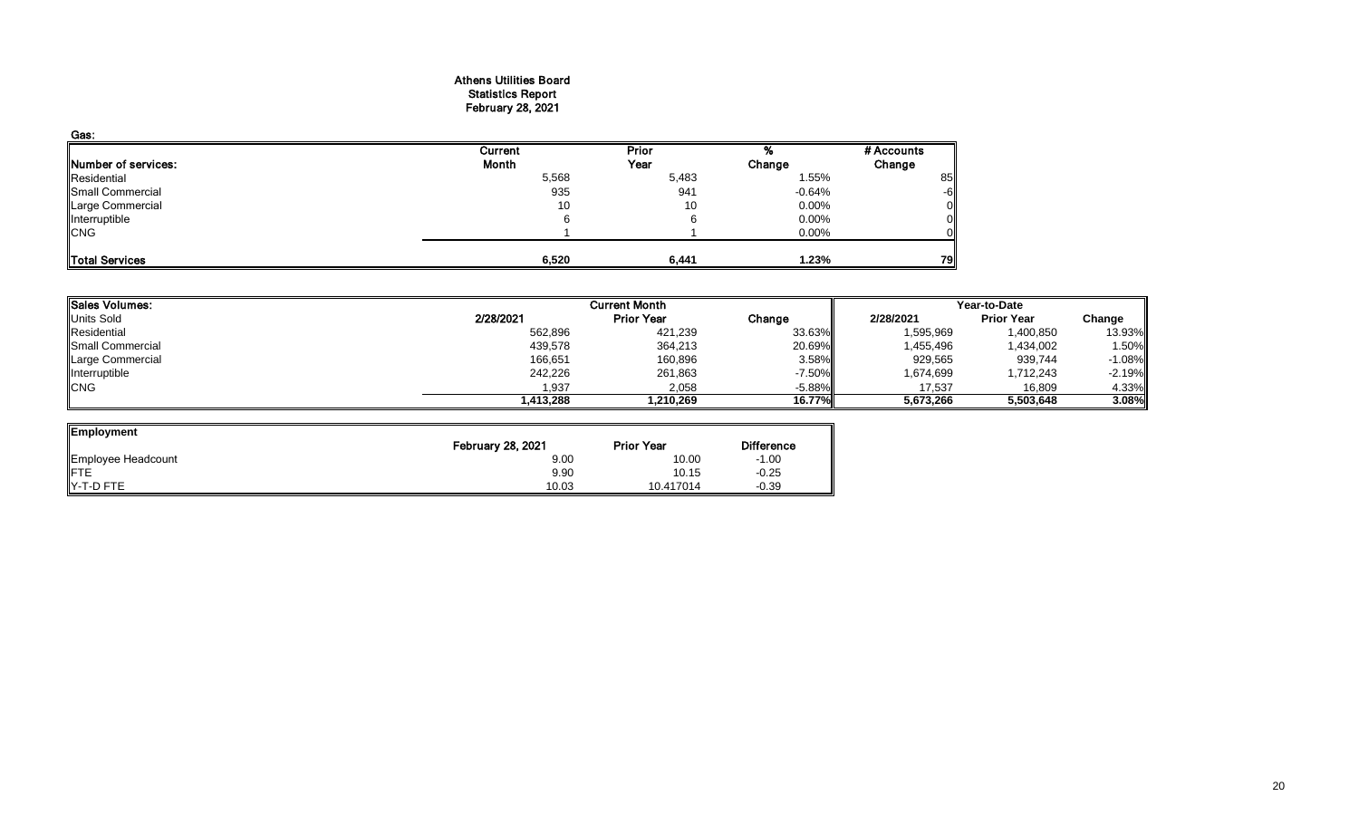## Athens Utilities Board Statistics Report February 28, 2021

| Gas:                |         |              |          |            |
|---------------------|---------|--------------|----------|------------|
|                     | Current | <b>Prior</b> |          | # Accounts |
| Number of services: | Month   | Year         | Change   | Change     |
| Residential         | 5,568   | 5,483        | 1.55%    | 85         |
| Small Commercial    | 935     | 941          | -0.64%   | -6         |
| Large Commercial    | 10      | 10           | $0.00\%$ |            |
| Interruptible       | 6       |              | $0.00\%$ |            |
| <b>CNG</b>          |         |              | 0.00%    |            |
| Total Services      | 6,520   | 6,441        | 1.23%    | 79         |

| Sales Volumes:          |           | <b>Current Month</b> |           |           | Year-to-Date      |          |  |  |
|-------------------------|-----------|----------------------|-----------|-----------|-------------------|----------|--|--|
| Units Sold              | 2/28/2021 | <b>Prior Year</b>    | Change    | 2/28/2021 | <b>Prior Year</b> | Change   |  |  |
| Residential             | 562,896   | 421,239              | 33.63%    | 1,595,969 | 1,400,850         | 13.93%   |  |  |
| <b>Small Commercial</b> | 439,578   | 364,213              | 20.69%    | 1,455,496 | 1,434,002         | 1.50%    |  |  |
| Large Commercial        | 166,651   | 160,896              | 3.58%     | 929,565   | 939,744           | $-1.08%$ |  |  |
| Interruptible           | 242,226   | 261,863              | $-7.50\%$ | 1,674,699 | 1,712,243         | $-2.19%$ |  |  |
| <b>CNG</b>              | 1,937     | 2,058                | $-5.88\%$ | 17,537    | 16,809            | 4.33%    |  |  |
|                         | 1,413,288 | 1,210,269            | 16.77%    | 5,673,266 | 5,503,648         | 3.08%    |  |  |

 $\overline{\phantom{0}}$ 

| Employment         |                          |                   |                   |
|--------------------|--------------------------|-------------------|-------------------|
|                    | <b>February 28, 2021</b> | <b>Prior Year</b> | <b>Difference</b> |
| Employee Headcount | 9.00                     | 10.00             | $-1.00$           |
| <b>FTE</b>         | 9.90                     | 10.15             | $-0.25$           |
| Y-T-D FTE          | 10.03                    | 10.417014         | $-0.39$           |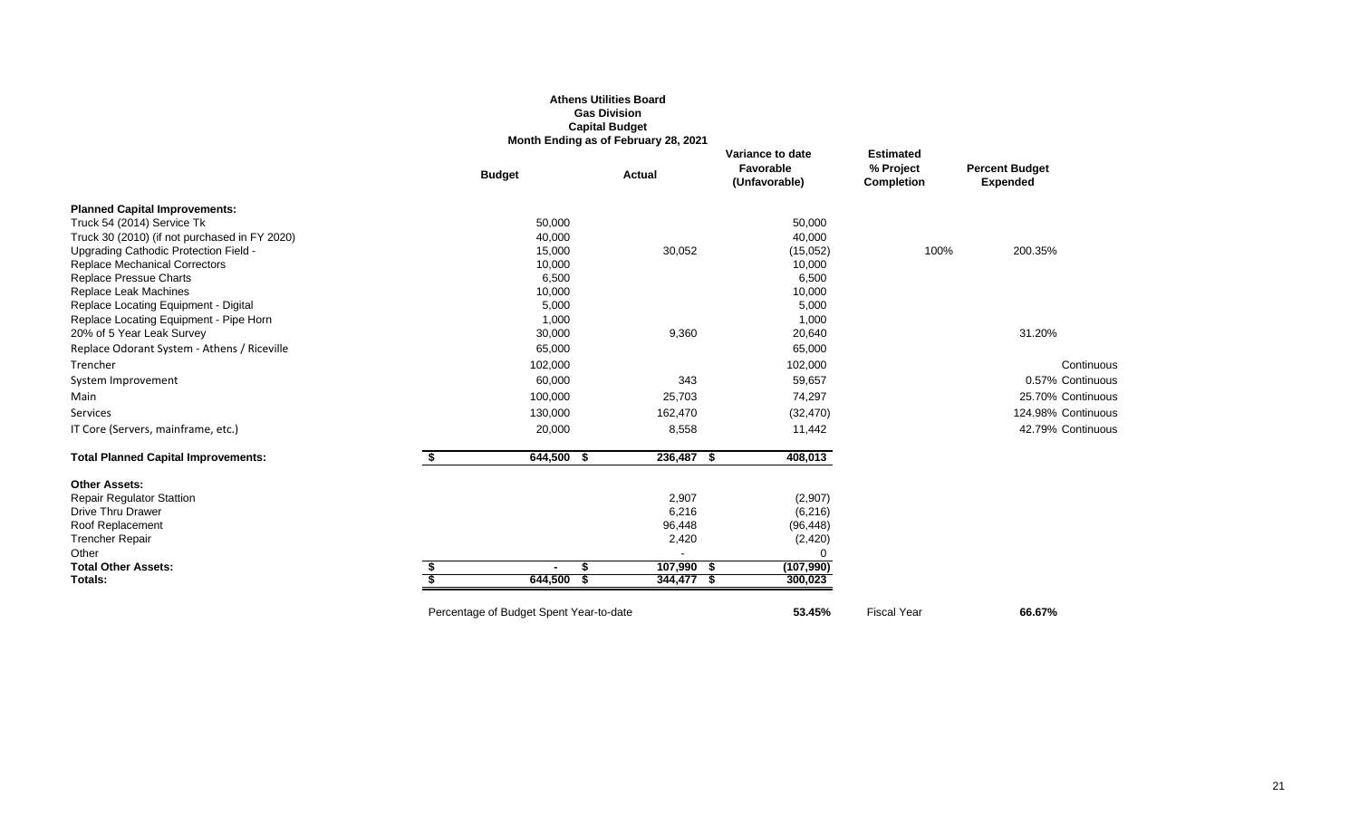# **Athens Utilities Board Gas Division Capital Budget Month Ending as of February 28, 2021**

|                                               | <b>Budget</b>                           | Actual          | Variance to date<br><b>Favorable</b><br>(Unfavorable) | <b>Estimated</b><br>% Project<br><b>Completion</b> | <b>Percent Budget</b><br><b>Expended</b> |
|-----------------------------------------------|-----------------------------------------|-----------------|-------------------------------------------------------|----------------------------------------------------|------------------------------------------|
| <b>Planned Capital Improvements:</b>          |                                         |                 |                                                       |                                                    |                                          |
| Truck 54 (2014) Service Tk                    | 50,000                                  |                 | 50,000                                                |                                                    |                                          |
| Truck 30 (2010) (if not purchased in FY 2020) | 40,000                                  |                 | 40,000                                                |                                                    |                                          |
| Upgrading Cathodic Protection Field -         | 15,000                                  | 30,052          | (15,052)                                              | 100%                                               | 200.35%                                  |
| <b>Replace Mechanical Correctors</b>          | 10,000                                  |                 | 10,000                                                |                                                    |                                          |
| Replace Pressue Charts                        | 6,500                                   |                 | 6,500                                                 |                                                    |                                          |
| Replace Leak Machines                         | 10,000                                  |                 | 10,000                                                |                                                    |                                          |
| Replace Locating Equipment - Digital          | 5,000                                   |                 | 5,000                                                 |                                                    |                                          |
| Replace Locating Equipment - Pipe Horn        | 1,000                                   |                 | 1,000                                                 |                                                    |                                          |
| 20% of 5 Year Leak Survey                     | 30,000                                  | 9,360           | 20,640                                                |                                                    | 31.20%                                   |
| Replace Odorant System - Athens / Riceville   | 65,000                                  |                 | 65,000                                                |                                                    |                                          |
| Trencher                                      | 102,000                                 |                 | 102,000                                               |                                                    | Continuous                               |
| System Improvement                            | 60,000                                  | 343             | 59,657                                                |                                                    | 0.57% Continuous                         |
| Main                                          | 100,000                                 | 25,703          | 74,297                                                |                                                    | 25.70% Continuous                        |
| Services                                      | 130,000                                 | 162,470         | (32, 470)                                             |                                                    | 124.98% Continuous                       |
| IT Core (Servers, mainframe, etc.)            | 20,000                                  | 8,558           | 11,442                                                |                                                    | 42.79% Continuous                        |
| <b>Total Planned Capital Improvements:</b>    | 644,500<br>\$<br>- \$                   | 236,487 \$      | 408,013                                               |                                                    |                                          |
| <b>Other Assets:</b>                          |                                         |                 |                                                       |                                                    |                                          |
| <b>Repair Regulator Stattion</b>              |                                         | 2,907           | (2,907)                                               |                                                    |                                          |
| <b>Drive Thru Drawer</b>                      |                                         | 6,216           | (6, 216)                                              |                                                    |                                          |
| Roof Replacement<br><b>Trencher Repair</b>    |                                         | 96,448<br>2,420 | (96, 448)                                             |                                                    |                                          |
| Other                                         |                                         |                 | (2, 420)<br>O                                         |                                                    |                                          |
| <b>Total Other Assets:</b>                    | $\blacksquare$                          | 107,990 \$      | (107, 990)                                            |                                                    |                                          |
| Totals:                                       | 644,500                                 | 344,477 \$      | 300,023                                               |                                                    |                                          |
|                                               | Percentage of Budget Spent Year-to-date |                 | 53.45%                                                | <b>Fiscal Year</b>                                 | 66.67%                                   |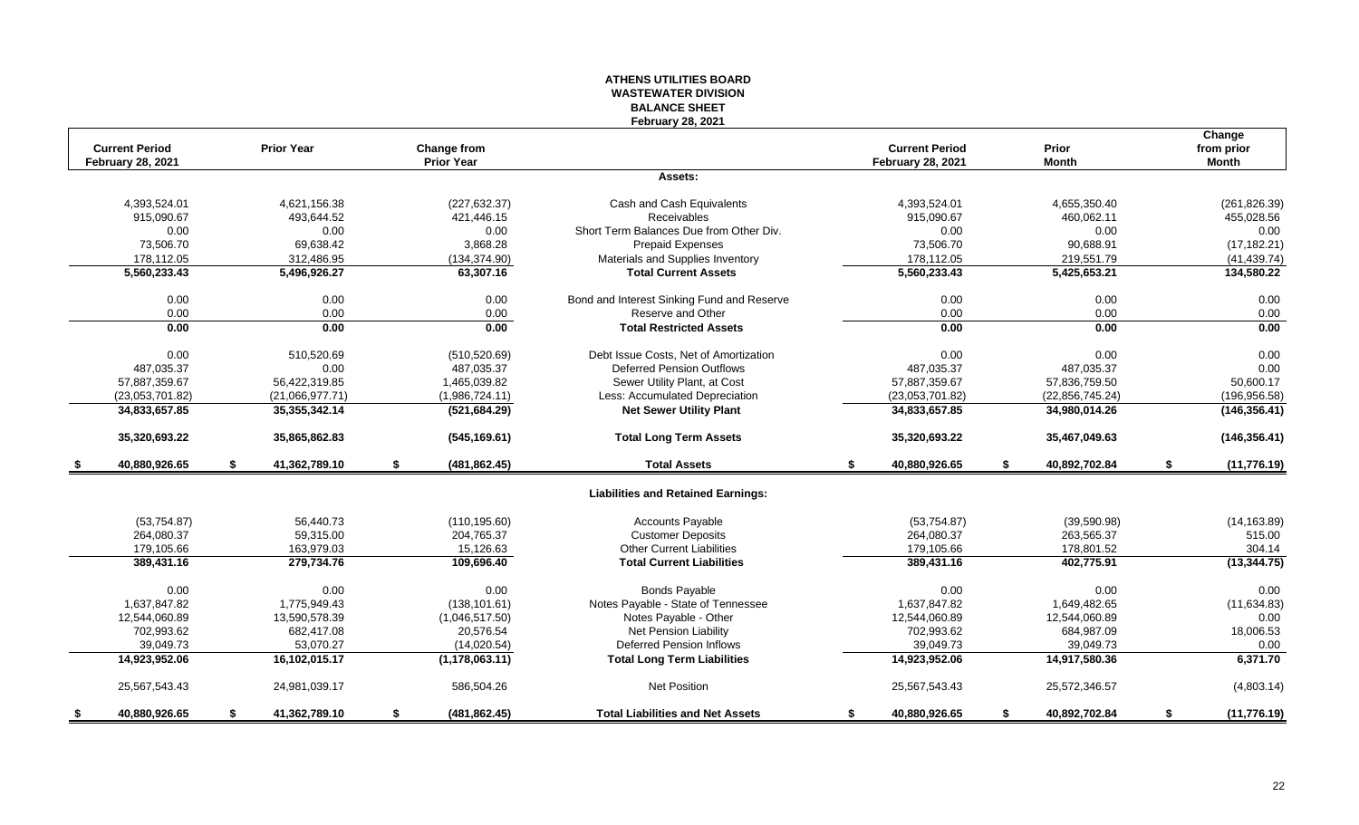# **ATHENS UTILITIES BOARD WASTEWATER DIVISION BALANCE SHEET February 28, 2021**

| <b>Current Period</b><br><b>February 28, 2021</b> | <b>Prior Year</b>   | <b>Change from</b><br><b>Prior Year</b> |                                            | <b>Current Period</b><br><b>February 28, 2021</b> |    | Prior<br><b>Month</b> |    | Change<br>from prior<br><b>Month</b> |
|---------------------------------------------------|---------------------|-----------------------------------------|--------------------------------------------|---------------------------------------------------|----|-----------------------|----|--------------------------------------|
|                                                   |                     |                                         | Assets:                                    |                                                   |    |                       |    |                                      |
| 4,393,524.01                                      | 4,621,156.38        | (227, 632.37)                           | Cash and Cash Equivalents                  | 4,393,524.01                                      |    | 4,655,350.40          |    | (261, 826.39)                        |
| 915,090.67                                        | 493,644.52          | 421,446.15                              | <b>Receivables</b>                         | 915,090.67                                        |    | 460,062.11            |    | 455,028.56                           |
| 0.00                                              | 0.00                | 0.00                                    | Short Term Balances Due from Other Div.    | 0.00                                              |    | 0.00                  |    | 0.00                                 |
| 73,506.70                                         | 69,638.42           | 3,868.28                                | <b>Prepaid Expenses</b>                    | 73,506.70                                         |    | 90,688.91             |    | (17, 182.21)                         |
| 178,112.05                                        | 312,486.95          | (134, 374.90)                           | Materials and Supplies Inventory           | 178,112.05                                        |    | 219,551.79            |    | (41, 439.74)                         |
| 5,560,233.43                                      | 5,496,926.27        | 63,307.16                               | <b>Total Current Assets</b>                | 5,560,233.43                                      |    | 5,425,653.21          |    | 134,580.22                           |
| 0.00                                              | 0.00                | 0.00                                    | Bond and Interest Sinking Fund and Reserve | 0.00                                              |    | 0.00                  |    | 0.00                                 |
| 0.00                                              | 0.00                | 0.00                                    | Reserve and Other                          | 0.00                                              |    | 0.00                  |    | 0.00                                 |
| 0.00                                              | 0.00                | 0.00                                    | <b>Total Restricted Assets</b>             | 0.00                                              |    | 0.00                  |    | 0.00                                 |
| 0.00                                              | 510,520.69          | (510, 520.69)                           | Debt Issue Costs. Net of Amortization      | 0.00                                              |    | 0.00                  |    | 0.00                                 |
| 487,035.37                                        | 0.00                | 487,035.37                              | <b>Deferred Pension Outflows</b>           | 487,035.37                                        |    | 487,035.37            |    | 0.00                                 |
| 57,887,359.67                                     | 56,422,319.85       | 1,465,039.82                            | Sewer Utility Plant, at Cost               | 57,887,359.67                                     |    | 57,836,759.50         |    | 50,600.17                            |
| (23,053,701.82)                                   | (21,066,977.71)     | (1,986,724.11)                          | Less: Accumulated Depreciation             | (23,053,701.82)                                   |    | (22, 856, 745.24)     |    | (196, 956.58)                        |
| 34,833,657.85                                     | 35, 355, 342. 14    | (521, 684.29)                           | <b>Net Sewer Utility Plant</b>             | 34,833,657.85                                     |    | 34,980,014.26         |    | (146, 356.41)                        |
| 35,320,693.22                                     | 35,865,862.83       | (545, 169.61)                           | <b>Total Long Term Assets</b>              | 35,320,693.22                                     |    | 35,467,049.63         |    | (146, 356.41)                        |
| 40,880,926.65                                     | \$<br>41,362,789.10 | \$<br>(481, 862.45)                     | <b>Total Assets</b>                        | \$<br>40,880,926.65                               | S. | 40,892,702.84         | S. | (11, 776.19)                         |
|                                                   |                     |                                         | <b>Liabilities and Retained Earnings:</b>  |                                                   |    |                       |    |                                      |
| (53, 754.87)                                      | 56.440.73           | (110, 195.60)                           | <b>Accounts Payable</b>                    | (53,754.87)                                       |    | (39,590.98)           |    | (14, 163.89)                         |
| 264,080.37                                        | 59,315.00           | 204,765.37                              | <b>Customer Deposits</b>                   | 264,080.37                                        |    | 263,565.37            |    | 515.00                               |
| 179,105.66                                        | 163,979.03          | 15,126.63                               | <b>Other Current Liabilities</b>           | 179,105.66                                        |    | 178,801.52            |    | 304.14                               |
| 389,431.16                                        | 279,734.76          | 109,696.40                              | <b>Total Current Liabilities</b>           | 389,431.16                                        |    | 402,775.91            |    | (13, 344.75)                         |
| 0.00                                              | 0.00                | 0.00                                    | <b>Bonds Payable</b>                       | 0.00                                              |    | 0.00                  |    | 0.00                                 |
| 1.637.847.82                                      | 1,775,949.43        | (138, 101.61)                           | Notes Payable - State of Tennessee         | 1.637.847.82                                      |    | 1.649.482.65          |    | (11, 634.83)                         |
| 12,544,060.89                                     | 13,590,578.39       | (1,046,517.50)                          | Notes Payable - Other                      | 12,544,060.89                                     |    | 12,544,060.89         |    | 0.00                                 |
| 702,993.62                                        | 682,417.08          | 20,576.54                               | Net Pension Liability                      | 702,993.62                                        |    | 684,987.09            |    | 18,006.53                            |
| 39.049.73                                         | 53.070.27           | (14,020.54)                             | <b>Deferred Pension Inflows</b>            | 39.049.73                                         |    | 39.049.73             |    | 0.00                                 |
| 14,923,952.06                                     | 16,102,015.17       | (1, 178, 063.11)                        | <b>Total Long Term Liabilities</b>         | 14,923,952.06                                     |    | 14,917,580.36         |    | 6,371.70                             |
| 25,567,543.43                                     | 24,981,039.17       | 586,504.26                              | Net Position                               | 25,567,543.43                                     |    | 25,572,346.57         |    | (4,803.14)                           |
| 40,880,926.65                                     | \$<br>41,362,789.10 | \$<br>(481, 862.45)                     | <b>Total Liabilities and Net Assets</b>    | \$<br>40,880,926.65                               | \$ | 40,892,702.84         | \$ | (11, 776.19)                         |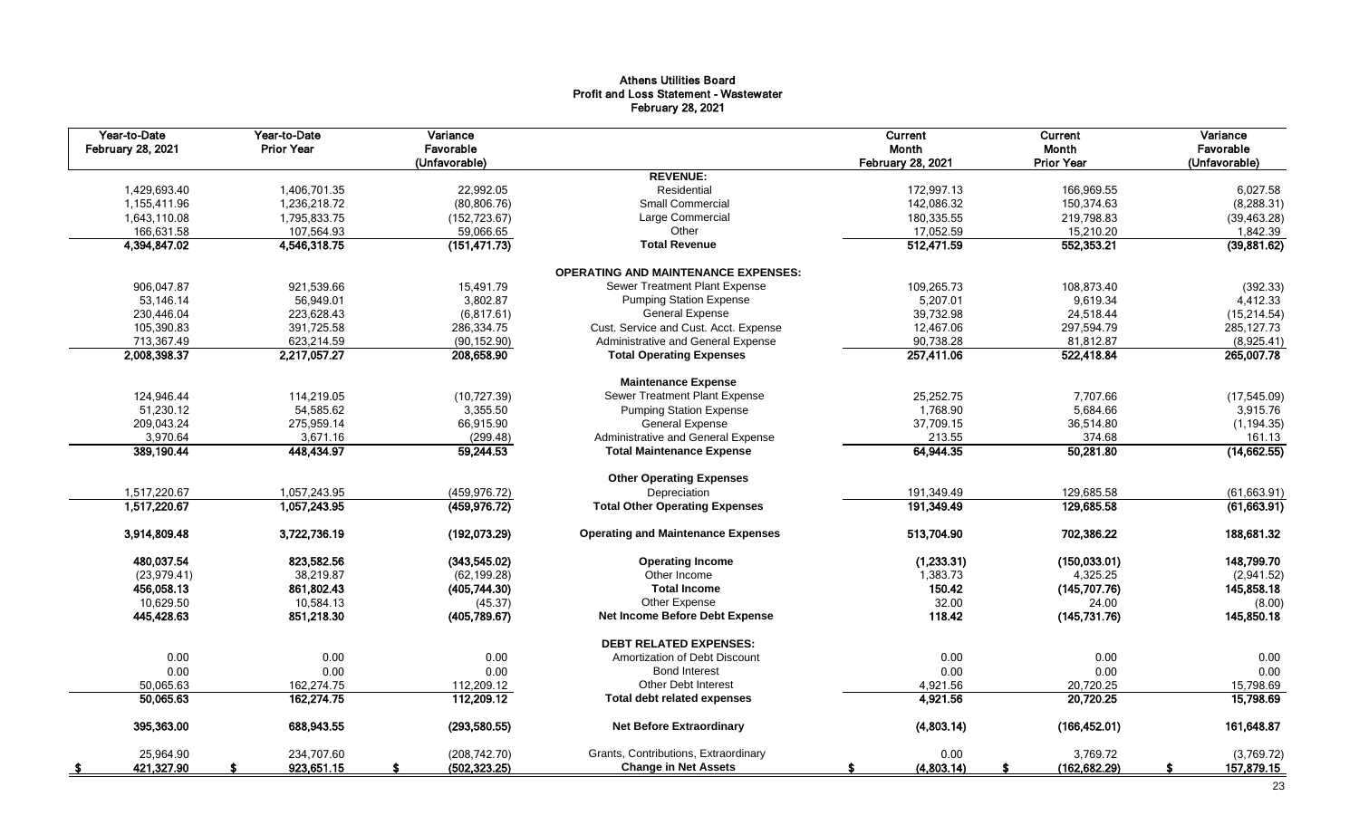# Athens Utilities Board Profit and Loss Statement - Wastewater February 28, 2021

| Year-to-Date<br><b>February 28, 2021</b> | Year-to-Date<br><b>Prior Year</b> | Variance<br>Favorable<br>(Unfavorable) |                                            | Current<br>Month<br><b>February 28, 2021</b> | Current<br>Month<br><b>Prior Year</b> | Variance<br>Favorable<br>(Unfavorable) |
|------------------------------------------|-----------------------------------|----------------------------------------|--------------------------------------------|----------------------------------------------|---------------------------------------|----------------------------------------|
|                                          |                                   |                                        | <b>REVENUE:</b>                            |                                              |                                       |                                        |
| 1,429,693.40                             | 1,406,701.35                      | 22,992.05                              | Residential                                | 172,997.13                                   | 166,969.55                            | 6,027.58                               |
| 1,155,411.96                             | 1,236,218.72                      | (80, 806.76)                           | <b>Small Commercial</b>                    | 142,086.32                                   | 150,374.63                            | (8, 288.31)                            |
| 1,643,110.08                             | 1,795,833.75                      | (152, 723.67)                          | Large Commercial                           | 180,335.55                                   | 219,798.83                            | (39, 463.28)                           |
| 166,631.58                               | 107,564.93                        | 59,066.65                              | Other                                      | 17,052.59                                    | 15,210.20                             | 1,842.39                               |
| 4,394,847.02                             | 4,546,318.75                      | (151, 471.73)                          | <b>Total Revenue</b>                       | 512,471.59                                   | 552,353.21                            | (39,881.62)                            |
|                                          |                                   |                                        | <b>OPERATING AND MAINTENANCE EXPENSES:</b> |                                              |                                       |                                        |
| 906,047.87                               | 921,539.66                        | 15,491.79                              | Sewer Treatment Plant Expense              | 109,265.73                                   | 108,873.40                            | (392.33)                               |
| 53,146.14                                | 56,949.01                         | 3,802.87                               | <b>Pumping Station Expense</b>             | 5,207.01                                     | 9,619.34                              | 4,412.33                               |
| 230,446.04                               | 223,628.43                        | (6,817.61)                             | <b>General Expense</b>                     | 39,732.98                                    | 24,518.44                             | (15, 214.54)                           |
| 105,390.83                               | 391,725.58                        | 286,334.75                             | Cust. Service and Cust. Acct. Expense      | 12,467.06                                    | 297,594.79                            | 285, 127.73                            |
| 713,367.49                               | 623,214.59                        | (90, 152.90)                           | Administrative and General Expense         | 90,738.28                                    | 81,812.87                             | (8,925.41)                             |
| 2,008,398.37                             | 2,217,057.27                      | 208,658.90                             | <b>Total Operating Expenses</b>            | 257,411.06                                   | 522,418.84                            | 265,007.78                             |
|                                          |                                   |                                        | <b>Maintenance Expense</b>                 |                                              |                                       |                                        |
| 124,946.44                               | 114,219.05                        | (10, 727.39)                           | Sewer Treatment Plant Expense              | 25,252.75                                    | 7,707.66                              | (17, 545.09)                           |
| 51,230.12                                | 54,585.62                         | 3,355.50                               | <b>Pumping Station Expense</b>             | 1,768.90                                     | 5,684.66                              | 3,915.76                               |
| 209,043.24                               | 275,959.14                        | 66,915.90                              | <b>General Expense</b>                     | 37,709.15                                    | 36,514.80                             | (1, 194.35)                            |
| 3,970.64                                 | 3,671.16                          | (299.48)                               | Administrative and General Expense         | 213.55                                       | 374.68                                | 161.13                                 |
| 389,190.44                               | 448,434.97                        | 59,244.53                              | <b>Total Maintenance Expense</b>           | 64,944.35                                    | 50,281.80                             | (14, 662.55)                           |
|                                          |                                   |                                        | <b>Other Operating Expenses</b>            |                                              |                                       |                                        |
| 1,517,220.67                             | 1,057,243.95                      | (459, 976.72)                          | Depreciation                               | 191,349.49                                   | 129,685.58                            | (61, 663.91)                           |
| 1,517,220.67                             | 1,057,243.95                      | (459, 976.72)                          | <b>Total Other Operating Expenses</b>      | 191,349.49                                   | 129,685.58                            | (61,663.91)                            |
| 3,914,809.48                             | 3,722,736.19                      | (192,073.29)                           | <b>Operating and Maintenance Expenses</b>  | 513,704.90                                   | 702,386.22                            | 188,681.32                             |
| 480,037.54                               | 823,582.56                        | (343, 545.02)                          | <b>Operating Income</b>                    | (1,233.31)                                   | (150, 033.01)                         | 148,799.70                             |
| (23,979.41)                              | 38,219.87                         | (62, 199.28)                           | Other Income                               | 1,383.73                                     | 4,325.25                              | (2,941.52)                             |
| 456,058.13                               | 861,802.43                        | (405,744.30)                           | <b>Total Income</b>                        | 150.42                                       | (145, 707.76)                         | 145,858.18                             |
| 10,629.50                                | 10,584.13                         | (45.37)                                | Other Expense                              | 32.00                                        | 24.00                                 | (8.00)                                 |
| 445,428.63                               | 851,218.30                        | (405,789.67)                           | Net Income Before Debt Expense             | 118.42                                       | (145,731.76)                          | 145,850.18                             |
|                                          |                                   |                                        | <b>DEBT RELATED EXPENSES:</b>              |                                              |                                       |                                        |
| 0.00                                     | 0.00                              | 0.00                                   | Amortization of Debt Discount              | 0.00                                         | 0.00                                  | 0.00                                   |
| 0.00                                     | 0.00                              | 0.00                                   | <b>Bond Interest</b>                       | 0.00                                         | 0.00                                  | 0.00                                   |
| 50,065.63                                | 162,274.75                        | 112,209.12                             | <b>Other Debt Interest</b>                 | 4,921.56                                     | 20,720.25                             | 15,798.69                              |
| 50,065.63                                | 162,274.75                        | 112,209.12                             | <b>Total debt related expenses</b>         | 4,921.56                                     | 20,720.25                             | 15,798.69                              |
| 395,363.00                               | 688,943.55                        | (293, 580.55)                          | <b>Net Before Extraordinary</b>            | (4,803.14)                                   | (166, 452.01)                         | 161,648.87                             |
| 25,964.90                                | 234,707.60                        | (208, 742.70)                          | Grants, Contributions, Extraordinary       | 0.00                                         | 3,769.72                              | (3,769.72)                             |
| 421,327.90<br>- \$                       | 923,651.15                        | (502, 323.25)                          | <b>Change in Net Assets</b>                | (4,803.14)                                   | (162, 682.29)                         | 157,879.15                             |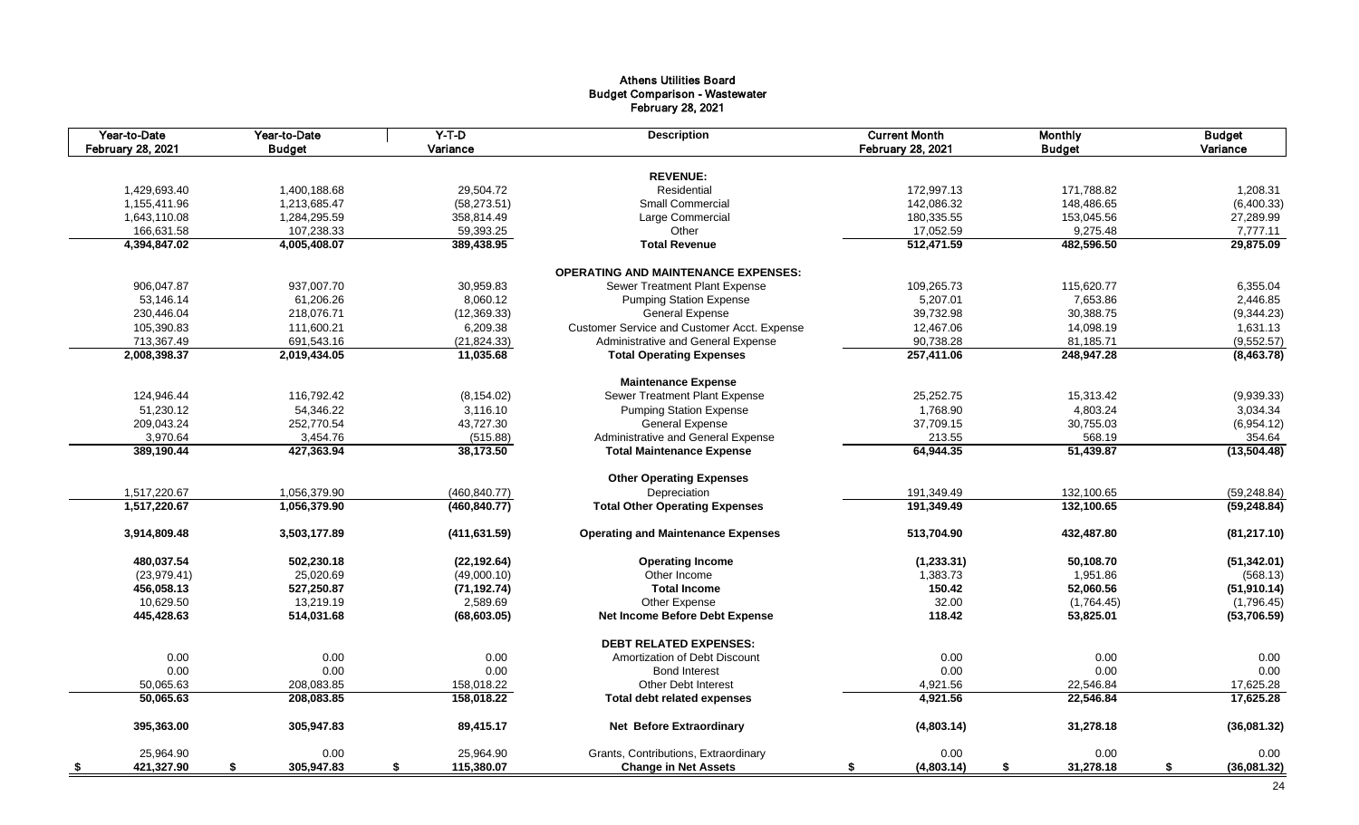# Athens Utilities Board Budget Comparison - Wastewater February 28, 2021

| Year-to-Date<br><b>February 28, 2021</b> | Year-to-Date<br><b>Budget</b> | $Y-T-D$<br>Variance | <b>Description</b>                          | <b>Current Month</b><br>February 28, 2021 | <b>Monthly</b><br><b>Budget</b> | <b>Budget</b><br>Variance |
|------------------------------------------|-------------------------------|---------------------|---------------------------------------------|-------------------------------------------|---------------------------------|---------------------------|
|                                          |                               |                     |                                             |                                           |                                 |                           |
|                                          |                               |                     | <b>REVENUE:</b>                             |                                           |                                 |                           |
| 1,429,693.40                             | 1,400,188.68                  | 29,504.72           | Residential                                 | 172,997.13                                | 171,788.82                      | 1,208.31                  |
| 1,155,411.96                             | 1,213,685.47                  | (58, 273.51)        | Small Commercial                            | 142,086.32                                | 148,486.65                      | (6,400.33)                |
| 1,643,110.08                             | 1,284,295.59                  | 358,814.49          | Large Commercial                            | 180,335.55                                | 153,045.56                      | 27,289.99                 |
| 166,631.58                               | 107,238.33                    | 59,393.25           | Other                                       | 17,052.59                                 | 9,275.48                        | 7,777.11                  |
| 4,394,847.02                             | 4,005,408.07                  | 389,438.95          | <b>Total Revenue</b>                        | 512,471.59                                | 482,596.50                      | 29,875.09                 |
|                                          |                               |                     | <b>OPERATING AND MAINTENANCE EXPENSES:</b>  |                                           |                                 |                           |
| 906,047.87                               | 937,007.70                    | 30,959.83           | Sewer Treatment Plant Expense               | 109,265.73                                | 115,620.77                      | 6,355.04                  |
| 53,146.14                                | 61,206.26                     | 8,060.12            | <b>Pumping Station Expense</b>              | 5,207.01                                  | 7,653.86                        | 2,446.85                  |
| 230,446.04                               | 218,076.71                    | (12, 369.33)        | General Expense                             | 39,732.98                                 | 30,388.75                       | (9,344.23)                |
| 105,390.83                               | 111,600.21                    | 6,209.38            | Customer Service and Customer Acct. Expense | 12,467.06                                 | 14,098.19                       | 1,631.13                  |
| 713,367.49                               | 691,543.16                    | (21, 824.33)        | Administrative and General Expense          | 90,738.28                                 | 81,185.71                       | (9,552.57)                |
| 2,008,398.37                             | 2,019,434.05                  | 11,035.68           | <b>Total Operating Expenses</b>             | 257,411.06                                | 248,947.28                      | (8,463.78)                |
|                                          |                               |                     | <b>Maintenance Expense</b>                  |                                           |                                 |                           |
| 124,946.44                               | 116,792.42                    | (8, 154.02)         | Sewer Treatment Plant Expense               | 25,252.75                                 | 15,313.42                       | (9,939.33)                |
| 51,230.12                                | 54,346.22                     | 3,116.10            | <b>Pumping Station Expense</b>              | 1,768.90                                  | 4,803.24                        | 3,034.34                  |
| 209,043.24                               | 252,770.54                    | 43,727.30           | <b>General Expense</b>                      | 37,709.15                                 | 30,755.03                       | (6,954.12)                |
| 3,970.64                                 | 3,454.76                      | (515.88)            | Administrative and General Expense          | 213.55                                    | 568.19                          | 354.64                    |
| 389,190.44                               | 427,363.94                    | 38,173.50           | <b>Total Maintenance Expense</b>            | 64,944.35                                 | 51,439.87                       | (13,504.48)               |
|                                          |                               |                     |                                             |                                           |                                 |                           |
|                                          |                               |                     | <b>Other Operating Expenses</b>             |                                           |                                 |                           |
| 1,517,220.67                             | 1,056,379.90                  | (460, 840.77)       | Depreciation                                | 191,349.49                                | 132,100.65                      | (59, 248.84)              |
| 1,517,220.67                             | 1,056,379.90                  | (460, 840.77)       | <b>Total Other Operating Expenses</b>       | 191,349.49                                | 132,100.65                      | (59, 248.84)              |
| 3,914,809.48                             | 3,503,177.89                  | (411, 631.59)       | <b>Operating and Maintenance Expenses</b>   | 513,704.90                                | 432,487.80                      | (81, 217.10)              |
| 480,037.54                               | 502,230.18                    | (22, 192.64)        | <b>Operating Income</b>                     | (1, 233.31)                               | 50,108.70                       | (51, 342.01)              |
| (23, 979.41)                             | 25,020.69                     | (49,000.10)         | Other Income                                | 1,383.73                                  | 1,951.86                        | (568.13)                  |
| 456,058.13                               | 527,250.87                    | (71, 192.74)        | <b>Total Income</b>                         | 150.42                                    | 52,060.56                       | (51, 910.14)              |
| 10,629.50                                | 13,219.19                     | 2,589.69            | Other Expense                               | 32.00                                     | (1,764.45)                      | (1,796.45)                |
| 445,428.63                               | 514,031.68                    | (68, 603.05)        | Net Income Before Debt Expense              | 118.42                                    | 53,825.01                       | (53,706.59)               |
|                                          |                               |                     | <b>DEBT RELATED EXPENSES:</b>               |                                           |                                 |                           |
| 0.00                                     | 0.00                          | 0.00                | Amortization of Debt Discount               | 0.00                                      | 0.00                            | 0.00                      |
| 0.00                                     | 0.00                          | 0.00                | <b>Bond Interest</b>                        | 0.00                                      | 0.00                            | 0.00                      |
| 50,065.63                                | 208,083.85                    | 158,018.22          | <b>Other Debt Interest</b>                  | 4,921.56                                  | 22,546.84                       | 17,625.28                 |
| 50,065.63                                | 208,083.85                    | 158,018.22          | <b>Total debt related expenses</b>          | 4,921.56                                  | 22,546.84                       | 17,625.28                 |
| 395,363.00                               | 305,947.83                    | 89,415.17           | Net Before Extraordinary                    | (4,803.14)                                | 31,278.18                       | (36,081.32)               |
| 25,964.90                                | 0.00                          | 25,964.90           | Grants, Contributions, Extraordinary        | 0.00                                      | 0.00                            | 0.00                      |
| 421,327.90<br><u>\$</u>                  | 305,947.83<br>\$              | 115,380.07<br>\$    | <b>Change in Net Assets</b>                 | (4,803.14)<br>S.                          | \$<br>31,278.18                 | \$<br>(36,081.32)         |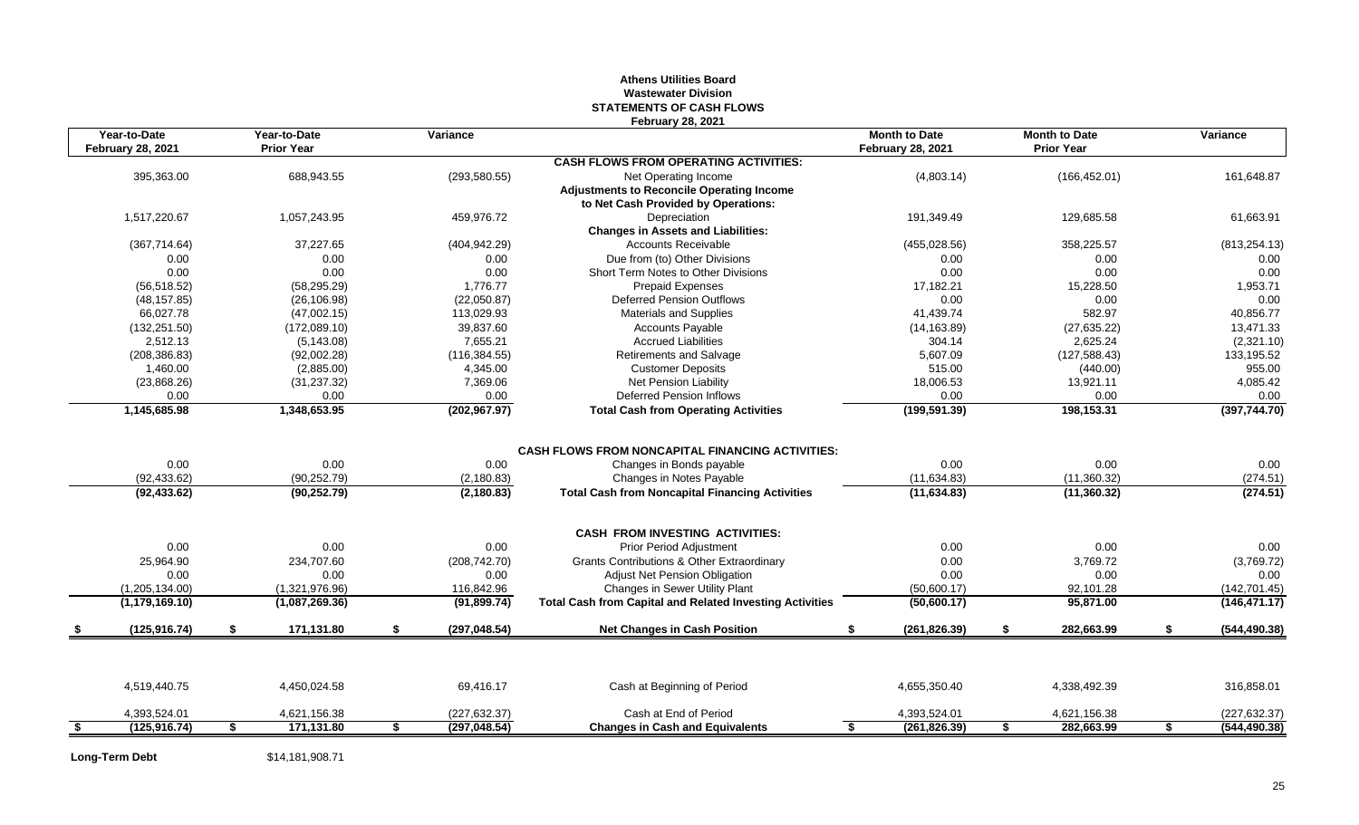# **Athens Utilities Board Wastewater Division STATEMENTS OF CASH FLOWS February 28, 2021**

| Year-to-Date<br><b>February 28, 2021</b> |     | Year-to-Date<br><b>Prior Year</b> |     | Variance      |                                                                 | <b>Month to Date</b><br><b>February 28, 2021</b> |    | <b>Month to Date</b><br><b>Prior Year</b> |     | Variance      |
|------------------------------------------|-----|-----------------------------------|-----|---------------|-----------------------------------------------------------------|--------------------------------------------------|----|-------------------------------------------|-----|---------------|
|                                          |     |                                   |     |               | <b>CASH FLOWS FROM OPERATING ACTIVITIES:</b>                    |                                                  |    |                                           |     |               |
| 395,363.00                               |     | 688,943.55                        |     | (293, 580.55) | Net Operating Income                                            | (4,803.14)                                       |    | (166, 452.01)                             |     | 161,648.87    |
|                                          |     |                                   |     |               | <b>Adjustments to Reconcile Operating Income</b>                |                                                  |    |                                           |     |               |
|                                          |     |                                   |     |               | to Net Cash Provided by Operations:                             |                                                  |    |                                           |     |               |
| 1,517,220.67                             |     | 1,057,243.95                      |     | 459,976.72    | Depreciation                                                    | 191,349.49                                       |    | 129,685.58                                |     | 61,663.91     |
|                                          |     |                                   |     |               | <b>Changes in Assets and Liabilities:</b>                       |                                                  |    |                                           |     |               |
| (367, 714.64)                            |     | 37,227.65                         |     | (404, 942.29) | <b>Accounts Receivable</b>                                      | (455, 028.56)                                    |    | 358,225.57                                |     | (813, 254.13) |
| 0.00                                     |     | 0.00                              |     | 0.00          | Due from (to) Other Divisions                                   | 0.00                                             |    | 0.00                                      |     | 0.00          |
| 0.00                                     |     | 0.00                              |     | 0.00          | Short Term Notes to Other Divisions                             | 0.00                                             |    | 0.00                                      |     | 0.00          |
| (56, 518.52)                             |     | (58, 295.29)                      |     | 1,776.77      | Prepaid Expenses                                                | 17,182.21                                        |    | 15,228.50                                 |     | 1,953.71      |
| (48, 157.85)                             |     | (26, 106.98)                      |     | (22,050.87)   | <b>Deferred Pension Outflows</b>                                | 0.00                                             |    | 0.00                                      |     | 0.00          |
| 66,027.78                                |     | (47,002.15)                       |     | 113,029.93    | Materials and Supplies                                          | 41,439.74                                        |    | 582.97                                    |     | 40,856.77     |
| (132, 251.50)                            |     | (172,089.10)                      |     | 39,837.60     | <b>Accounts Payable</b>                                         | (14, 163.89)                                     |    | (27, 635.22)                              |     | 13,471.33     |
| 2,512.13                                 |     | (5, 143.08)                       |     | 7,655.21      | <b>Accrued Liabilities</b>                                      | 304.14                                           |    | 2,625.24                                  |     | (2,321.10)    |
| (208, 386.83)                            |     | (92,002.28)                       |     | (116, 384.55) | Retirements and Salvage                                         | 5.607.09                                         |    | (127, 588.43)                             |     | 133,195.52    |
| 1,460.00                                 |     | (2,885.00)                        |     | 4,345.00      | <b>Customer Deposits</b>                                        | 515.00                                           |    | (440.00)                                  |     | 955.00        |
| (23,868.26)                              |     | (31, 237.32)                      |     | 7,369.06      | Net Pension Liability                                           | 18,006.53                                        |    | 13,921.11                                 |     | 4,085.42      |
| 0.00                                     |     | 0.00                              |     | 0.00          | <b>Deferred Pension Inflows</b>                                 | 0.00                                             |    | 0.00                                      |     | 0.00          |
| 1,145,685.98                             |     | 1,348,653.95                      |     | (202, 967.97) | <b>Total Cash from Operating Activities</b>                     | (199, 591.39)                                    |    | 198,153.31                                |     | (397, 744.70) |
|                                          |     |                                   |     |               |                                                                 |                                                  |    |                                           |     |               |
|                                          |     |                                   |     |               | <b>CASH FLOWS FROM NONCAPITAL FINANCING ACTIVITIES:</b>         |                                                  |    |                                           |     |               |
| 0.00                                     |     | 0.00                              |     | 0.00          | Changes in Bonds payable                                        | 0.00                                             |    | 0.00                                      |     | 0.00          |
| (92, 433.62)                             |     | (90, 252.79)                      |     | (2, 180.83)   | Changes in Notes Payable                                        | (11, 634.83)                                     |    | (11,360.32)                               |     | (274.51)      |
| (92, 433.62)                             |     | (90, 252.79)                      |     | (2, 180.83)   | <b>Total Cash from Noncapital Financing Activities</b>          | (11, 634.83)                                     |    | (11,360.32)                               |     | (274.51)      |
|                                          |     |                                   |     |               | <b>CASH FROM INVESTING ACTIVITIES:</b>                          |                                                  |    |                                           |     |               |
| 0.00                                     |     | 0.00                              |     | 0.00          | <b>Prior Period Adjustment</b>                                  | 0.00                                             |    | 0.00                                      |     | 0.00          |
| 25,964.90                                |     | 234,707.60                        |     | (208, 742.70) | <b>Grants Contributions &amp; Other Extraordinary</b>           | 0.00                                             |    | 3,769.72                                  |     | (3,769.72)    |
| 0.00                                     |     | 0.00                              |     | 0.00          | Adjust Net Pension Obligation                                   | 0.00                                             |    | 0.00                                      |     | 0.00          |
| (1,205,134.00)                           |     | (1,321,976.96)                    |     | 116,842.96    | Changes in Sewer Utility Plant                                  | (50,600.17)                                      |    | 92,101.28                                 |     | (142, 701.45) |
| (1, 179, 169.10)                         |     | (1,087,269.36)                    |     | (91, 899.74)  | <b>Total Cash from Capital and Related Investing Activities</b> | (50,600.17)                                      |    | 95,871.00                                 |     | (146, 471.17) |
| (125, 916.74)                            | -\$ | 171,131.80                        | \$. | (297, 048.54) | <b>Net Changes in Cash Position</b>                             | (261, 826.39)<br>£.                              | S. | 282,663.99                                | \$. | (544, 490.38) |
|                                          |     |                                   |     |               |                                                                 |                                                  |    |                                           |     |               |
| 4,519,440.75                             |     | 4,450,024.58                      |     | 69,416.17     | Cash at Beginning of Period                                     | 4,655,350.40                                     |    | 4,338,492.39                              |     | 316,858.01    |
| 4,393,524.01                             |     | 4,621,156.38                      |     | (227, 632.37) | Cash at End of Period                                           | 4,393,524.01                                     |    | 4,621,156.38                              |     | (227, 632.37) |
| (125, 916.74)                            |     | 171,131.80                        | \$  | (297, 048.54) | <b>Changes in Cash and Equivalents</b>                          | \$<br>(261, 826.39)                              |    | 282,663.99                                | \$  | (544, 490.38) |

**Long-Term Debt** \$14,181,908.71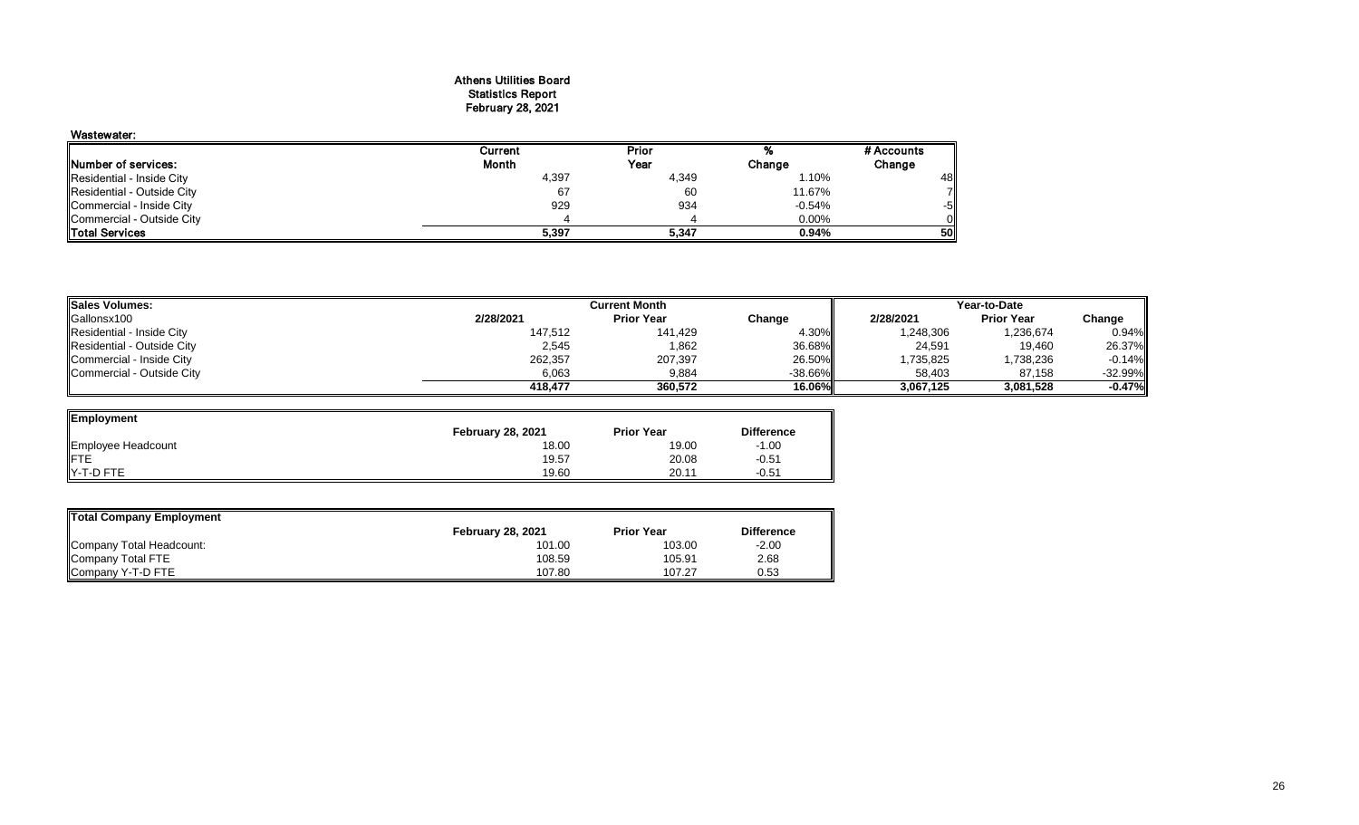#### Athens Utilities Board Statistics Report February 28, 2021

| Wastewater:                 |         |       |          |            |
|-----------------------------|---------|-------|----------|------------|
|                             | Current | Prior |          | # Accounts |
| <b>INumber of services:</b> | Month   | Year  | Change   | Change     |
| Residential - Inside City   | 4,397   | 4,349 | 1.10%    | 48         |
| Residential - Outside City  | 67      | 60    | 11.67%   |            |
| Commercial - Inside City    | 929     | 934   | $-0.54%$ | -51        |
| Commercial - Outside City   |         |       | 0.00%    |            |
| <b>Total Services</b>       | 5,397   | 5,347 | 0.94%    | 50         |

| <b>Sales Volumes:</b>      |           | <b>Current Month</b> | Year-to-Date |           |                   |            |
|----------------------------|-----------|----------------------|--------------|-----------|-------------------|------------|
| Gallonsx100                | 2/28/2021 | <b>Prior Year</b>    | Change       | 2/28/2021 | <b>Prior Year</b> | Change     |
| Residential - Inside City  | 147,512   | 141.429              | 4.30%        | 1,248,306 | 1,236,674         | 0.94%      |
| Residential - Outside City | 2,545     | 1,862                | 36.68%I      | 24,591    | 19,460            | 26.37%     |
| Commercial - Inside City   | 262,357   | 207,397              | 26.50%       | .735,825  | 1,738,236         | $-0.14\%$  |
| Commercial - Outside City  | 6,063     | 9,884                | $-38.66\%$   | 58,403    | 87,158            | $-32.99\%$ |
|                            | 418.477   | 360.572              | 16.06%       | 3.067.125 | 3,081,528         | $-0.47%$   |

| Employment         |                          |                   |                   |
|--------------------|--------------------------|-------------------|-------------------|
|                    | <b>February 28, 2021</b> | <b>Prior Year</b> | <b>Difference</b> |
| Employee Headcount | 18.00                    | 19.00             | $-1.00$           |
| <b>IFTE</b>        | 19.57                    | 20.08             | $-0.51$           |
| Y-T-D FTE          | 19.60                    | 20.11             | $-0.51$           |

| Total Company Employment |                          |                   |                   |  |  |  |  |  |  |  |
|--------------------------|--------------------------|-------------------|-------------------|--|--|--|--|--|--|--|
|                          | <b>February 28, 2021</b> | <b>Prior Year</b> | <b>Difference</b> |  |  |  |  |  |  |  |
| Company Total Headcount: | 101.00                   | 103.00            | $-2.00$           |  |  |  |  |  |  |  |
| Company Total FTE        | 108.59                   | 105.91            | 2.68              |  |  |  |  |  |  |  |
| Company Y-T-D FTE        | 107.80                   | 107.27            | 0.53              |  |  |  |  |  |  |  |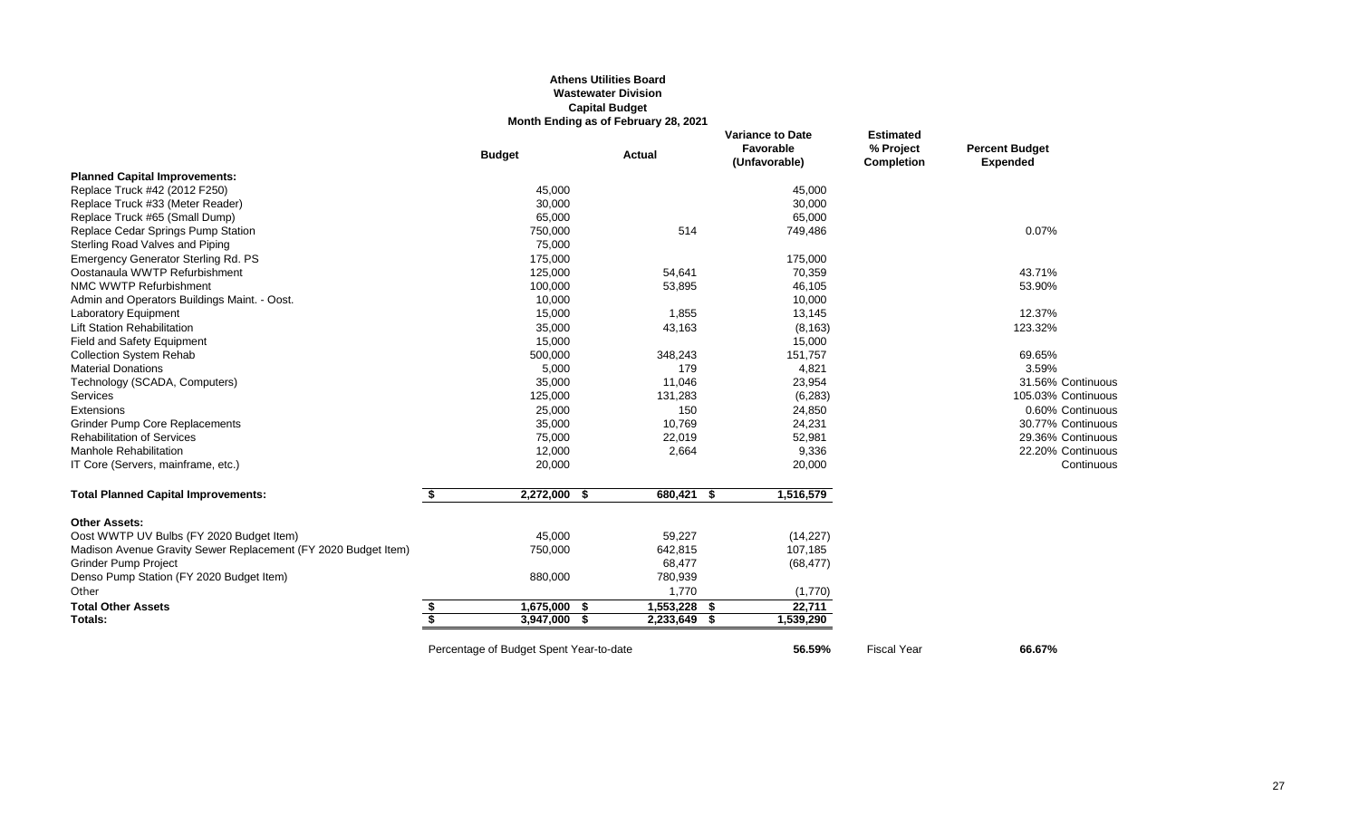# **Athens Utilities Board Wastewater Division Capital Budget Month Ending as of February 28, 2021**

|                                                                | <b>Budget</b>                           | <b>Actual</b> | <b>Variance to Date</b><br>Favorable<br>(Unfavorable) | <b>Estimated</b><br>% Project<br><b>Completion</b> | <b>Percent Budget</b><br><b>Expended</b> |
|----------------------------------------------------------------|-----------------------------------------|---------------|-------------------------------------------------------|----------------------------------------------------|------------------------------------------|
| <b>Planned Capital Improvements:</b>                           |                                         |               |                                                       |                                                    |                                          |
| Replace Truck #42 (2012 F250)                                  | 45,000                                  |               | 45,000                                                |                                                    |                                          |
| Replace Truck #33 (Meter Reader)                               | 30,000                                  |               | 30,000                                                |                                                    |                                          |
| Replace Truck #65 (Small Dump)                                 | 65,000                                  |               | 65,000                                                |                                                    |                                          |
| Replace Cedar Springs Pump Station                             | 750,000                                 | 514           | 749,486                                               |                                                    | 0.07%                                    |
| Sterling Road Valves and Piping                                | 75,000                                  |               |                                                       |                                                    |                                          |
| Emergency Generator Sterling Rd. PS                            | 175,000                                 |               | 175,000                                               |                                                    |                                          |
| Oostanaula WWTP Refurbishment                                  | 125,000                                 | 54,641        | 70,359                                                |                                                    | 43.71%                                   |
| NMC WWTP Refurbishment                                         | 100,000                                 | 53,895        | 46,105                                                |                                                    | 53.90%                                   |
| Admin and Operators Buildings Maint. - Oost.                   | 10,000                                  |               | 10,000                                                |                                                    |                                          |
| <b>Laboratory Equipment</b>                                    | 15,000                                  | 1,855         | 13,145                                                |                                                    | 12.37%                                   |
| <b>Lift Station Rehabilitation</b>                             | 35,000                                  | 43,163        | (8, 163)                                              |                                                    | 123.32%                                  |
| Field and Safety Equipment                                     | 15,000                                  |               | 15,000                                                |                                                    |                                          |
| <b>Collection System Rehab</b>                                 | 500,000                                 | 348,243       | 151,757                                               |                                                    | 69.65%                                   |
| <b>Material Donations</b>                                      | 5,000                                   | 179           | 4,821                                                 |                                                    | 3.59%                                    |
| Technology (SCADA, Computers)                                  | 35,000                                  | 11,046        | 23,954                                                |                                                    | 31.56% Continuous                        |
| Services                                                       | 125,000                                 | 131,283       | (6, 283)                                              |                                                    | 105.03% Continuous                       |
| Extensions                                                     | 25,000                                  | 150           | 24,850                                                |                                                    | 0.60% Continuous                         |
| <b>Grinder Pump Core Replacements</b>                          | 35,000                                  | 10,769        | 24,231                                                |                                                    | 30.77% Continuous                        |
| <b>Rehabilitation of Services</b>                              | 75,000                                  | 22,019        | 52,981                                                |                                                    | 29.36% Continuous                        |
| <b>Manhole Rehabilitation</b>                                  | 12,000                                  | 2,664         | 9,336                                                 |                                                    | 22.20% Continuous                        |
| IT Core (Servers, mainframe, etc.)                             | 20,000                                  |               | 20,000                                                |                                                    | Continuous                               |
| <b>Total Planned Capital Improvements:</b>                     | $2,272,000$ \$<br>\$                    | 680,421 \$    | 1,516,579                                             |                                                    |                                          |
| <b>Other Assets:</b>                                           |                                         |               |                                                       |                                                    |                                          |
| Oost WWTP UV Bulbs (FY 2020 Budget Item)                       | 45,000                                  | 59,227        | (14, 227)                                             |                                                    |                                          |
| Madison Avenue Gravity Sewer Replacement (FY 2020 Budget Item) | 750,000                                 | 642,815       | 107,185                                               |                                                    |                                          |
| <b>Grinder Pump Project</b>                                    |                                         | 68,477        | (68, 477)                                             |                                                    |                                          |
| Denso Pump Station (FY 2020 Budget Item)                       | 880,000                                 | 780,939       |                                                       |                                                    |                                          |
| Other                                                          |                                         | 1,770         | (1,770)                                               |                                                    |                                          |
| <b>Total Other Assets</b>                                      | 1,675,000 \$<br>\$                      | 1,553,228     | 22,711<br>- \$                                        |                                                    |                                          |
| Totals:                                                        | \$<br>3,947,000                         | 2,233,649     | 1,539,290<br>S                                        |                                                    |                                          |
|                                                                | Percentage of Budget Spent Year-to-date |               | 56.59%                                                | <b>Fiscal Year</b>                                 | 66.67%                                   |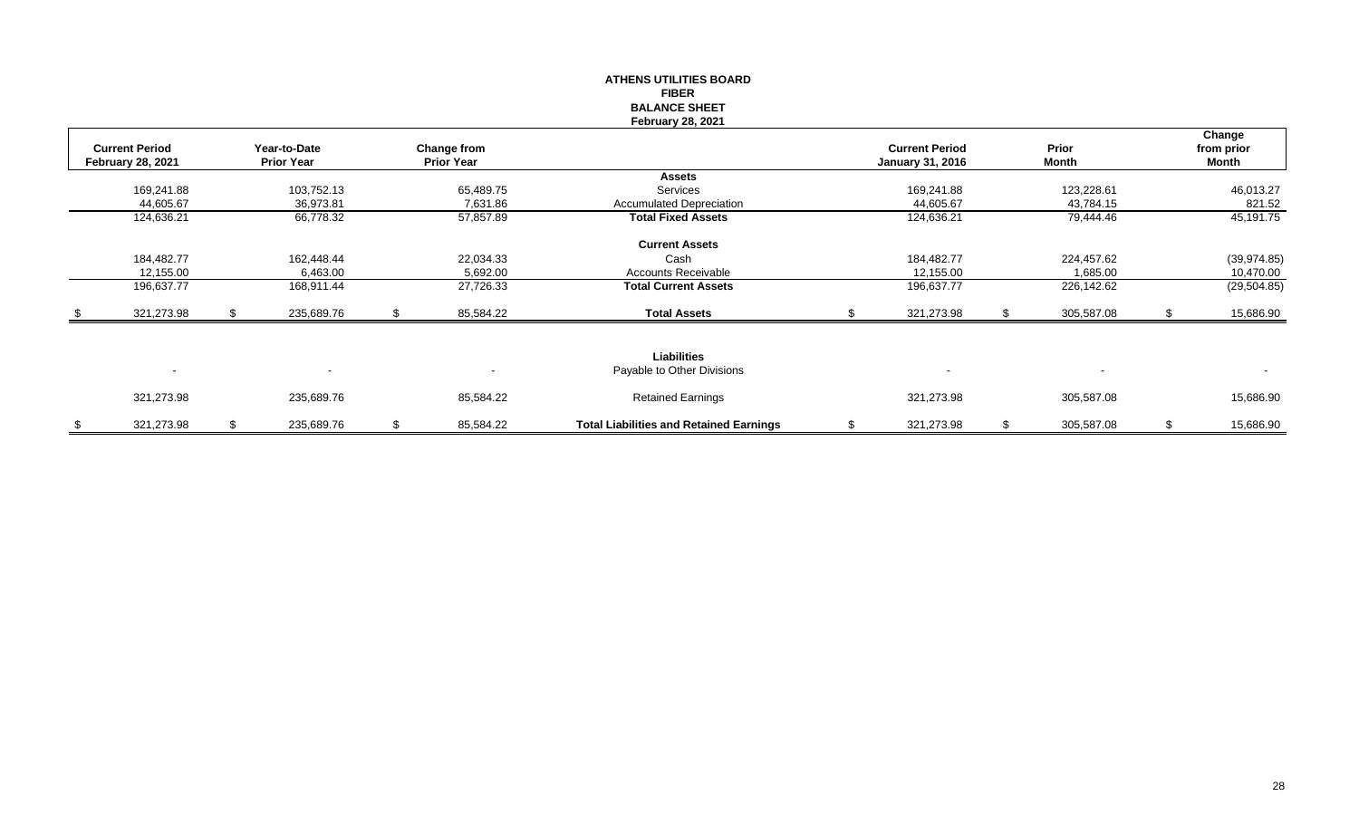|      |                          |    |                                   |                                  | <b>ATHENS UTILITIES BOARD</b>                  |                         |            |                     |
|------|--------------------------|----|-----------------------------------|----------------------------------|------------------------------------------------|-------------------------|------------|---------------------|
|      |                          |    |                                   |                                  | <b>FIBER</b>                                   |                         |            |                     |
|      |                          |    |                                   |                                  | <b>BALANCE SHEET</b>                           |                         |            |                     |
|      |                          |    |                                   |                                  | <b>February 28, 2021</b>                       |                         |            |                     |
|      |                          |    |                                   |                                  |                                                | <b>Current Period</b>   | Prior      | Change              |
|      | <b>Current Period</b>    |    | Year-to-Date<br><b>Prior Year</b> | Change from<br><b>Prior Year</b> |                                                |                         | Month      | from prior<br>Month |
|      | <b>February 28, 2021</b> |    |                                   |                                  | <b>Assets</b>                                  | <b>January 31, 2016</b> |            |                     |
|      | 169,241.88               |    | 103,752.13                        | 65,489.75                        | Services                                       | 169,241.88              | 123,228.61 | 46,013.27           |
|      | 44,605.67                |    | 36,973.81                         | 7,631.86                         | <b>Accumulated Depreciation</b>                | 44,605.67               | 43,784.15  | 821.52              |
|      | 124,636.21               |    | 66,778.32                         | 57,857.89                        | <b>Total Fixed Assets</b>                      | 124,636.21              | 79,444.46  | 45,191.75           |
|      |                          |    |                                   |                                  |                                                |                         |            |                     |
|      |                          |    |                                   |                                  | <b>Current Assets</b>                          |                         |            |                     |
|      | 184,482.77               |    | 162,448.44                        | 22,034.33                        | Cash                                           | 184,482.77              | 224,457.62 | (39, 974.85)        |
|      | 12,155.00                |    | 6,463.00                          | 5,692.00                         | <b>Accounts Receivable</b>                     | 12,155.00               | 1,685.00   | 10,470.00           |
|      | 196,637.77               |    | 168,911.44                        | 27,726.33                        | <b>Total Current Assets</b>                    | 196,637.77              | 226,142.62 | (29, 504.85)        |
|      |                          |    |                                   |                                  |                                                |                         |            |                     |
| - \$ | 321,273.98               | S. | 235,689.76                        | \$<br>85,584.22                  | <b>Total Assets</b>                            | 321,273.98              | 305,587.08 | 15,686.90           |
|      |                          |    |                                   |                                  |                                                |                         |            |                     |
|      |                          |    |                                   |                                  |                                                |                         |            |                     |
|      |                          |    |                                   |                                  | <b>Liabilities</b>                             |                         |            |                     |
|      | $\sim$                   |    |                                   |                                  | Payable to Other Divisions                     |                         |            | $\sim$              |
|      | 321,273.98               |    | 235,689.76                        | 85,584.22                        | <b>Retained Earnings</b>                       | 321,273.98              | 305,587.08 | 15,686.90           |
|      |                          |    |                                   |                                  |                                                |                         |            |                     |
| \$   | 321,273.98               | \$ | 235,689.76                        | \$<br>85,584.22                  | <b>Total Liabilities and Retained Earnings</b> | \$<br>321,273.98        | 305,587.08 | \$<br>15,686.90     |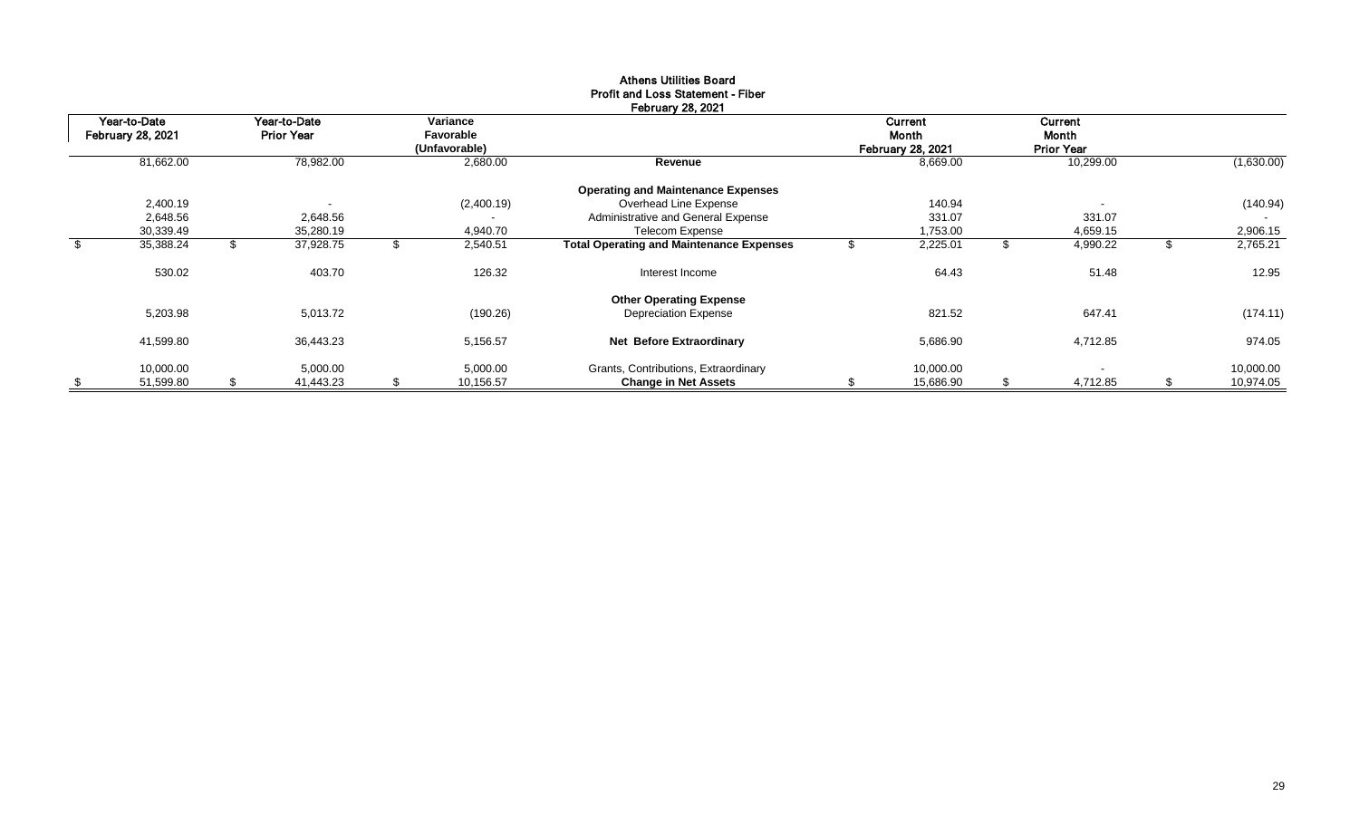| Year-to-Date             |    | Year-to-Date             |    | Variance      |                                                 | Current                  |    | <b>Current</b>    |    |            |
|--------------------------|----|--------------------------|----|---------------|-------------------------------------------------|--------------------------|----|-------------------|----|------------|
| <b>February 28, 2021</b> |    | <b>Prior Year</b>        |    | Favorable     |                                                 | Month                    |    | Month             |    |            |
|                          |    |                          |    | (Unfavorable) |                                                 | <b>February 28, 2021</b> |    | <b>Prior Year</b> |    |            |
| 81,662.00                |    | 78,982.00                |    | 2,680.00      | Revenue                                         | 8,669.00                 |    | 10,299.00         |    | (1,630.00) |
|                          |    |                          |    |               | <b>Operating and Maintenance Expenses</b>       |                          |    |                   |    |            |
| 2,400.19                 |    | $\overline{\phantom{a}}$ |    | (2,400.19)    | Overhead Line Expense                           | 140.94                   |    |                   |    | (140.94)   |
| 2,648.56                 |    | 2,648.56                 |    |               | Administrative and General Expense              | 331.07                   |    | 331.07            |    |            |
| 30,339.49                |    | 35,280.19                |    | 4,940.70      | Telecom Expense                                 | 1,753.00                 |    | 4,659.15          |    | 2,906.15   |
| \$<br>35,388.24          | J. | 37,928.75                | ъ  | 2,540.51      | <b>Total Operating and Maintenance Expenses</b> | 2,225.01                 | J. | 4,990.22          | J. | 2,765.21   |
| 530.02                   |    | 403.70                   |    | 126.32        | Interest Income                                 | 64.43                    |    | 51.48             |    | 12.95      |
|                          |    |                          |    |               | <b>Other Operating Expense</b>                  |                          |    |                   |    |            |
| 5,203.98                 |    | 5,013.72                 |    | (190.26)      | <b>Depreciation Expense</b>                     | 821.52                   |    | 647.41            |    | (174.11)   |
| 41,599.80                |    | 36,443.23                |    | 5,156.57      | <b>Net Before Extraordinary</b>                 | 5,686.90                 |    | 4,712.85          |    | 974.05     |
| 10,000.00                |    | 5,000.00                 |    | 5,000.00      | Grants, Contributions, Extraordinary            | 10,000.00                |    |                   |    | 10,000.00  |
| \$<br>51,599.80          | \$ | 41,443.23                | \$ | 10,156.57     | <b>Change in Net Assets</b>                     | 15,686.90                | \$ | 4,712.85          | \$ | 10,974.05  |

# Athens Utilities Board Profit and Loss Statement - Fiber